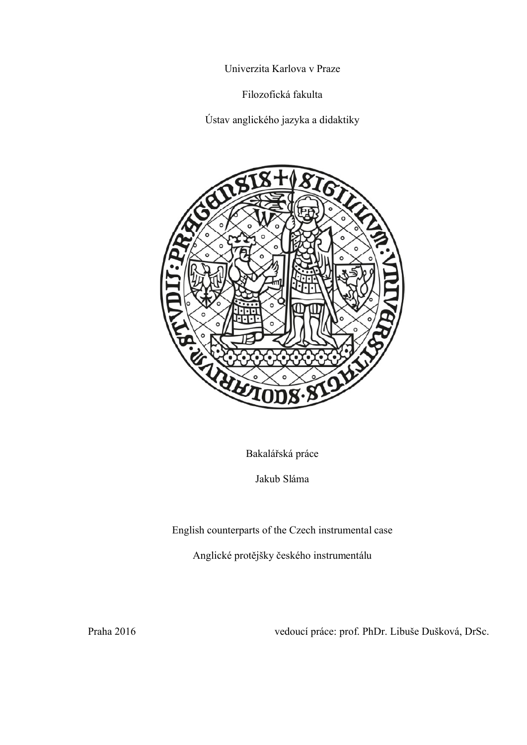Univerzita Karlova v Praze

Filozofická fakulta

Ústav anglického jazyka a didaktiky



Bakalářská práce

Jakub Sláma

English counterparts of the Czech instrumental case

Anglické protějšky českého instrumentálu

Praha 2016 vedoucí práce: prof. PhDr. Libuše Dušková, DrSc.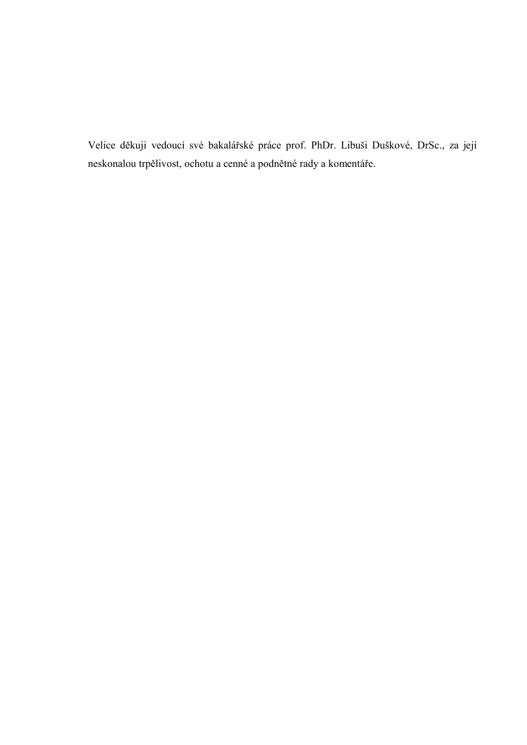Velice děkuji vedoucí své bakalářské práce prof. PhDr. Libuši Duškové, DrSc., za její neskonalou trpělivost, ochotu a cenné a podnětné rady a komentáře.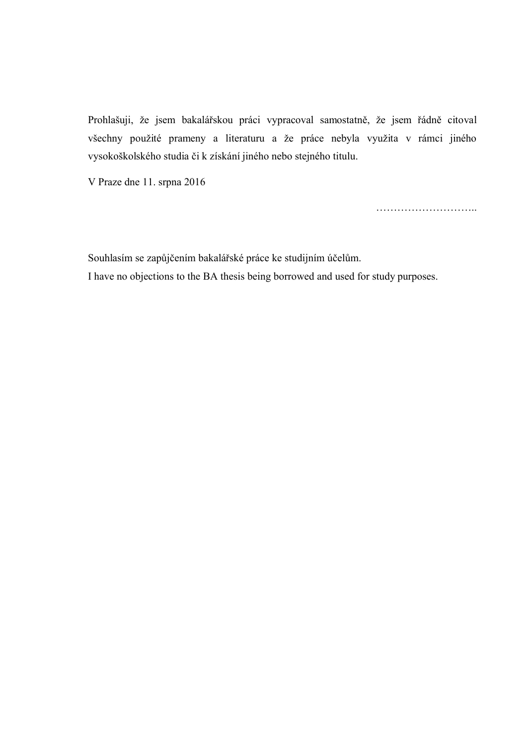Prohlašuji, že jsem bakalářskou práci vypracoval samostatně, že jsem řádně citoval všechny použité prameny a literaturu a že práce nebyla využita v rámci jiného vysokoškolského studia či k získání jiného nebo stejného titulu.

V Praze dne 11. srpna 2016

………………………..

Souhlasím se zapůjčením bakalářské práce ke studijním účelům. I have no objections to the BA thesis being borrowed and used for study purposes.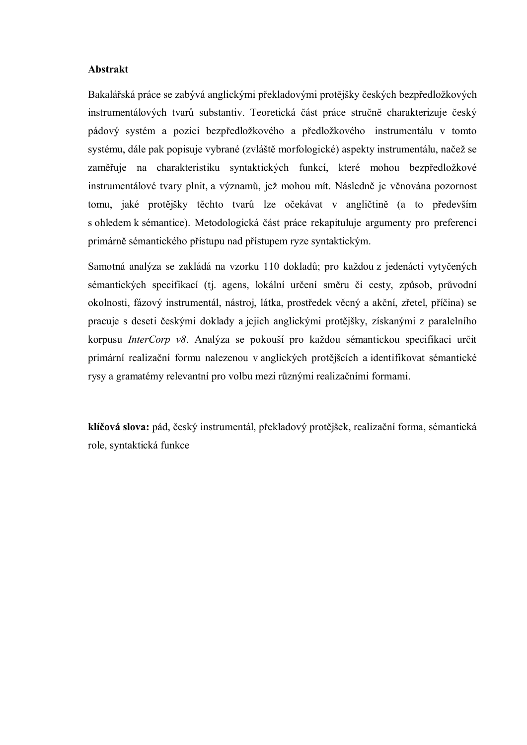#### **Abstrakt**

Bakalářská práce se zabývá anglickými překladovými protějšky českých bezpředložkových instrumentálových tvarů substantiv. Teoretická část práce stručně charakterizuje český pádový systém a pozici bezpředložkového a předložkového instrumentálu v tomto systému, dále pak popisuje vybrané (zvláště morfologické) aspekty instrumentálu, načež se zaměřuje na charakteristiku syntaktických funkcí, které mohou bezpředložkové instrumentálové tvary plnit, a významů, jež mohou mít. Následně je věnována pozornost tomu, jaké protějšky těchto tvarů lze očekávat v angličtině (a to především s ohledem k sémantice). Metodologická část práce rekapituluje argumenty pro preferenci primárně sémantického přístupu nad přístupem ryze syntaktickým.

Samotná analýza se zakládá na vzorku 110 dokladů; pro každou z jedenácti vytyčených sémantických specifikací (tj. agens, lokální určení směru či cesty, způsob, průvodní okolnosti, fázový instrumentál, nástroj, látka, prostředek věcný a akční, zřetel, příčina) se pracuje s deseti českými doklady a jejich anglickými protějšky, získanými z paralelního korpusu *InterCorp v8*. Analýza se pokouší pro každou sémantickou specifikaci určit primární realizační formu nalezenou v anglických protějšcích a identifikovat sémantické rysy a gramatémy relevantní pro volbu mezi různými realizačními formami.

**klíčová slova:** pád, český instrumentál, překladový protějšek, realizační forma, sémantická role, syntaktická funkce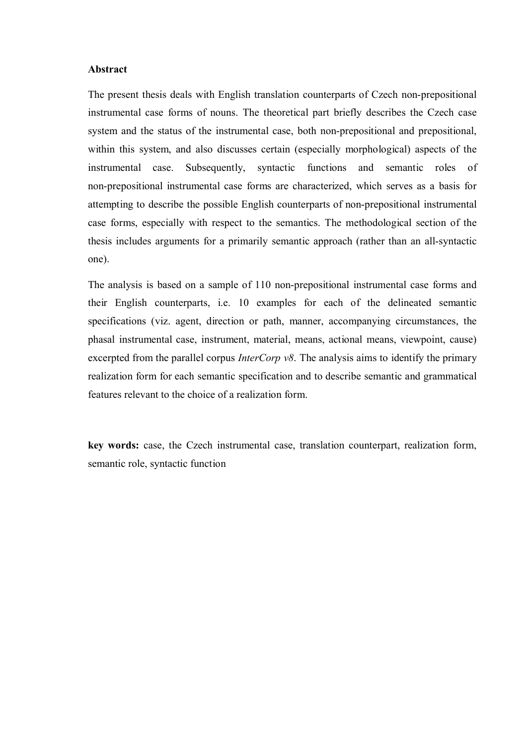#### **Abstract**

The present thesis deals with English translation counterparts of Czech non-prepositional instrumental case forms of nouns. The theoretical part briefly describes the Czech case system and the status of the instrumental case, both non-prepositional and prepositional, within this system, and also discusses certain (especially morphological) aspects of the instrumental case. Subsequently, syntactic functions and semantic roles of non-prepositional instrumental case forms are characterized, which serves as a basis for attempting to describe the possible English counterparts of non-prepositional instrumental case forms, especially with respect to the semantics. The methodological section of the thesis includes arguments for a primarily semantic approach (rather than an all-syntactic one).

The analysis is based on a sample of 110 non-prepositional instrumental case forms and their English counterparts, i.e. 10 examples for each of the delineated semantic specifications (viz. agent, direction or path, manner, accompanying circumstances, the phasal instrumental case, instrument, material, means, actional means, viewpoint, cause) excerpted from the parallel corpus *InterCorp v8*. The analysis aims to identify the primary realization form for each semantic specification and to describe semantic and grammatical features relevant to the choice of a realization form.

**key words:** case, the Czech instrumental case, translation counterpart, realization form, semantic role, syntactic function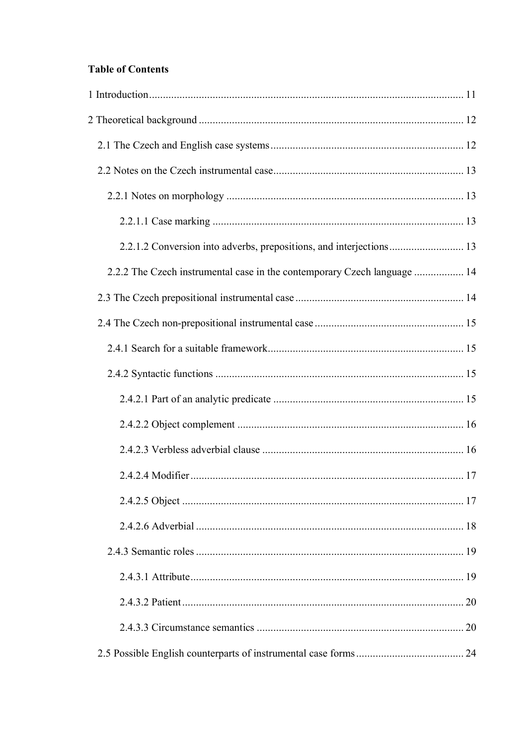# **Table of Contents**

| 2.2.2 The Czech instrumental case in the contemporary Czech language  14 |  |
|--------------------------------------------------------------------------|--|
|                                                                          |  |
|                                                                          |  |
|                                                                          |  |
|                                                                          |  |
|                                                                          |  |
|                                                                          |  |
|                                                                          |  |
|                                                                          |  |
|                                                                          |  |
|                                                                          |  |
|                                                                          |  |
|                                                                          |  |
|                                                                          |  |
|                                                                          |  |
|                                                                          |  |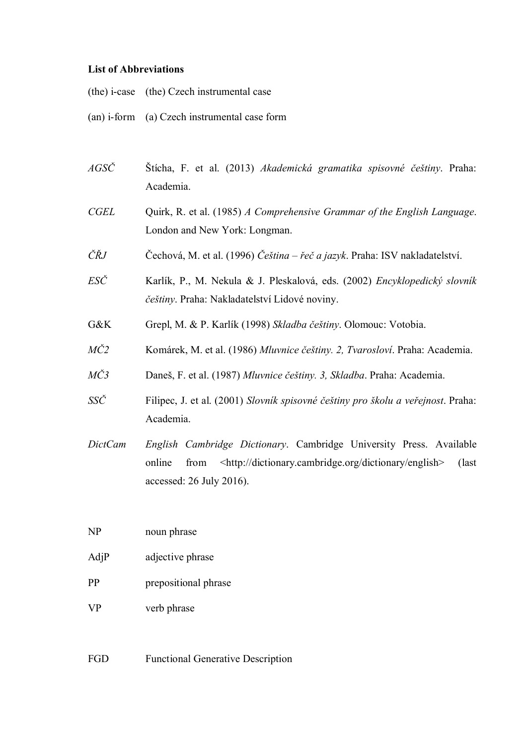### **List of Abbreviations**

|  | (the) i-case (the) Czech instrumental case |  |
|--|--------------------------------------------|--|
|--|--------------------------------------------|--|

- (an) i-form (a) Czech instrumental case form
- *AGSČ* Štícha, F. et al. (2013) *Akademická gramatika spisovné češtiny*. Praha: Academia.
- *CGEL* Quirk, R. et al. (1985) *A Comprehensive Grammar of the English Language*. London and New York: Longman.
- *ČŘJ* Čechová, M. et al. (1996) *Čeština – řeč a jazyk*. Praha: ISV nakladatelství.
- *ESČ* Karlík, P., M. Nekula & J. Pleskalová, eds. (2002) *Encyklopedický slovník češtiny*. Praha: Nakladatelství Lidové noviny.
- G&K Grepl, M. & P. Karlík (1998) *Skladba češtiny*. Olomouc: Votobia.
- *MČ2* Komárek, M. et al. (1986) *Mluvnice češtiny. 2, Tvarosloví*. Praha: Academia.
- *MČ3* Daneš, F. et al. (1987) *Mluvnice češtiny. 3, Skladba*. Praha: Academia.
- *SSČ* Filipec, J. et al. (2001) *Slovník spisovné češtiny pro školu a veřejnost*. Praha: Academia.
- *DictCam English Cambridge Dictionary*. Cambridge University Press. Available online from <http://dictionary.cambridge.org/dictionary/english> (last accessed: 26 July 2016).

NP noun phrase

- AdjP adjective phrase
- PP prepositional phrase
- VP verb phrase

FGD Functional Generative Description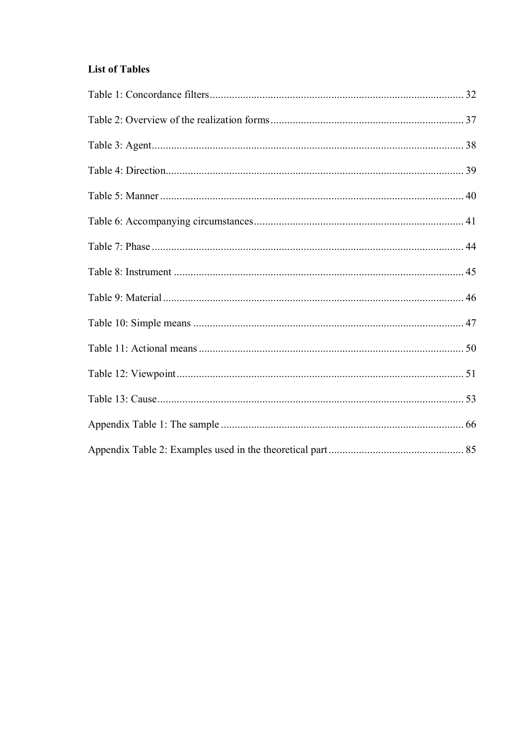# **List of Tables**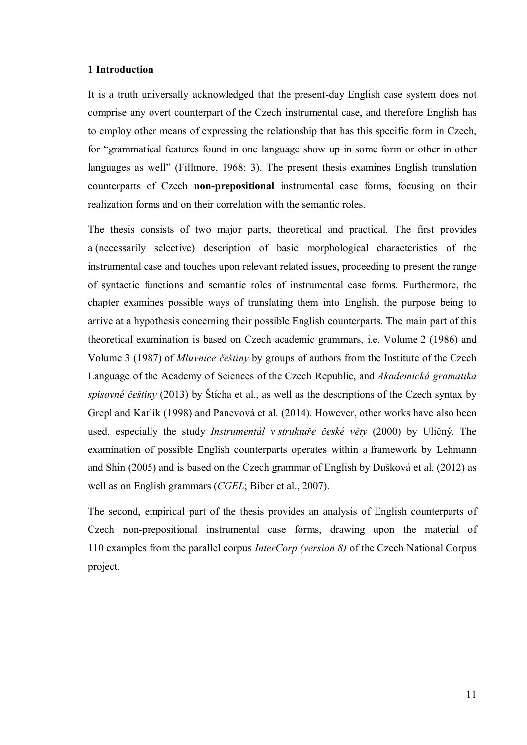#### **1 Introduction**

<span id="page-10-0"></span>It is a truth universally acknowledged that the present-day English case system does not comprise any overt counterpart of the Czech instrumental case, and therefore English has to employ other means of expressing the relationship that has this specific form in Czech, for "grammatical features found in one language show up in some form or other in other languages as well" (Fillmore, 1968: 3). The present thesis examines English translation counterparts of Czech **non-prepositional** instrumental case forms, focusing on their realization forms and on their correlation with the semantic roles.

The thesis consists of two major parts, theoretical and practical. The first provides a (necessarily selective) description of basic morphological characteristics of the instrumental case and touches upon relevant related issues, proceeding to present the range of syntactic functions and semantic roles of instrumental case forms. Furthermore, the chapter examines possible ways of translating them into English, the purpose being to arrive at a hypothesis concerning their possible English counterparts. The main part of this theoretical examination is based on Czech academic grammars, i.e. Volume 2 (1986) and Volume 3 (1987) of *Mluvnice češtiny* by groups of authors from the Institute of the Czech Language of the Academy of Sciences of the Czech Republic, and *Akademická gramatika spisovné češtiny* (2013) by Štícha et al., as well as the descriptions of the Czech syntax by Grepl and Karlík (1998) and Panevová et al. (2014). However, other works have also been used, especially the study *Instrumentál v struktuře české věty* (2000) by Uličný. The examination of possible English counterparts operates within a framework by Lehmann and Shin (2005) and is based on the Czech grammar of English by Dušková et al. (2012) as well as on English grammars (*CGEL*; Biber et al., 2007).

The second, empirical part of the thesis provides an analysis of English counterparts of Czech non-prepositional instrumental case forms, drawing upon the material of 110 examples from the parallel corpus *InterCorp (version 8)* of the Czech National Corpus project.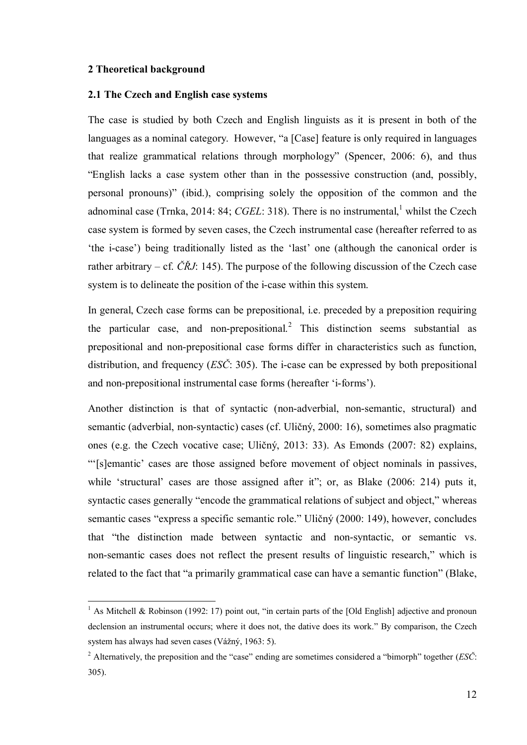### **2 Theoretical background**

1

#### **2.1 The Czech and English case systems**

<span id="page-11-1"></span><span id="page-11-0"></span>The case is studied by both Czech and English linguists as it is present in both of the languages as a nominal category. However, "a [Case] feature is only required in languages that realize grammatical relations through morphology" (Spencer, 2006: 6), and thus "English lacks a case system other than in the possessive construction (and, possibly, personal pronouns)" (ibid.), comprising solely the opposition of the common and the adnominal case (Trnka, 2014: 84; *CGEL*: 318). There is no instrumental,<sup>1</sup> whilst the Czech case system is formed by seven cases, the Czech instrumental case (hereafter referred to as 'the i-case') being traditionally listed as the 'last' one (although the canonical order is rather arbitrary – cf.  $\check{C}\check{R}J$ : 145). The purpose of the following discussion of the Czech case system is to delineate the position of the i-case within this system.

In general, Czech case forms can be prepositional, i.e. preceded by a preposition requiring the particular case, and non-prepositional.<sup>2</sup> This distinction seems substantial as prepositional and non-prepositional case forms differ in characteristics such as function, distribution, and frequency (*ESČ*: 305). The i-case can be expressed by both prepositional and non-prepositional instrumental case forms (hereafter 'i-forms').

Another distinction is that of syntactic (non-adverbial, non-semantic, structural) and semantic (adverbial, non-syntactic) cases (cf. Uličný, 2000: 16), sometimes also pragmatic ones (e.g. the Czech vocative case; Uličný, 2013: 33). As Emonds (2007: 82) explains, "'[s]emantic' cases are those assigned before movement of object nominals in passives, while 'structural' cases are those assigned after it"; or, as Blake (2006: 214) puts it. syntactic cases generally "encode the grammatical relations of subject and object," whereas semantic cases "express a specific semantic role." Uličný (2000: 149), however, concludes that "the distinction made between syntactic and non-syntactic, or semantic vs. non-semantic cases does not reflect the present results of linguistic research," which is related to the fact that "a primarily grammatical case can have a semantic function" (Blake,

<sup>&</sup>lt;sup>1</sup> As Mitchell & Robinson (1992: 17) point out, "in certain parts of the [Old English] adjective and pronoun declension an instrumental occurs; where it does not, the dative does its work." By comparison, the Czech system has always had seven cases (Vážný, 1963: 5).

<sup>2</sup> Alternatively, the preposition and the "case" ending are sometimes considered a "bimorph" together (*ESČ*: 305).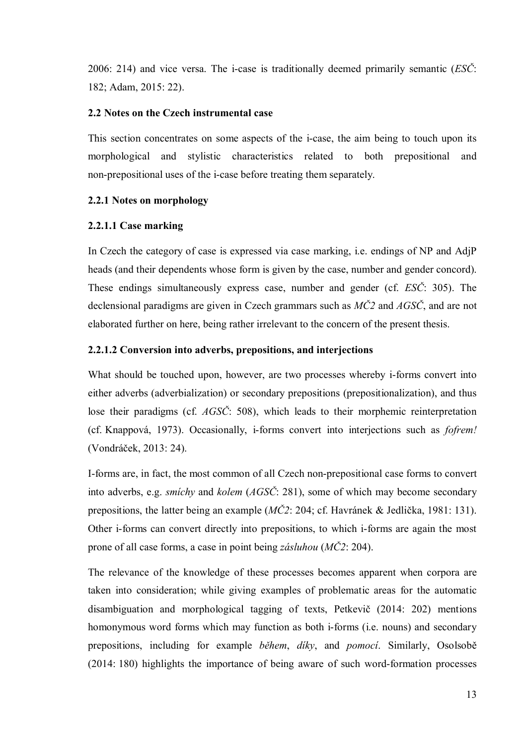2006: 214) and vice versa. The i-case is traditionally deemed primarily semantic (*ESČ*: 182; Adam, 2015: 22).

# **2.2 Notes on the Czech instrumental case**

This section concentrates on some aspects of the i-case, the aim being to touch upon its morphological and stylistic characteristics related to both prepositional and non-prepositional uses of the i-case before treating them separately.

# <span id="page-12-1"></span><span id="page-12-0"></span>**2.2.1 Notes on morphology**

# <span id="page-12-2"></span>**2.2.1.1 Case marking**

<span id="page-12-3"></span>In Czech the category of case is expressed via case marking, i.e. endings of NP and AdjP heads (and their dependents whose form is given by the case, number and gender concord). These endings simultaneously express case, number and gender (cf. *ESČ*: 305). The declensional paradigms are given in Czech grammars such as *MČ2* and *AGSČ*, and are not elaborated further on here, being rather irrelevant to the concern of the present thesis.

# **2.2.1.2 Conversion into adverbs, prepositions, and interjections**

What should be touched upon, however, are two processes whereby i-forms convert into either adverbs (adverbialization) or secondary prepositions (prepositionalization), and thus lose their paradigms (cf. *AGSČ*: 508), which leads to their morphemic reinterpretation (cf. Knappová, 1973). Occasionally, i-forms convert into interjections such as *fofrem!*  (Vondráček, 2013: 24).

I-forms are, in fact, the most common of all Czech non-prepositional case forms to convert into adverbs, e.g. *smíchy* and *kolem* (*AGSČ*: 281), some of which may become secondary prepositions, the latter being an example (*MČ2*: 204; cf. Havránek & Jedlička, 1981: 131). Other i-forms can convert directly into prepositions, to which i-forms are again the most prone of all case forms, a case in point being *zásluhou* (*MČ2*: 204).

The relevance of the knowledge of these processes becomes apparent when corpora are taken into consideration; while giving examples of problematic areas for the automatic disambiguation and morphological tagging of texts, Petkevič (2014: 202) mentions homonymous word forms which may function as both i-forms (i.e. nouns) and secondary prepositions, including for example *během*, *díky*, and *pomocí*. Similarly, Osolsobě (2014: 180) highlights the importance of being aware of such word-formation processes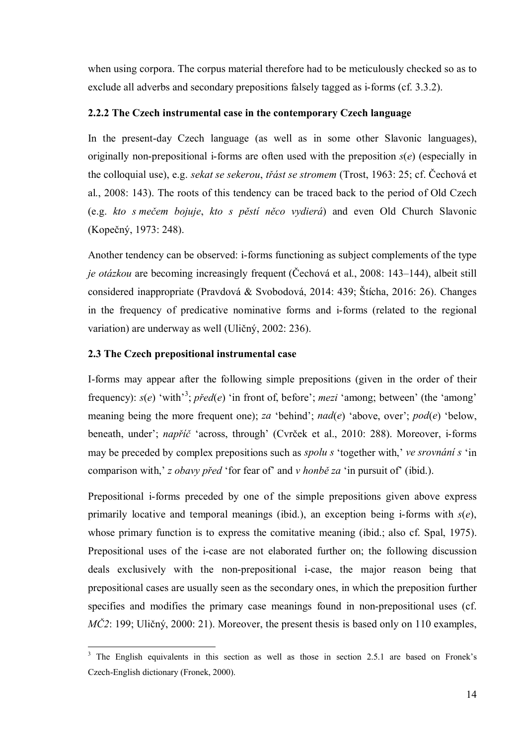when using corpora. The corpus material therefore had to be meticulously checked so as to exclude all adverbs and secondary prepositions falsely tagged as i-forms (cf. 3.3.2).

# **2.2.2 The Czech instrumental case in the contemporary Czech language**

In the present-day Czech language (as well as in some other Slavonic languages), originally non-prepositional i-forms are often used with the preposition *s*(*e*) (especially in the colloquial use), e.g. *sekat se sekerou*, *třást se stromem* (Trost, 1963: 25; cf. Čechová et al., 2008: 143). The roots of this tendency can be traced back to the period of Old Czech (e.g. *kto s mečem bojuje*, *kto s pěstí něco vydierá*) and even Old Church Slavonic (Kopečný, 1973: 248).

<span id="page-13-1"></span><span id="page-13-0"></span>Another tendency can be observed: i-forms functioning as subject complements of the type *je otázkou* are becoming increasingly frequent (Čechová et al., 2008: 143–144), albeit still considered inappropriate (Pravdová & Svobodová, 2014: 439; Štícha, 2016: 26). Changes in the frequency of predicative nominative forms and i-forms (related to the regional variation) are underway as well (Uličný, 2002: 236).

# **2.3 The Czech prepositional instrumental case**

1

I-forms may appear after the following simple prepositions (given in the order of their frequency): *s*(*e*) 'with'<sup>3</sup>; *před*(*e*) 'in front of, before'; *mezi* 'among; between' (the 'among' meaning being the more frequent one); *za* 'behind'; *nad*(*e*) 'above, over'; *pod*(*e*) 'below, beneath, under'; *napříč* 'across, through' (Cvrček et al., 2010: 288). Moreover, i-forms may be preceded by complex prepositions such as *spolu s* 'together with,' *ve srovnání s* 'in comparison with,' *z obavy před* 'for fear of' and *v honbě za* 'in pursuit of' (ibid.).

Prepositional i-forms preceded by one of the simple prepositions given above express primarily locative and temporal meanings (ibid.), an exception being i-forms with *s*(*e*), whose primary function is to express the comitative meaning (ibid.; also cf. Spal, 1975). Prepositional uses of the i-case are not elaborated further on; the following discussion deals exclusively with the non-prepositional i-case, the major reason being that prepositional cases are usually seen as the secondary ones, in which the preposition further specifies and modifies the primary case meanings found in non-prepositional uses (cf. *MČ2*: 199; Uličný, 2000: 21). Moreover, the present thesis is based only on 110 examples,

<sup>&</sup>lt;sup>3</sup> The English equivalents in this section as well as those in section 2.5.1 are based on Fronek's Czech-English dictionary (Fronek, 2000).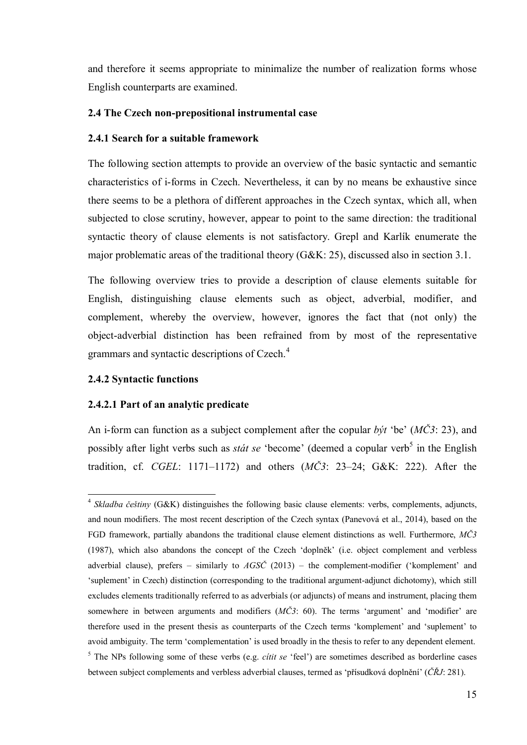and therefore it seems appropriate to minimalize the number of realization forms whose English counterparts are examined.

# **2.4 The Czech non-prepositional instrumental case**

# **2.4.1 Search for a suitable framework**

The following section attempts to provide an overview of the basic syntactic and semantic characteristics of i-forms in Czech. Nevertheless, it can by no means be exhaustive since there seems to be a plethora of different approaches in the Czech syntax, which all, when subjected to close scrutiny, however, appear to point to the same direction: the traditional syntactic theory of clause elements is not satisfactory. Grepl and Karlík enumerate the major problematic areas of the traditional theory (G&K: 25), discussed also in section 3.1.

<span id="page-14-0"></span>The following overview tries to provide a description of clause elements suitable for English, distinguishing clause elements such as object, adverbial, modifier, and complement, whereby the overview, however, ignores the fact that (not only) the object-adverbial distinction has been refrained from by most of the representative grammars and syntactic descriptions of Czech.<sup>4</sup>

# <span id="page-14-2"></span><span id="page-14-1"></span>**2.4.2 Syntactic functions**

### <span id="page-14-3"></span>**2.4.2.1 Part of an analytic predicate**

An i-form can function as a subject complement after the copular *být* 'be' (*MČ3*: 23), and possibly after light verbs such as *stát se* 'become' (deemed a copular verb<sup>5</sup> in the English tradition, cf. *CGEL*: 1171–1172) and others (*MČ3*: 23–24; G&K: 222). After the

<sup>1</sup> <sup>4</sup> Skladba češtiny (G&K) distinguishes the following basic clause elements: verbs, complements, adjuncts, and noun modifiers. The most recent description of the Czech syntax (Panevová et al., 2014), based on the FGD framework, partially abandons the traditional clause element distinctions as well. Furthermore, *MČ3* (1987), which also abandons the concept of the Czech 'doplněk' (i.e. object complement and verbless adverbial clause), prefers – similarly to *AGSČ* (2013) – the complement-modifier ('komplement' and 'suplement' in Czech) distinction (corresponding to the traditional argument-adjunct dichotomy), which still excludes elements traditionally referred to as adverbials (or adjuncts) of means and instrument, placing them somewhere in between arguments and modifiers ( $M\check{C}3$ : 60). The terms 'argument' and 'modifier' are therefore used in the present thesis as counterparts of the Czech terms 'komplement' and 'suplement' to avoid ambiguity. The term 'complementation' is used broadly in the thesis to refer to any dependent element. <sup>5</sup> The NPs following some of these verbs (e.g. *cítit se* 'feel') are sometimes described as borderline cases between subject complements and verbless adverbial clauses, termed as 'přísudková doplnění' (*ČŘJ*: 281).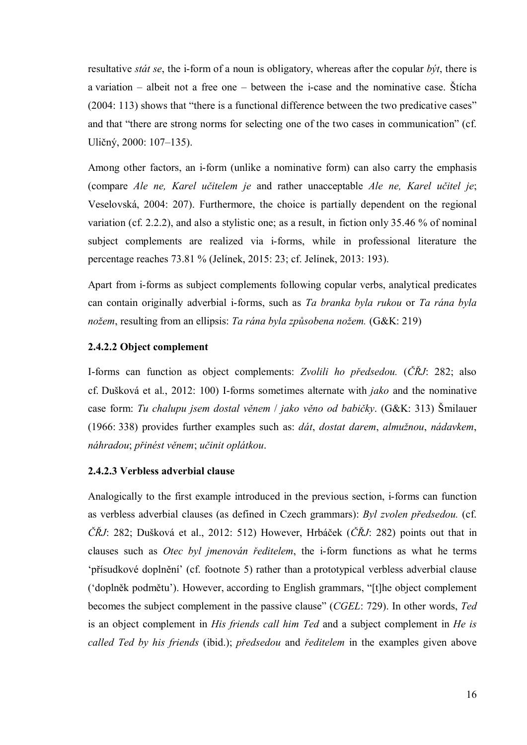resultative *stát se*, the i-form of a noun is obligatory, whereas after the copular *být*, there is a variation – albeit not a free one – between the i-case and the nominative case. Štícha (2004: 113) shows that "there is a functional difference between the two predicative cases" and that "there are strong norms for selecting one of the two cases in communication" (cf. Uličný, 2000: 107–135).

Among other factors, an i-form (unlike a nominative form) can also carry the emphasis (compare *Ale ne, Karel učitelem je* and rather unacceptable *Ale ne, Karel učitel je*; Veselovská, 2004: 207). Furthermore, the choice is partially dependent on the regional variation (cf. 2.2.2), and also a stylistic one; as a result, in fiction only 35.46 % of nominal subject complements are realized via i-forms, while in professional literature the percentage reaches 73.81 % (Jelínek, 2015: 23; cf. Jelínek, 2013: 193).

Apart from i-forms as subject complements following copular verbs, analytical predicates can contain originally adverbial i-forms, such as *Ta branka byla rukou* or *Ta rána byla nožem*, resulting from an ellipsis: *Ta rána byla způsobena nožem.* (G&K: 219)

# **2.4.2.2 Object complement**

I-forms can function as object complements: *Zvolili ho předsedou.* (*ČŘJ*: 282; also cf. Dušková et al., 2012: 100) I-forms sometimes alternate with *jako* and the nominative case form: *Tu chalupu jsem dostal věnem* / *jako věno od babičky*. (G&K: 313) Šmilauer (1966: 338) provides further examples such as: *dát*, *dostat darem*, *almužnou*, *nádavkem*, *náhradou*; *přinést věnem*; *učinit oplátkou*.

# <span id="page-15-1"></span><span id="page-15-0"></span>**2.4.2.3 Verbless adverbial clause**

Analogically to the first example introduced in the previous section, i-forms can function as verbless adverbial clauses (as defined in Czech grammars): *Byl zvolen předsedou.* (cf. *ČŘJ*: 282; Dušková et al., 2012: 512) However, Hrbáček (*ČŘJ*: 282) points out that in clauses such as *Otec byl jmenován ředitelem*, the i-form functions as what he terms 'přísudkové doplnění' (cf. footnote 5) rather than a prototypical verbless adverbial clause ('doplněk podmětu'). However, according to English grammars, "[t]he object complement becomes the subject complement in the passive clause" (*CGEL*: 729). In other words, *Ted*  is an object complement in *His friends call him Ted* and a subject complement in *He is called Ted by his friends* (ibid.); *předsedou* and *ředitelem* in the examples given above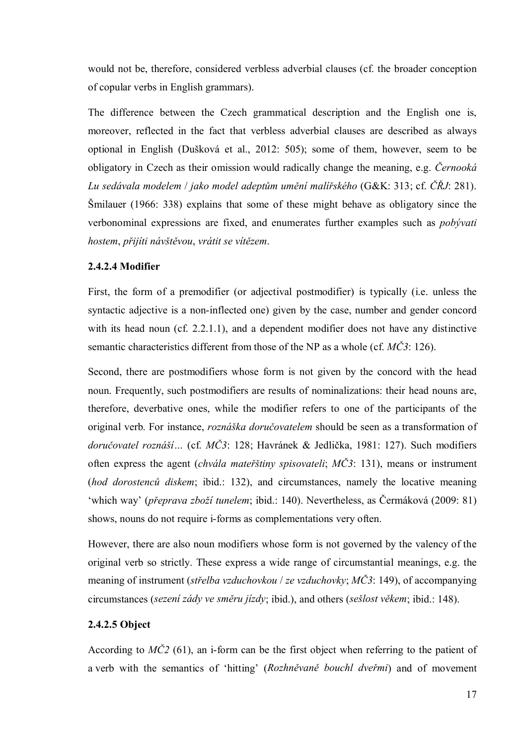would not be, therefore, considered verbless adverbial clauses (cf. the broader conception of copular verbs in English grammars).

The difference between the Czech grammatical description and the English one is, moreover, reflected in the fact that verbless adverbial clauses are described as always optional in English (Dušková et al., 2012: 505); some of them, however, seem to be obligatory in Czech as their omission would radically change the meaning, e.g. *Černooká Lu sedávala modelem* / *jako model adeptům umění malířského* (G&K: 313; cf. *ČŘJ*: 281). Šmilauer (1966: 338) explains that some of these might behave as obligatory since the verbonominal expressions are fixed, and enumerates further examples such as *pobývati hostem*, *přijíti návštěvou*, *vrátit se vítězem*.

# **2.4.2.4 Modifier**

First, the form of a premodifier (or adjectival postmodifier) is typically (i.e. unless the syntactic adjective is a non-inflected one) given by the case, number and gender concord with its head noun (cf. 2.2.1.1), and a dependent modifier does not have any distinctive semantic characteristics different from those of the NP as a whole (cf. *MČ3*: 126).

Second, there are postmodifiers whose form is not given by the concord with the head noun. Frequently, such postmodifiers are results of nominalizations: their head nouns are, therefore, deverbative ones, while the modifier refers to one of the participants of the original verb. For instance, *roznáška doručovatelem* should be seen as a transformation of *doručovatel roznáší…* (cf. *MČ3*: 128; Havránek & Jedlička, 1981: 127). Such modifiers often express the agent (*chvála mateřštiny spisovateli*; *MČ3*: 131), means or instrument (*hod dorostenců diskem*; ibid.: 132), and circumstances, namely the locative meaning 'which way' (*přeprava zboží tunelem*; ibid.: 140). Nevertheless, as Čermáková (2009: 81) shows, nouns do not require i-forms as complementations very often.

<span id="page-16-1"></span><span id="page-16-0"></span>However, there are also noun modifiers whose form is not governed by the valency of the original verb so strictly. These express a wide range of circumstantial meanings, e.g. the meaning of instrument (*střelba vzduchovkou* / *ze vzduchovky*; *MČ3*: 149), of accompanying circumstances (*sezení zády ve směru jízdy*; ibid.), and others (*sešlost věkem*; ibid.: 148).

# **2.4.2.5 Object**

According to *MČ2* (61), an i-form can be the first object when referring to the patient of a verb with the semantics of 'hitting' (*Rozhněvaně bouchl dveřmi*) and of movement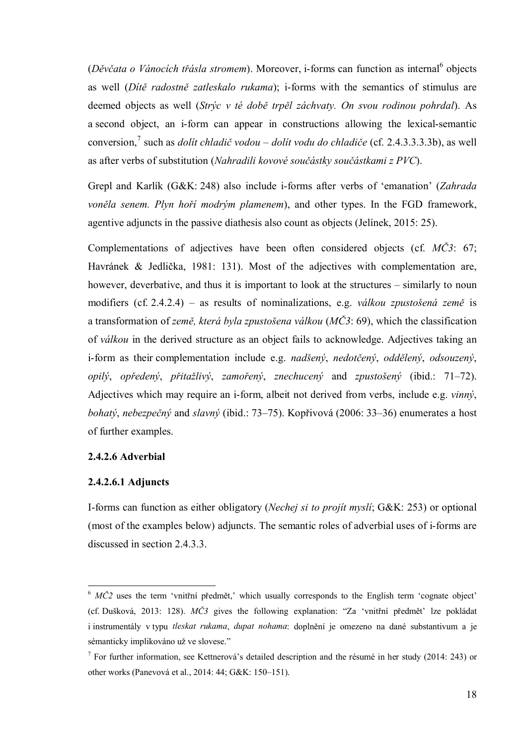(Děvčata o Vánocích třásla stromem). Moreover, i-forms can function as internal<sup>6</sup> objects as well (*Dítě radostně zatleskalo rukama*); i-forms with the semantics of stimulus are deemed objects as well (*Strýc v té době trpěl záchvaty. On svou rodinou pohrdal*). As a second object, an i-form can appear in constructions allowing the lexical-semantic conversion, 7 such as *dolít chladič vodou* – *dolít vodu do chladiče* (cf. 2.4.3.3.3.3b), as well as after verbs of substitution (*Nahradili kovové součástky součástkami z PVC*).

Grepl and Karlík (G&K: 248) also include i-forms after verbs of 'emanation' (*Zahrada voněla senem. Plyn hoří modrým plamenem*), and other types. In the FGD framework, agentive adjuncts in the passive diathesis also count as objects (Jelínek, 2015: 25).

Complementations of adjectives have been often considered objects (cf. *MČ3*: 67; Havránek & Jedlička, 1981: 131). Most of the adjectives with complementation are, however, deverbative, and thus it is important to look at the structures – similarly to noun modifiers (cf. 2.4.2.4) – as results of nominalizations, e.g. *válkou zpustošená země* is a transformation of *země, která byla zpustošena válkou* (*MČ3*: 69), which the classification of *válkou* in the derived structure as an object fails to acknowledge. Adjectives taking an i-form as their complementation include e.g. *nadšený*, *nedotčený*, *oddělený*, *odsouzený*, *opilý*, *opředený*, *přitažlivý*, *zamořený*, *znechucený* and *zpustošený* (ibid.: 71–72). Adjectives which may require an i-form, albeit not derived from verbs, include e.g. *vinný*, *bohatý*, *nebezpečný* and *slavný* (ibid.: 73–75). Kopřivová (2006: 33–36) enumerates a host of further examples.

### **2.4.2.6 Adverbial**

#### **2.4.2.6.1 Adjuncts**

1

<span id="page-17-0"></span>I-forms can function as either obligatory (*Nechej si to projít myslí*; G&K: 253) or optional (most of the examples below) adjuncts. The semantic roles of adverbial uses of i-forms are discussed in section 2.4.3.3.

<sup>&</sup>lt;sup>6</sup> *MČ2* uses the term 'vnitřní předmět,' which usually corresponds to the English term 'cognate object' (cf. Dušková, 2013: 128). *MČ3* gives the following explanation: "Za 'vnitřní předmět' lze pokládat i instrumentály v typu *tleskat rukama*, *dupat nohama*: doplnění je omezeno na dané substantivum a je sémanticky implikováno už ve slovese."

<sup>&</sup>lt;sup>7</sup> For further information, see Kettnerová's detailed description and the résumé in her study (2014: 243) or other works (Panevová et al., 2014: 44; G&K: 150–151).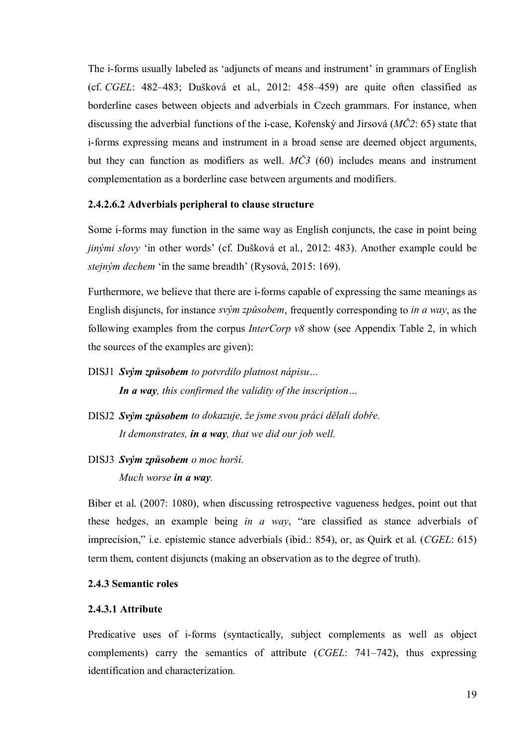The i-forms usually labeled as 'adjuncts of means and instrument' in grammars of English (cf. *CGEL*: 482–483; Dušková et al., 2012: 458–459) are quite often classified as borderline cases between objects and adverbials in Czech grammars. For instance, when discussing the adverbial functions of the i-case, Kořenský and Jirsová (*MČ2*: 65) state that i-forms expressing means and instrument in a broad sense are deemed object arguments, but they can function as modifiers as well. *MČ3* (60) includes means and instrument complementation as a borderline case between arguments and modifiers.

### **2.4.2.6.2 Adverbials peripheral to clause structure**

Some i-forms may function in the same way as English conjuncts, the case in point being *jinými slovy* 'in other words' (cf. Dušková et al., 2012: 483). Another example could be *stejným dechem* 'in the same breadth' (Rysová, 2015: 169).

Furthermore, we believe that there are i-forms capable of expressing the same meanings as English disjuncts, for instance *svým způsobem*, frequently corresponding to *in a way*, as the following examples from the corpus *InterCorp v8* show (see Appendix Table 2, in which the sources of the examples are given):

- DISJ1 *Svým způsobem to potvrdilo platnost nápisu… In a way, this confirmed the validity of the inscription…*
- DISJ2 *Svým způsobem to dokazuje, že jsme svou práci dělali dobře. It demonstrates, in a way, that we did our job well.*
- DISJ3 *Svým způsobem o moc horší.*

*Much worse in a way.*

Biber et al. (2007: 1080), when discussing retrospective vagueness hedges, point out that these hedges, an example being *in a way*, "are classified as stance adverbials of imprecision," i.e. epistemic stance adverbials (ibid.: 854), or, as Quirk et al. (*CGEL*: 615) term them, content disjuncts (making an observation as to the degree of truth).

### <span id="page-18-1"></span><span id="page-18-0"></span>**2.4.3 Semantic roles**

#### **2.4.3.1 Attribute**

Predicative uses of i-forms (syntactically, subject complements as well as object complements) carry the semantics of attribute (*CGEL*: 741–742), thus expressing identification and characterization.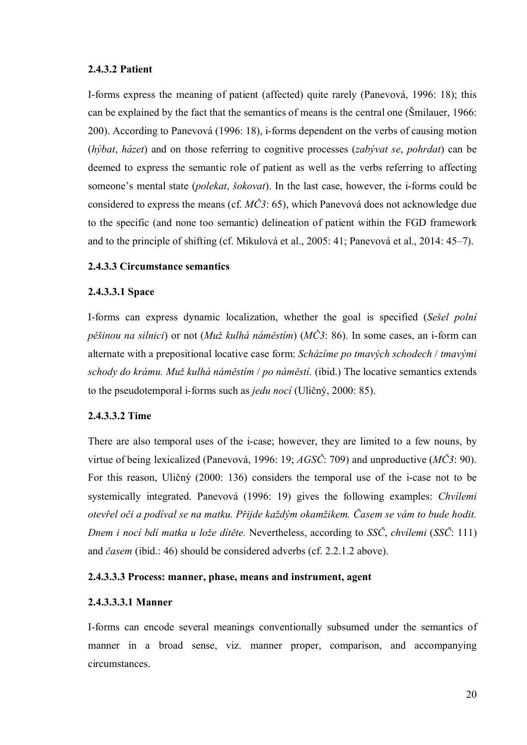# **2.4.3.2 Patient**

I-forms express the meaning of patient (affected) quite rarely (Panevová, 1996: 18); this can be explained by the fact that the semantics of means is the central one (Šmilauer, 1966: 200). According to Panevová (1996: 18), i-forms dependent on the verbs of causing motion (*hýbat*, *házet*) and on those referring to cognitive processes (*zabývat se*, *pohrdat*) can be deemed to express the semantic role of patient as well as the verbs referring to affecting someone's mental state (*polekat*, *šokovat*). In the last case, however, the i-forms could be considered to express the means (cf. *MČ3*: 65), which Panevová does not acknowledge due to the specific (and none too semantic) delineation of patient within the FGD framework and to the principle of shifting (cf. Mikulová et al., 2005: 41; Panevová et al., 2014: 45–7).

# **2.4.3.3 Circumstance semantics**

# **2.4.3.3.1 Space**

I-forms can express dynamic localization, whether the goal is specified (*Sešel polní pěšinou na silnici*) or not (*Muž kulhá náměstím*) (*MČ3*: 86). In some cases, an i-form can alternate with a prepositional locative case form: *Scházíme po tmavých schodech* / *tmavými schody do krámu. Muž kulhá náměstím* / *po náměstí.* (ibid.) The locative semantics extends to the pseudotemporal i-forms such as *jedu nocí* (Uličný, 2000: 85).

### **2.4.3.3.2 Time**

There are also temporal uses of the i-case; however, they are limited to a few nouns, by virtue of being lexicalized (Panevová, 1996: 19; *AGSČ*: 709) and unproductive (*MČ3*: 90). For this reason, Uličný (2000: 136) considers the temporal use of the i-case not to be systemically integrated. Panevová (1996: 19) gives the following examples: *Chvílemi otevřel oči a podíval se na matku. Přijde každým okamžikem. Časem se vám to bude hodit. Dnem i nocí bdí matka u lože dítěte.* Nevertheless, according to *SSČ*, *chvílemi* (*SSČ*: 111) and *časem* (ibid.: 46) should be considered adverbs (cf. 2.2.1.2 above).

### **2.4.3.3.3 Process: manner, phase, means and instrument, agent**

### <span id="page-19-0"></span>**2.4.3.3.3.1 Manner**

<span id="page-19-1"></span>I-forms can encode several meanings conventionally subsumed under the semantics of manner in a broad sense, viz. manner proper, comparison, and accompanying circumstances.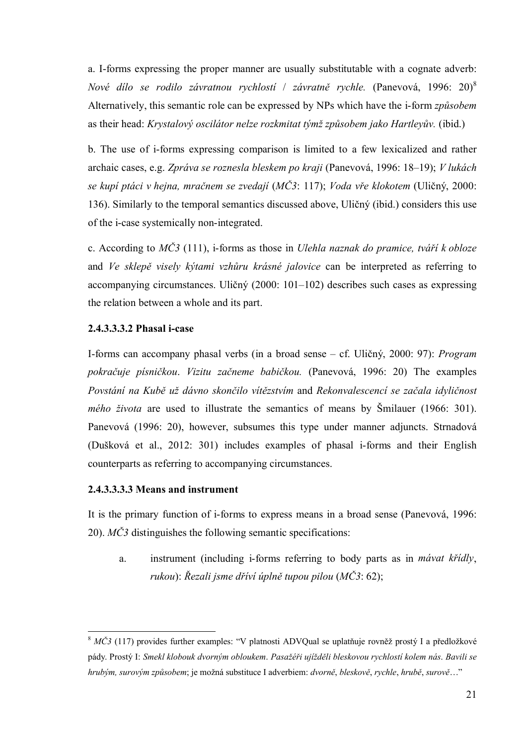a. I-forms expressing the proper manner are usually substitutable with a cognate adverb: *Nové dílo se rodilo závratnou rychlostí* / *závratně rychle.* (Panevová, 1996: 20)<sup>8</sup> Alternatively, this semantic role can be expressed by NPs which have the i-form *způsobem* as their head: *Krystalový oscilátor nelze rozkmitat týmž způsobem jako Hartleyův.* (ibid.)

b. The use of i-forms expressing comparison is limited to a few lexicalized and rather archaic cases, e.g. *Zpráva se roznesla bleskem po kraji* (Panevová, 1996: 18–19); *V lukách se kupí ptáci v hejna, mračnem se zvedají* (*MČ3*: 117); *Voda vře klokotem* (Uličný, 2000: 136). Similarly to the temporal semantics discussed above, Uličný (ibid.) considers this use of the i-case systemically non-integrated.

c. According to *MČ3* (111), i-forms as those in *Ulehla naznak do pramice, tváří k obloze* and *Ve sklepě visely kýtami vzhůru krásné jalovice* can be interpreted as referring to accompanying circumstances. Uličný (2000: 101–102) describes such cases as expressing the relation between a whole and its part.

# **2.4.3.3.3.2 Phasal i-case**

I-forms can accompany phasal verbs (in a broad sense – cf. Uličný, 2000: 97): *Program pokračuje písničkou*. *Vizitu začneme babičkou.* (Panevová, 1996: 20) The examples *Povstání na Kubě už dávno skončilo vítězstvím* and *Rekonvalescencí se začala idyličnost mého života* are used to illustrate the semantics of means by Šmilauer (1966: 301). Panevová (1996: 20), however, subsumes this type under manner adjuncts. Strnadová (Dušková et al., 2012: 301) includes examples of phasal i-forms and their English counterparts as referring to accompanying circumstances.

# **2.4.3.3.3.3 Means and instrument**

<u>.</u>

It is the primary function of i-forms to express means in a broad sense (Panevová, 1996: 20). *MČ3* distinguishes the following semantic specifications:

a. instrument (including i-forms referring to body parts as in *mávat křídly*, *rukou*): *Řezali jsme dříví úplně tupou pilou* (*MČ3*: 62);

<sup>&</sup>lt;sup>8</sup> MČ3 (117) provides further examples: "V platnosti ADVQual se uplatňuje rovněž prostý I a předložkové pády. Prostý I: *Smekl klobouk dvorným obloukem*. *Pasažéři ujížděli bleskovou rychlostí kolem nás*. *Bavili se hrubým, surovým způsobem*; je možná substituce I adverbiem: *dvorně*, *bleskově*, *rychle*, *hrubě*, *surově*…"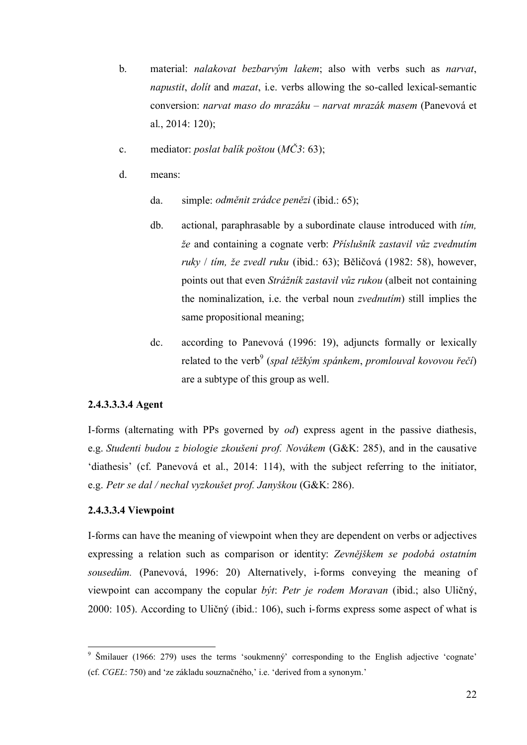- b. material: *nalakovat bezbarvým lakem*; also with verbs such as *narvat*, *napustit*, *dolít* and *mazat*, i.e. verbs allowing the so-called lexical-semantic conversion: *narvat maso do mrazáku* – *narvat mrazák masem* (Panevová et al., 2014: 120);
- c. mediator: *poslat balík poštou* (*MČ3*: 63);
- d. means:
	- da. simple: *odměnit zrádce penězi* (ibid.: 65);
	- db. actional, paraphrasable by a subordinate clause introduced with *tím, že* and containing a cognate verb: *Příslušník zastavil vůz zvednutím ruky* / *tím, že zvedl ruku* (ibid.: 63); Běličová (1982: 58), however, points out that even *Strážník zastavil vůz rukou* (albeit not containing the nominalization, i.e. the verbal noun *zvednutím*) still implies the same propositional meaning;
	- dc. according to Panevová (1996: 19), adjuncts formally or lexically related to the verb<sup>9</sup> (*spal těžkým spánkem, promlouval kovovou řečí*) are a subtype of this group as well.

#### **2.4.3.3.3.4 Agent**

I-forms (alternating with PPs governed by *od*) express agent in the passive diathesis, e.g. *Studenti budou z biologie zkoušeni prof. Novákem* (G&K: 285), and in the causative 'diathesis' (cf. Panevová et al., 2014: 114), with the subject referring to the initiator, e.g. *Petr se dal / nechal vyzkoušet prof. Janyškou* (G&K: 286).

### **2.4.3.3.4 Viewpoint**

1

I-forms can have the meaning of viewpoint when they are dependent on verbs or adjectives expressing a relation such as comparison or identity: *Zevnějškem se podobá ostatním sousedům.* (Panevová, 1996: 20) Alternatively, i-forms conveying the meaning of viewpoint can accompany the copular *být*: *Petr je rodem Moravan* (ibid.; also Uličný, 2000: 105). According to Uličný (ibid.: 106), such i-forms express some aspect of what is

<sup>9</sup> Šmilauer (1966: 279) uses the terms 'soukmenný' corresponding to the English adjective 'cognate' (cf. *CGEL*: 750) and 'ze základu souznačného,' i.e. 'derived from a synonym.'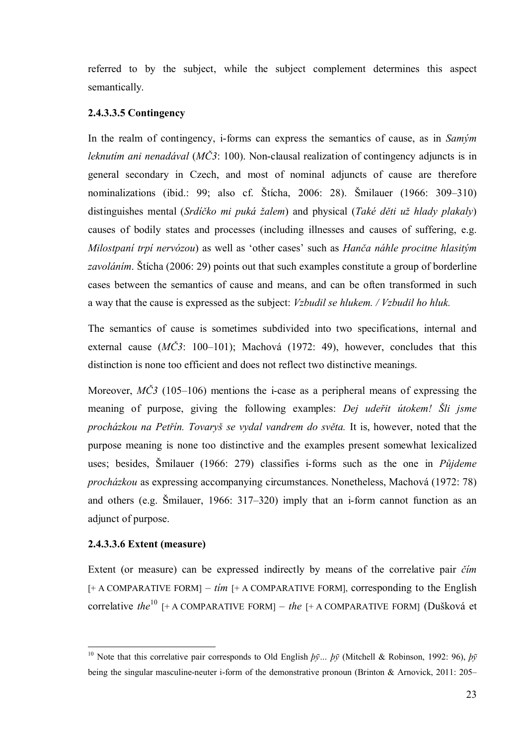referred to by the subject, while the subject complement determines this aspect semantically.

# **2.4.3.3.5 Contingency**

In the realm of contingency, i-forms can express the semantics of cause, as in *Samým leknutím ani nenadával* (*MČ3*: 100). Non-clausal realization of contingency adjuncts is in general secondary in Czech, and most of nominal adjuncts of cause are therefore nominalizations (ibid.: 99; also cf. Štícha, 2006: 28). Šmilauer (1966: 309–310) distinguishes mental (*Srdíčko mi puká žalem*) and physical (*Také děti už hlady plakaly*) causes of bodily states and processes (including illnesses and causes of suffering, e.g. *Milostpaní trpí nervózou*) as well as 'other cases' such as *Hanča náhle procitne hlasitým zavoláním*. Štícha (2006: 29) points out that such examples constitute a group of borderline cases between the semantics of cause and means, and can be often transformed in such a way that the cause is expressed as the subject: *Vzbudil se hlukem. / Vzbudil ho hluk.*

The semantics of cause is sometimes subdivided into two specifications, internal and external cause (*MČ3*: 100–101); Machová (1972: 49), however, concludes that this distinction is none too efficient and does not reflect two distinctive meanings.

Moreover,  $M\dot{C}3$  (105–106) mentions the i-case as a peripheral means of expressing the meaning of purpose, giving the following examples: *Dej udeřit útokem! Šli jsme procházkou na Petřín. Tovaryš se vydal vandrem do světa.* It is, however, noted that the purpose meaning is none too distinctive and the examples present somewhat lexicalized uses; besides, Šmilauer (1966: 279) classifies i-forms such as the one in *Půjdeme procházkou* as expressing accompanying circumstances. Nonetheless, Machová (1972: 78) and others (e.g. Šmilauer, 1966: 317–320) imply that an i-form cannot function as an adjunct of purpose.

# **2.4.3.3.6 Extent (measure)**

1

Extent (or measure) can be expressed indirectly by means of the correlative pair *čím* [+ A COMPARATIVE FORM] – *tím* [+ A COMPARATIVE FORM], corresponding to the English correlative *the*<sup>10</sup> [+ A COMPARATIVE FORM] – *the* [+ A COMPARATIVE FORM] (Dušková et

<sup>10</sup> Note that this correlative pair corresponds to Old English *þӯ… þӯ* (Mitchell & Robinson, 1992: 96), *þӯ* being the singular masculine-neuter i-form of the demonstrative pronoun (Brinton & Arnovick, 2011: 205–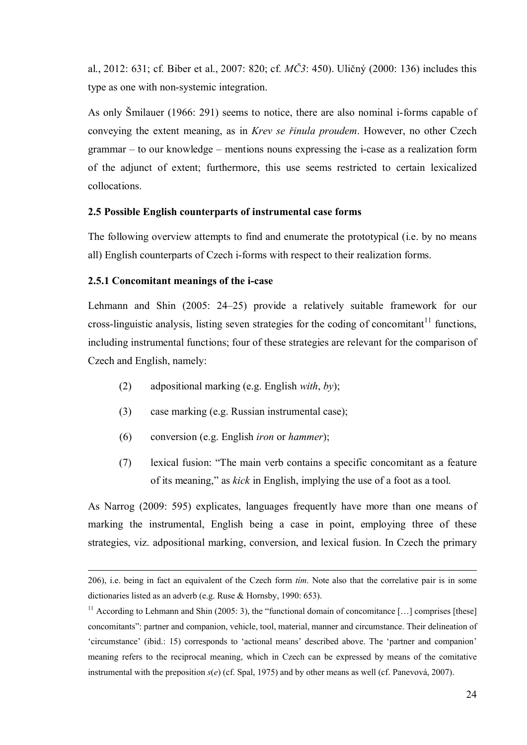<span id="page-23-2"></span>al., 2012: 631; cf. Biber et al., 2007: 820; cf. *MČ3*: 450). Uličný (2000: 136) includes this type as one with non-systemic integration.

As only Šmilauer (1966: 291) seems to notice, there are also nominal i-forms capable of conveying the extent meaning, as in *Krev se řinula proudem*. However, no other Czech grammar – to our knowledge – mentions nouns expressing the i-case as a realization form of the adjunct of extent; furthermore, this use seems restricted to certain lexicalized collocations.

# **2.5 Possible English counterparts of instrumental case forms**

The following overview attempts to find and enumerate the prototypical (i.e. by no means all) English counterparts of Czech i-forms with respect to their realization forms.

# **2.5.1 Concomitant meanings of the i-case**

1

Lehmann and Shin (2005: 24–25) provide a relatively suitable framework for our cross-linguistic analysis, listing seven strategies for the coding of concomitant<sup>11</sup> functions, including instrumental functions; four of these strategies are relevant for the comparison of Czech and English, namely:

- (2) adpositional marking (e.g. English *with*, *by*);
- (3) case marking (e.g. Russian instrumental case);
- (6) conversion (e.g. English *iron* or *hammer*);
- (7) lexical fusion: "The main verb contains a specific concomitant as a feature of its meaning," as *kick* in English, implying the use of a foot as a tool.

As Narrog (2009: 595) explicates, languages frequently have more than one means of marking the instrumental, English being a case in point, employing three of these strategies, viz. adpositional marking, conversion, and lexical fusion. In Czech the primary

<sup>206),</sup> i.e. being in fact an equivalent of the Czech form *tím*. Note also that the correlative pair is in some dictionaries listed as an adverb (e.g. Ruse & Hornsby, 1990: 653).

<span id="page-23-1"></span><span id="page-23-0"></span> $11$  According to Lehmann and Shin (2005: 3), the "functional domain of concomitance [...] comprises [these] concomitants": partner and companion, vehicle, tool, material, manner and circumstance. Their delineation of 'circumstance' (ibid.: 15) corresponds to 'actional means' described above. The 'partner and companion' meaning refers to the reciprocal meaning, which in Czech can be expressed by means of the comitative instrumental with the preposition  $s(e)$  (cf. Spal, 1975) and by other means as well (cf. Panevová, 2007).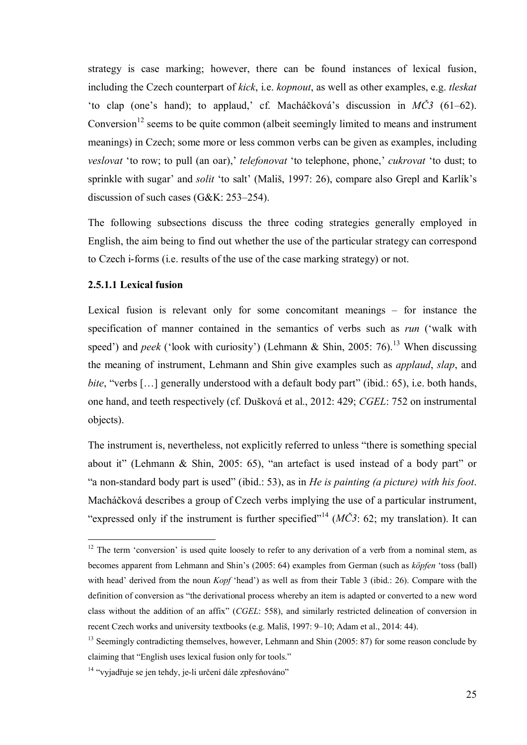strategy is case marking; however, there can be found instances of lexical fusion, including the Czech counterpart of *kick*, i.e. *kopnout*, as well as other examples, e.g. *tleskat* 'to clap (one's hand); to applaud,' cf. Macháčková's discussion in *MČ3* (61–62). Conversion<sup>12</sup> seems to be quite common (albeit seemingly limited to means and instrument meanings) in Czech; some more or less common verbs can be given as examples, including *veslovat* 'to row; to pull (an oar),' *telefonovat* 'to telephone, phone,' *cukrovat* 'to dust; to sprinkle with sugar' and *solit* 'to salt' (Mališ, 1997: 26), compare also Grepl and Karlík's discussion of such cases (G&K: 253–254).

The following subsections discuss the three coding strategies generally employed in English, the aim being to find out whether the use of the particular strategy can correspond to Czech i-forms (i.e. results of the use of the case marking strategy) or not.

# **2.5.1.1 Lexical fusion**

<u>.</u>

Lexical fusion is relevant only for some concomitant meanings – for instance the specification of manner contained in the semantics of verbs such as *run* ('walk with speed') and *peek* ('look with curiosity') (Lehmann & Shin, 2005: 76).<sup>13</sup> When discussing the meaning of instrument, Lehmann and Shin give examples such as *applaud*, *slap*, and *bite*, "verbs [...] generally understood with a default body part" (ibid.: 65), i.e. both hands, one hand, and teeth respectively (cf. Dušková et al., 2012: 429; *CGEL*: 752 on instrumental objects).

The instrument is, nevertheless, not explicitly referred to unless "there is something special about it" (Lehmann & Shin, 2005: 65), "an artefact is used instead of a body part" or "a non-standard body part is used" (ibid.: 53), as in *He is painting (a picture) with his foot*. Macháčková describes a group of Czech verbs implying the use of a particular instrument, "expressed only if the instrument is further specified"<sup>14</sup>  $(M\check{C}3: 62;$  my translation). It can

 $12$  The term 'conversion' is used quite loosely to refer to any derivation of a verb from a nominal stem, as becomes apparent from Lehmann and Shin's (2005: 64) examples from German (such as *köpfen* 'toss (ball) with head' derived from the noun *Kopf* 'head') as well as from their Table 3 (ibid.: 26). Compare with the definition of conversion as "the derivational process whereby an item is adapted or converted to a new word class without the addition of an affix" (*CGEL*: 558), and similarly restricted delineation of conversion in recent Czech works and university textbooks (e.g. Mališ, 1997: 9–10; Adam et al., 2014: 44).

<sup>&</sup>lt;sup>13</sup> Seemingly contradicting themselves, however, Lehmann and Shin (2005: 87) for some reason conclude by claiming that "English uses lexical fusion only for tools."

<sup>&</sup>lt;sup>14</sup> "vyjadřuje se jen tehdy, je-li určení dále zpřesňováno"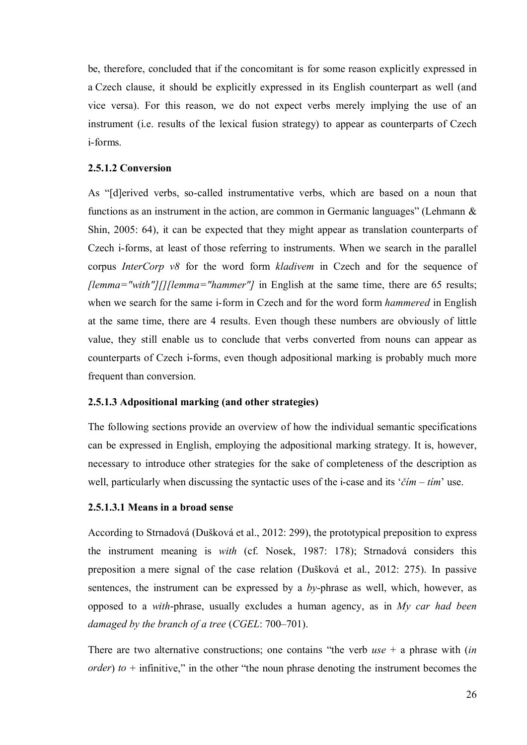be, therefore, concluded that if the concomitant is for some reason explicitly expressed in a Czech clause, it should be explicitly expressed in its English counterpart as well (and vice versa). For this reason, we do not expect verbs merely implying the use of an instrument (i.e. results of the lexical fusion strategy) to appear as counterparts of Czech i-forms.

# **2.5.1.2 Conversion**

As "[d]erived verbs, so-called instrumentative verbs, which are based on a noun that functions as an instrument in the action, are common in Germanic languages" (Lehmann & Shin, 2005: 64), it can be expected that they might appear as translation counterparts of Czech i-forms, at least of those referring to instruments. When we search in the parallel corpus *InterCorp v8* for the word form *kladivem* in Czech and for the sequence of *[lemma="with"][][lemma="hammer"]* in English at the same time, there are 65 results; when we search for the same i-form in Czech and for the word form *hammered* in English at the same time, there are 4 results. Even though these numbers are obviously of little value, they still enable us to conclude that verbs converted from nouns can appear as counterparts of Czech i-forms, even though adpositional marking is probably much more frequent than conversion.

### **2.5.1.3 Adpositional marking (and other strategies)**

The following sections provide an overview of how the individual semantic specifications can be expressed in English, employing the adpositional marking strategy. It is, however, necessary to introduce other strategies for the sake of completeness of the description as well, particularly when discussing the syntactic uses of the i-case and its '*čím* – *tím*' use.

#### **2.5.1.3.1 Means in a broad sense**

According to Strnadová (Dušková et al., 2012: 299), the prototypical preposition to express the instrument meaning is *with* (cf. Nosek, 1987: 178); Strnadová considers this preposition a mere signal of the case relation (Dušková et al., 2012: 275). In passive sentences, the instrument can be expressed by a *by*-phrase as well, which, however, as opposed to a *with*-phrase, usually excludes a human agency, as in *My car had been damaged by the branch of a tree* (*CGEL*: 700–701).

There are two alternative constructions; one contains "the verb *use* + a phrase with (*in order*)  $to +$  infinitive," in the other "the noun phrase denoting the instrument becomes the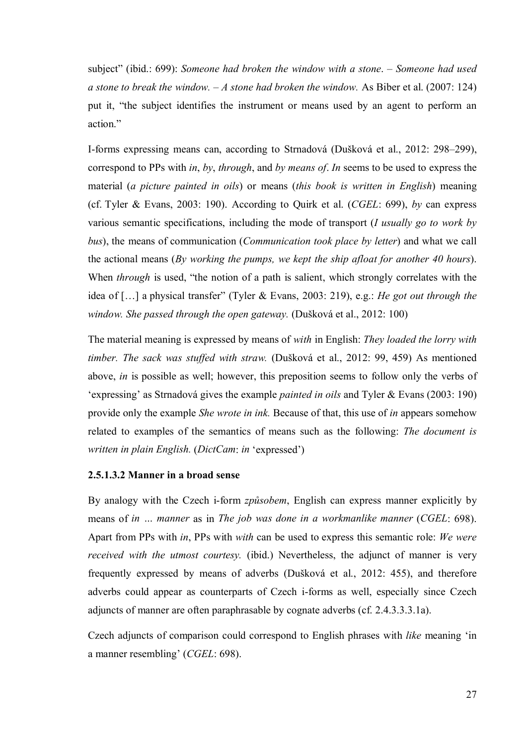subject" (ibid.: 699): *Someone had broken the window with a stone*. – *Someone had used a stone to break the window.* – *A stone had broken the window.* As Biber et al. (2007: 124) put it, "the subject identifies the instrument or means used by an agent to perform an action."

I-forms expressing means can, according to Strnadová (Dušková et al., 2012: 298–299), correspond to PPs with *in*, *by*, *through*, and *by means of*. *In* seems to be used to express the material (*a picture painted in oils*) or means (*this book is written in English*) meaning (cf. Tyler & Evans, 2003: 190). According to Quirk et al. (*CGEL*: 699), *by* can express various semantic specifications, including the mode of transport (*I usually go to work by bus*), the means of communication (*Communication took place by letter*) and what we call the actional means (*By working the pumps, we kept the ship afloat for another 40 hours*). When *through* is used, "the notion of a path is salient, which strongly correlates with the idea of […] a physical transfer" (Tyler & Evans, 2003: 219), e.g.: *He got out through the window. She passed through the open gateway.* (Dušková et al., 2012: 100)

The material meaning is expressed by means of *with* in English: *They loaded the lorry with timber. The sack was stuffed with straw.* (Dušková et al., 2012: 99, 459) As mentioned above, *in* is possible as well; however, this preposition seems to follow only the verbs of 'expressing' as Strnadová gives the example *painted in oils* and Tyler & Evans (2003: 190) provide only the example *She wrote in ink.* Because of that, this use of *in* appears somehow related to examples of the semantics of means such as the following: *The document is written in plain English.* (*DictCam*: *in* 'expressed')

### **2.5.1.3.2 Manner in a broad sense**

By analogy with the Czech i-form *způsobem*, English can express manner explicitly by means of *in … manner* as in *The job was done in a workmanlike manner* (*CGEL*: 698). Apart from PPs with *in*, PPs with *with* can be used to express this semantic role: *We were received with the utmost courtesy.* (ibid.) Nevertheless, the adjunct of manner is very frequently expressed by means of adverbs (Dušková et al., 2012: 455), and therefore adverbs could appear as counterparts of Czech i-forms as well, especially since Czech adjuncts of manner are often paraphrasable by cognate adverbs (cf. 2.4.3.3.3.1a).

Czech adjuncts of comparison could correspond to English phrases with *like* meaning 'in a manner resembling' (*CGEL*: 698).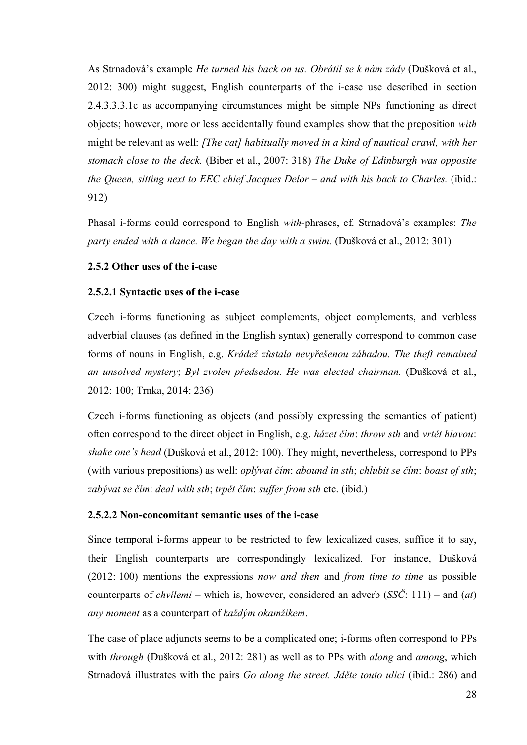<span id="page-27-0"></span>As Strnadová's example *He turned his back on us. Obrátil se k nám zády* (Dušková et al., 2012: 300) might suggest, English counterparts of the i-case use described in section 2.4.3.3.3.1c as accompanying circumstances might be simple NPs functioning as direct objects; however, more or less accidentally found examples show that the preposition *with*  might be relevant as well: *[The cat] habitually moved in a kind of nautical crawl, with her stomach close to the deck.* (Biber et al., 2007: 318) *The Duke of Edinburgh was opposite the Queen, sitting next to EEC chief Jacques Delor – and with his back to Charles.* (ibid.: 912)

Phasal i-forms could correspond to English *with*-phrases, cf. Strnadová's examples: *The party ended with a dance. We began the day with a swim.* (Dušková et al., 2012: 301)

# **2.5.2 Other uses of the i-case**

### **2.5.2.1 Syntactic uses of the i-case**

Czech i-forms functioning as subject complements, object complements, and verbless adverbial clauses (as defined in the English syntax) generally correspond to common case forms of nouns in English, e.g. *Krádež zůstala nevyřešenou záhadou. The theft remained an unsolved mystery*; *Byl zvolen předsedou. He was elected chairman.* (Dušková et al., 2012: 100; Trnka, 2014: 236)

Czech i-forms functioning as objects (and possibly expressing the semantics of patient) often correspond to the direct object in English, e.g. *házet čím*: *throw sth* and *vrtět hlavou*: *shake one's head* (Dušková et al., 2012: 100). They might, nevertheless, correspond to PPs (with various prepositions) as well: *oplývat čím*: *abound in sth*; *chlubit se čím*: *boast of sth*; *zabývat se čím*: *deal with sth*; *trpět čím*: *suffer from sth* etc. (ibid.)

### **2.5.2.2 Non-concomitant semantic uses of the i-case**

Since temporal i-forms appear to be restricted to few lexicalized cases, suffice it to say, their English counterparts are correspondingly lexicalized. For instance, Dušková (2012: 100) mentions the expressions *now and then* and *from time to time* as possible counterparts of *chvílemi* – which is, however, considered an adverb (*SSČ*: 111) – and (*at*) *any moment* as a counterpart of *každým okamžikem*.

The case of place adjuncts seems to be a complicated one; i-forms often correspond to PPs with *through* (Dušková et al., 2012: 281) as well as to PPs with *along* and *among*, which Strnadová illustrates with the pairs *Go along the street. Jděte touto ulicí* (ibid.: 286) and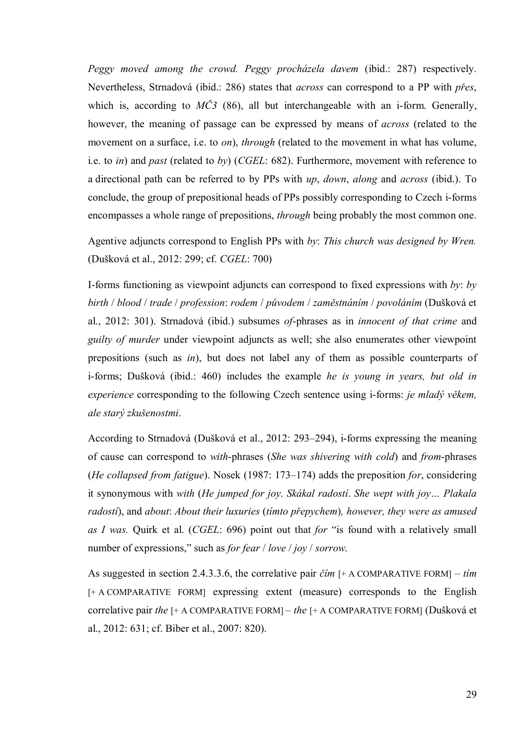*Peggy moved among the crowd. Peggy procházela davem* (ibid.: 287) respectively. Nevertheless, Strnadová (ibid.: 286) states that *across* can correspond to a PP with *přes*, which is, according to  $M\check{C}3$  (86), all but interchangeable with an i-form. Generally, however, the meaning of passage can be expressed by means of *across* (related to the movement on a surface, i.e. to *on*), *through* (related to the movement in what has volume, i.e. to *in*) and *past* (related to *by*) (*CGEL*: 682). Furthermore, movement with reference to a directional path can be referred to by PPs with *up*, *down*, *along* and *across* (ibid.). To conclude, the group of prepositional heads of PPs possibly corresponding to Czech i-forms encompasses a whole range of prepositions, *through* being probably the most common one.

Agentive adjuncts correspond to English PPs with *by*: *This church was designed by Wren.* (Dušková et al., 2012: 299; cf. *CGEL*: 700)

I-forms functioning as viewpoint adjuncts can correspond to fixed expressions with *by*: *by birth* / *blood* / *trade* / *profession*: *rodem* / *původem* / *zaměstnáním* / *povoláním* (Dušková et al., 2012: 301). Strnadová (ibid.) subsumes *of*-phrases as in *innocent of that crime* and *guilty of murder* under viewpoint adjuncts as well; she also enumerates other viewpoint prepositions (such as *in*), but does not label any of them as possible counterparts of i-forms; Dušková (ibid.: 460) includes the example *he is young in years, but old in experience* corresponding to the following Czech sentence using i-forms: *je mladý věkem, ale starý zkušenostmi*.

According to Strnadová (Dušková et al., 2012: 293–294), i-forms expressing the meaning of cause can correspond to *with*-phrases (*She was shivering with cold*) and *from*-phrases (*He collapsed from fatigue*). Nosek (1987: 173–174) adds the preposition *for*, considering it synonymous with *with* (*He jumped for joy*. *Skákal radostí*. *She wept with joy… Plakala radostí*), and *about*: *About their luxuries* (*tímto přepychem*)*, however, they were as amused as I was.* Quirk et al. (*CGEL*: 696) point out that *for* "is found with a relatively small number of expressions," such as *for fear* / *love* / *joy* / *sorrow*.

As suggested in section 2.4.3.3.6, the correlative pair *čím* [+ A COMPARATIVE FORM] – *tím* [+ A COMPARATIVE FORM] expressing extent (measure) corresponds to the English correlative pair *the* [+ A COMPARATIVE FORM] – *the* [+ A COMPARATIVE FORM] (Dušková et al., 2012: 631; cf. Biber et al., 2007: 820).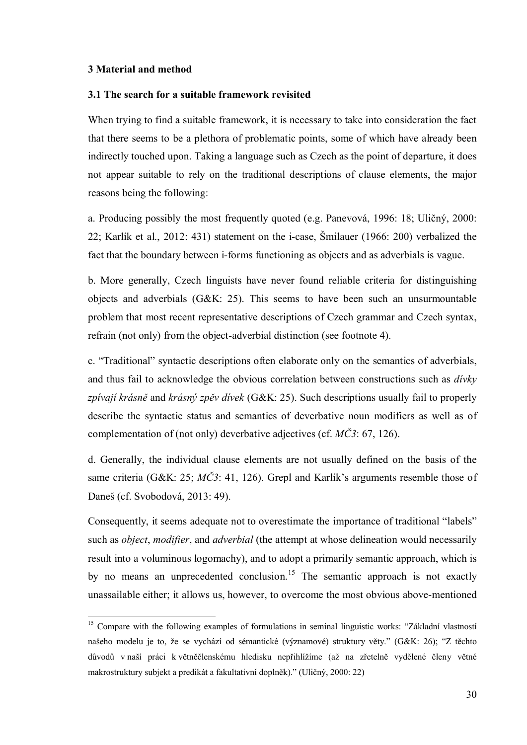#### **3 Material and method**

1

# **3.1 The search for a suitable framework revisited**

<span id="page-29-1"></span><span id="page-29-0"></span>When trying to find a suitable framework, it is necessary to take into consideration the fact that there seems to be a plethora of problematic points, some of which have already been indirectly touched upon. Taking a language such as Czech as the point of departure, it does not appear suitable to rely on the traditional descriptions of clause elements, the major reasons being the following:

a. Producing possibly the most frequently quoted (e.g. Panevová, 1996: 18; Uličný, 2000: 22; Karlík et al., 2012: 431) statement on the i-case, Šmilauer (1966: 200) verbalized the fact that the boundary between i-forms functioning as objects and as adverbials is vague.

b. More generally, Czech linguists have never found reliable criteria for distinguishing objects and adverbials (G&K: 25). This seems to have been such an unsurmountable problem that most recent representative descriptions of Czech grammar and Czech syntax, refrain (not only) from the object-adverbial distinction (see footnote 4).

c. "Traditional" syntactic descriptions often elaborate only on the semantics of adverbials, and thus fail to acknowledge the obvious correlation between constructions such as *dívky zpívají krásně* and *krásný zpěv dívek* (G&K: 25). Such descriptions usually fail to properly describe the syntactic status and semantics of deverbative noun modifiers as well as of complementation of (not only) deverbative adjectives (cf. *MČ3*: 67, 126).

d. Generally, the individual clause elements are not usually defined on the basis of the same criteria (G&K: 25; *MČ3*: 41, 126). Grepl and Karlík's arguments resemble those of Daneš (cf. Svobodová, 2013: 49).

Consequently, it seems adequate not to overestimate the importance of traditional "labels" such as *object*, *modifier*, and *adverbial* (the attempt at whose delineation would necessarily result into a voluminous logomachy), and to adopt a primarily semantic approach, which is by no means an unprecedented conclusion.<sup>15</sup> The semantic approach is not exactly unassailable either; it allows us, however, to overcome the most obvious above-mentioned

<sup>&</sup>lt;sup>15</sup> Compare with the following examples of formulations in seminal linguistic works: "Základní vlastností našeho modelu je to, že se vychází od sémantické (významové) struktury věty." (G&K: 26); "Z těchto důvodů v naší práci k větněčlenskému hledisku nepřihlížíme (až na zřetelně vydělené členy větné makrostruktury subjekt a predikát a fakultativní doplněk)." (Uličný, 2000: 22)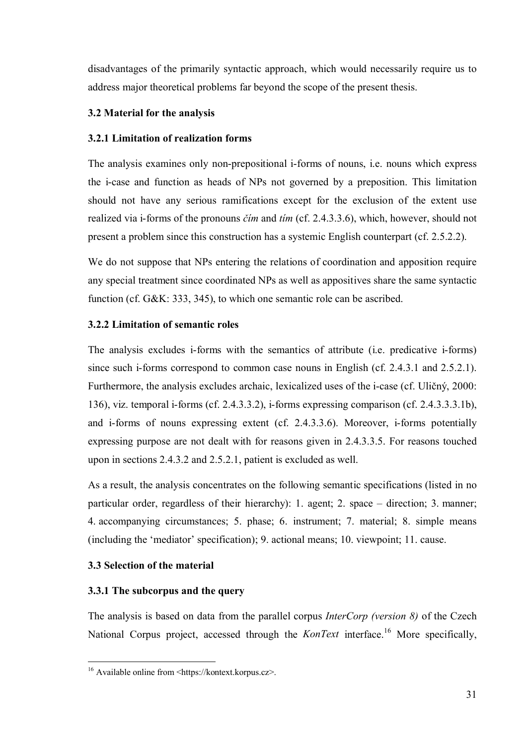disadvantages of the primarily syntactic approach, which would necessarily require us to address major theoretical problems far beyond the scope of the present thesis.

# **3.2 Material for the analysis**

# **3.2.1 Limitation of realization forms**

<span id="page-30-1"></span><span id="page-30-0"></span>The analysis examines only non-prepositional i-forms of nouns, i.e. nouns which express the i-case and function as heads of NPs not governed by a preposition. This limitation should not have any serious ramifications except for the exclusion of the extent use realized via i-forms of the pronouns *čím* and *tím* (cf. 2.4.3.3.6), which, however, should not present a problem since this construction has a systemic English counterpart (cf. 2.5.2.2).

<span id="page-30-4"></span><span id="page-30-3"></span><span id="page-30-2"></span>We do not suppose that NPs entering the relations of coordination and apposition require any special treatment since coordinated NPs as well as appositives share the same syntactic function (cf. G&K: 333, 345), to which one semantic role can be ascribed.

# **3.2.2 Limitation of semantic roles**

The analysis excludes i-forms with the semantics of attribute (i.e. predicative i-forms) since such i-forms correspond to common case nouns in English (cf. 2.4.3.1 and 2.5.2.1). Furthermore, the analysis excludes archaic, lexicalized uses of the i-case (cf. Uličný, 2000: 136), viz. temporal i-forms (cf. 2.4.3.3.2), i-forms expressing comparison (cf. 2.4.3.3.3.1b), and i-forms of nouns expressing extent (cf. 2.4.3.3.6). Moreover, i-forms potentially expressing purpose are not dealt with for reasons given in 2.4.3.3.5. For reasons touched upon in sections 2.4.3.2 and 2.5.2.1, patient is excluded as well.

As a result, the analysis concentrates on the following semantic specifications (listed in no particular order, regardless of their hierarchy): 1. agent; 2. space – direction; 3. manner; 4. accompanying circumstances; 5. phase; 6. instrument; 7. material; 8. simple means (including the 'mediator' specification); 9. actional means; 10. viewpoint; 11. cause.

# **3.3 Selection of the material**

# **3.3.1 The subcorpus and the query**

The analysis is based on data from the parallel corpus *InterCorp (version 8)* of the Czech National Corpus project, accessed through the *KonText* interface. <sup>16</sup> More specifically,

<sup>1</sup> <sup>16</sup> Available online from <https://kontext.korpus.cz>.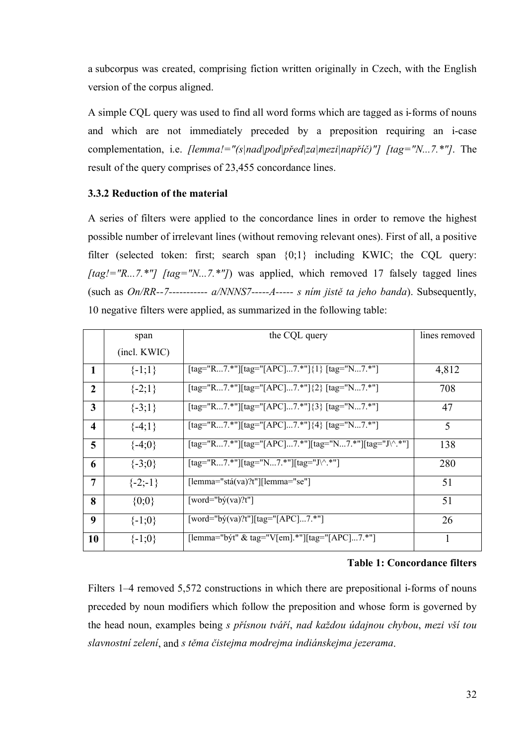a subcorpus was created, comprising fiction written originally in Czech, with the English version of the corpus aligned.

<span id="page-31-1"></span>A simple CQL query was used to find all word forms which are tagged as i-forms of nouns and which are not immediately preceded by a preposition requiring an i-case complementation, i.e. *[lemma!="(s|nad|pod|před|za|mezi|napříč)"] [tag="N...7.\*"]*. The result of the query comprises of 23,455 concordance lines.

# **3.3.2 Reduction of the material**

A series of filters were applied to the concordance lines in order to remove the highest possible number of irrelevant lines (without removing relevant ones). First of all, a positive filter (selected token: first; search span {0;1} including KWIC; the CQL query: *[tag!="R...7.\*"] [tag="N...7.\*"]*) was applied, which removed 17 falsely tagged lines (such as *On/RR--7----------- a/NNNS7-----A----- s ním jistě ta jeho banda*). Subsequently, 10 negative filters were applied, as summarized in the following table:

<span id="page-31-0"></span>

|                         | span         | the CQL query                                         | lines removed |
|-------------------------|--------------|-------------------------------------------------------|---------------|
|                         | (incl. KWIC) |                                                       |               |
| $\mathbf{1}$            | $\{-1;1\}$   | [tag="R7.*"][tag="[APC]7.*"]{1} [tag="N7.*"]          | 4,812         |
| $\overline{2}$          | $\{-2;1\}$   | [tag="R7.*"][tag="[APC]7.*"]{2} [tag="N7.*"]          | 708           |
| 3                       | $\{-3;1\}$   | [tag="R7.*"][tag="[APC]7.*"]{3} [tag="N7.*"]          | 47            |
| $\overline{\mathbf{4}}$ | $\{-4;1\}$   | [tag="R7.*"][tag="[APC]7.*"]{4} [tag="N7.*"]          | 5             |
| 5                       | $\{-4;0\}$   | [tag="R7.*"][tag="[APC]7.*"][tag="N7.*"][tag="J\^.*"] | 138           |
| 6                       | $\{-3;0\}$   | [tag="R7.*"][tag="N7.*"][tag="J\^.*"]                 | 280           |
| 7                       | $\{-2,-1\}$  | $[lemma="stabx@?t"] [lemma="se"]$                     | 51            |
| 8                       | $\{0;0\}$    | $[word="by(va)?t"]$                                   | 51            |
| 9                       | $\{-1;0\}$   | $[word="by(va)?t"][tag="[APC]7.*"]$                   | 26            |
| 10                      | $\{-1;0\}$   | [lemma="být" & tag="V[em].*"][tag="[APC]7.*"]         | 1             |

### **Table 1: Concordance filters**

Filters 1–4 removed 5,572 constructions in which there are prepositional i-forms of nouns preceded by noun modifiers which follow the preposition and whose form is governed by the head noun, examples being *s přísnou tváří*, *nad každou údajnou chybou*, *mezi vší tou slavnostní zelení*, and *s těma čistejma modrejma indiánskejma jezerama*.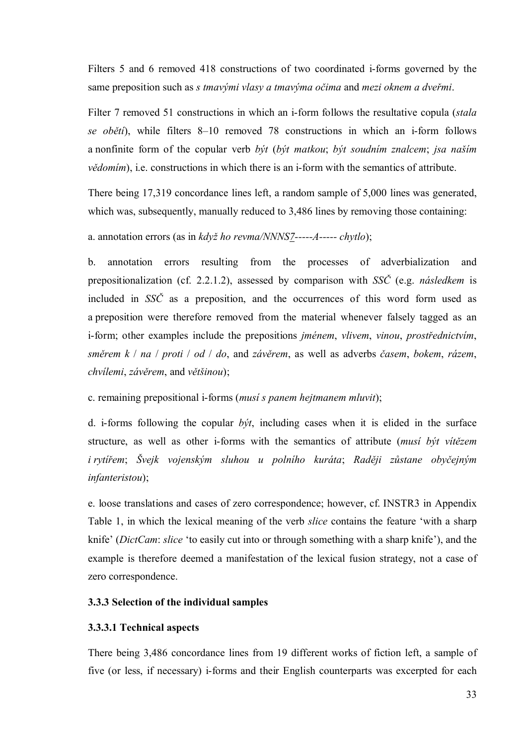Filters 5 and 6 removed 418 constructions of two coordinated i-forms governed by the same preposition such as *s tmavými vlasy a tmavýma očima* and *mezi oknem a dveřmi*.

Filter 7 removed 51 constructions in which an i-form follows the resultative copula (*stala se obětí*), while filters 8–10 removed 78 constructions in which an i-form follows a nonfinite form of the copular verb *být* (*být matkou*; *být soudním znalcem*; *jsa naším vědomím*), i.e. constructions in which there is an *i*-form with the semantics of attribute.

There being 17,319 concordance lines left, a random sample of 5,000 lines was generated, which was, subsequently, manually reduced to 3,486 lines by removing those containing:

a. annotation errors (as in *když ho revma/NNNS7-----A----- chytlo*);

<span id="page-32-0"></span>b. annotation errors resulting from the processes of adverbialization and prepositionalization (cf. 2.2.1.2), assessed by comparison with *SSČ* (e.g. *následkem* is included in *SSČ* as a preposition, and the occurrences of this word form used as a preposition were therefore removed from the material whenever falsely tagged as an i-form; other examples include the prepositions *jménem*, *vlivem*, *vinou*, *prostřednictvím*, *směrem k* / *na* / *proti* / *od* / *do*, and *závěrem*, as well as adverbs *časem*, *bokem*, *rázem*, *chvílemi*, *závěrem*, and *většinou*);

<span id="page-32-1"></span>c. remaining prepositional i-forms (*musí s panem hejtmanem mluvit*);

d. i-forms following the copular *být*, including cases when it is elided in the surface structure, as well as other i-forms with the semantics of attribute (*musí být vítězem i rytířem*; *Švejk vojenským sluhou u polního kuráta*; *Raději zůstane obyčejným infanteristou*);

e. loose translations and cases of zero correspondence; however, cf. INSTR3 in Appendix Table 1, in which the lexical meaning of the verb *slice* contains the feature 'with a sharp knife' (*DictCam*: *slice* 'to easily cut into or through something with a sharp knife'), and the example is therefore deemed a manifestation of the lexical fusion strategy, not a case of zero correspondence.

# **3.3.3 Selection of the individual samples**

### **3.3.3.1 Technical aspects**

There being 3,486 concordance lines from 19 different works of fiction left, a sample of five (or less, if necessary) i-forms and their English counterparts was excerpted for each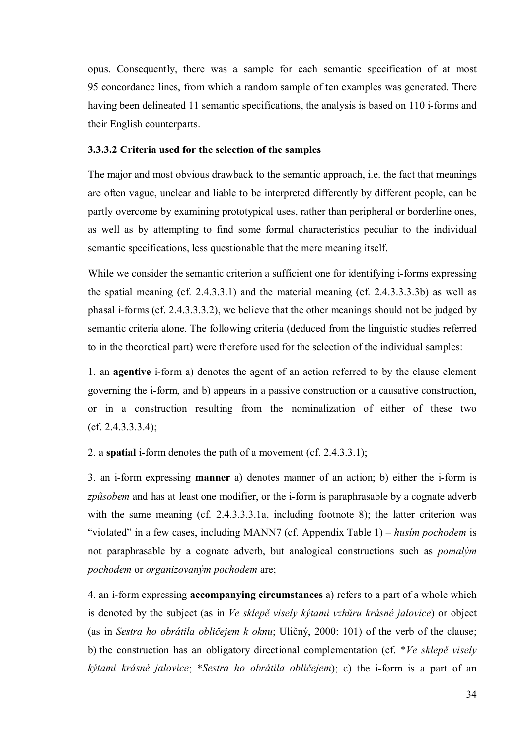opus. Consequently, there was a sample for each semantic specification of at most 95 concordance lines, from which a random sample of ten examples was generated. There having been delineated 11 semantic specifications, the analysis is based on 110 i-forms and their English counterparts.

# **3.3.3.2 Criteria used for the selection of the samples**

The major and most obvious drawback to the semantic approach, i.e. the fact that meanings are often vague, unclear and liable to be interpreted differently by different people, can be partly overcome by examining prototypical uses, rather than peripheral or borderline ones, as well as by attempting to find some formal characteristics peculiar to the individual semantic specifications, less questionable that the mere meaning itself.

While we consider the semantic criterion a sufficient one for identifying i-forms expressing the spatial meaning (cf. 2.4.3.3.1) and the material meaning (cf. 2.4.3.3.3.3b) as well as phasal i-forms (cf. 2.4.3.3.3.2), we believe that the other meanings should not be judged by semantic criteria alone. The following criteria (deduced from the linguistic studies referred to in the theoretical part) were therefore used for the selection of the individual samples:

<span id="page-33-0"></span>1. an **agentive** i-form a) denotes the agent of an action referred to by the clause element governing the i-form, and b) appears in a passive construction or a causative construction, or in a construction resulting from the nominalization of either of these two (cf. 2.4.3.3.3.4);

2. a **spatial** i-form denotes the path of a movement (cf. 2.4.3.3.1);

3. an i-form expressing **manner** a) denotes manner of an action; b) either the i-form is *způsobem* and has at least one modifier, or the i-form is paraphrasable by a cognate adverb with the same meaning (cf. 2.4.3.3.3.1a, including footnote 8); the latter criterion was "violated" in a few cases, including MANN7 (cf. Appendix Table 1) – *husím pochodem* is not paraphrasable by a cognate adverb, but analogical constructions such as *pomalým pochodem* or *organizovaným pochodem* are;

4. an i-form expressing **accompanying circumstances** a) refers to a part of a whole which is denoted by the subject (as in *Ve sklepě visely kýtami vzhůru krásné jalovice*) or object (as in *Sestra ho obrátila obličejem k oknu*; Uličný, 2000: 101) of the verb of the clause; b) the construction has an obligatory directional complementation (cf. \**Ve sklepě visely kýtami krásné jalovice*; \**Sestra ho obrátila obličejem*); c) the i-form is a part of an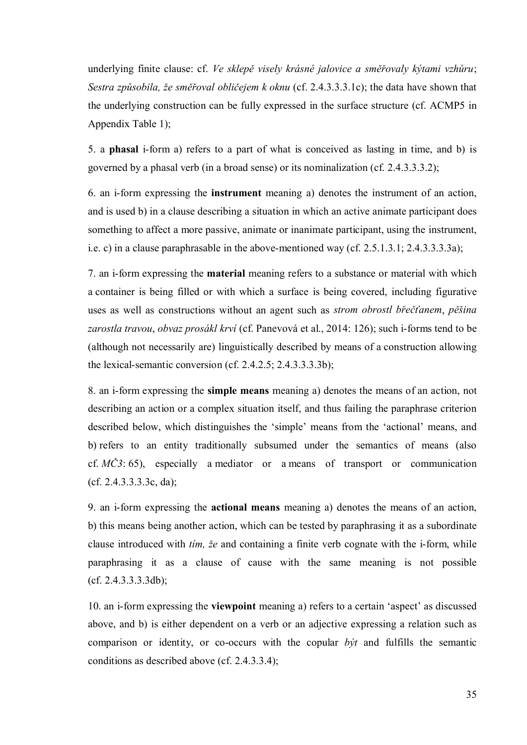underlying finite clause: cf. *Ve sklepě visely krásné jalovice a směřovaly kýtami vzhůru*; *Sestra způsobila, že směřoval obličejem k oknu* (cf. 2.4.3.3.3.1c); the data have shown that the underlying construction can be fully expressed in the surface structure (cf. ACMP5 in Appendix Table 1);

5. a **phasal** i-form a) refers to a part of what is conceived as lasting in time, and b) is governed by a phasal verb (in a broad sense) or its nominalization (cf. 2.4.3.3.3.2);

6. an i-form expressing the **instrument** meaning a) denotes the instrument of an action, and is used b) in a clause describing a situation in which an active animate participant does something to affect a more passive, animate or inanimate participant, using the instrument, i.e. c) in a clause paraphrasable in the above-mentioned way (cf. 2.5.1.3.1; 2.4.3.3.3.3a);

7. an i-form expressing the **material** meaning refers to a substance or material with which a container is being filled or with which a surface is being covered, including figurative uses as well as constructions without an agent such as *strom obrostl břečťanem*, *pěšina zarostla travou*, *obvaz prosákl krví* (cf. Panevová et al., 2014: 126); such i-forms tend to be (although not necessarily are) linguistically described by means of a construction allowing the lexical-semantic conversion (cf. 2.4.2.5; 2.4.3.3.3.3b);

8. an i-form expressing the **simple means** meaning a) denotes the means of an action, not describing an action or a complex situation itself, and thus failing the paraphrase criterion described below, which distinguishes the 'simple' means from the 'actional' means, and b) refers to an entity traditionally subsumed under the semantics of means (also cf. *MČ3*: 65), especially a mediator or a means of transport or communication (cf. 2.4.3.3.3.3c, da);

9. an i-form expressing the **actional means** meaning a) denotes the means of an action, b) this means being another action, which can be tested by paraphrasing it as a subordinate clause introduced with *tím, že* and containing a finite verb cognate with the i-form, while paraphrasing it as a clause of cause with the same meaning is not possible (cf. 2.4.3.3.3.3db);

10. an i-form expressing the **viewpoint** meaning a) refers to a certain 'aspect' as discussed above, and b) is either dependent on a verb or an adjective expressing a relation such as comparison or identity, or co-occurs with the copular *být* and fulfills the semantic conditions as described above (cf. 2.4.3.3.4);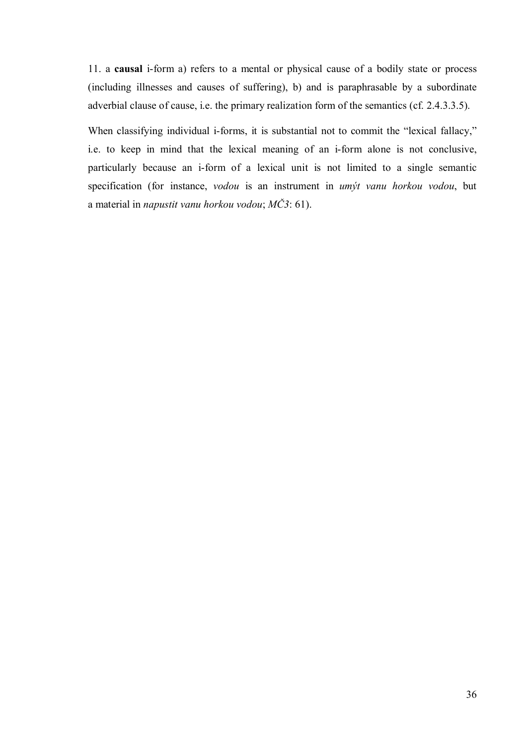11. a **causal** i-form a) refers to a mental or physical cause of a bodily state or process (including illnesses and causes of suffering), b) and is paraphrasable by a subordinate adverbial clause of cause, i.e. the primary realization form of the semantics (cf. 2.4.3.3.5).

When classifying individual i-forms, it is substantial not to commit the "lexical fallacy," i.e. to keep in mind that the lexical meaning of an i-form alone is not conclusive, particularly because an i-form of a lexical unit is not limited to a single semantic specification (for instance, *vodou* is an instrument in *umýt vanu horkou vodou*, but a material in *napustit vanu horkou vodou*; *MČ3*: 61).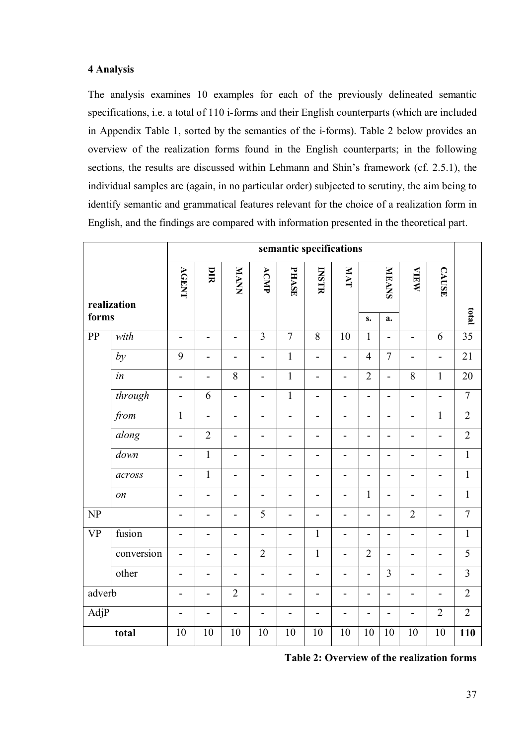#### **4 Analysis**

The analysis examines 10 examples for each of the previously delineated semantic specifications, i.e. a total of 110 i-forms and their English counterparts (which are included in Appendix Table 1, sorted by the semantics of the i-forms). Table 2 below provides an overview of the realization forms found in the English counterparts; in the following sections, the results are discussed within Lehmann and Shin's framework (cf. 2.5.1), the individual samples are (again, in no particular order) subjected to scrutiny, the aim being to identify semantic and grammatical features relevant for the choice of a realization form in English, and the findings are compared with information presented in the theoretical part.

|           |                 |                              | semantic specifications  |                          |                          |                          |                              |                          |                              |                          |                          |                          |                 |
|-----------|-----------------|------------------------------|--------------------------|--------------------------|--------------------------|--------------------------|------------------------------|--------------------------|------------------------------|--------------------------|--------------------------|--------------------------|-----------------|
|           | realization     | <b>AGENT</b>                 | DIR                      | <b>NNVM</b>              | ACMP                     | PHASE                    | <b>INSTR</b>                 | <b>IVM</b>               |                              | <b>MEANS</b>             | <b>VIEW</b>              | <b>CAUSE</b>             |                 |
| forms     |                 |                              |                          |                          |                          |                          |                              |                          | s.                           | a.                       |                          |                          | total           |
| PP        | with            | $\overline{\phantom{0}}$     | $\overline{a}$           | L,                       | $\overline{3}$           | $\overline{7}$           | $\overline{8}$               | 10                       | $\mathbf{1}$                 | $\overline{a}$           | $\overline{\phantom{0}}$ | 6                        | $\overline{35}$ |
|           | by              | 9                            | $\overline{a}$           | -                        | $\overline{a}$           | $\mathbf{1}$             | $\overline{a}$               | $\overline{a}$           | $\overline{4}$               | $\overline{7}$           | $\overline{\phantom{0}}$ | $\overline{\phantom{0}}$ | 21              |
|           | $\overline{in}$ | $\overline{a}$               | $\overline{a}$           | $\overline{8}$           | $\overline{a}$           | $\mathbf{1}$             | $\overline{a}$               | $\blacksquare$           | $\overline{2}$               | $\overline{a}$           | $\overline{8}$           | $\mathbf{1}$             | 20              |
|           | through         | $\overline{a}$               | 6                        | $\overline{a}$           | $\overline{\phantom{0}}$ | $\mathbf{1}$             | $\overline{\phantom{0}}$     | $\overline{a}$           | -                            | $\overline{a}$           | $\overline{a}$           | $\overline{\phantom{0}}$ | $\overline{7}$  |
|           | from            | $\mathbf{1}$                 | $\blacksquare$           | $\overline{\phantom{0}}$ | $\blacksquare$           | $\overline{\phantom{0}}$ | $\qquad \qquad \blacksquare$ | $\overline{\phantom{0}}$ | $\overline{\phantom{0}}$     | $\overline{\phantom{0}}$ | $\overline{\phantom{0}}$ | $\mathbf{1}$             | $\overline{2}$  |
|           | along           | $\overline{a}$               | $\overline{2}$           | $\overline{a}$           | $\overline{\phantom{a}}$ | -                        | -                            | $\overline{\phantom{a}}$ | -                            | $\overline{\phantom{a}}$ | $\overline{\phantom{a}}$ | $\overline{\phantom{0}}$ | $\overline{2}$  |
|           | down            | $\overline{a}$               | $\mathbf{1}$             | $\overline{\phantom{a}}$ | $\overline{a}$           | $\overline{\phantom{0}}$ | $\overline{a}$               | $\overline{a}$           | $\overline{a}$               | $\overline{a}$           | $\overline{\phantom{0}}$ | $\overline{a}$           | $\mathbf{1}$    |
|           | across          | $\qquad \qquad \blacksquare$ | $\mathbf{1}$             | -                        | $\overline{\phantom{0}}$ | -                        | -                            | $\overline{\phantom{a}}$ | -                            | $\overline{\phantom{a}}$ | $\overline{\phantom{a}}$ | $\overline{\phantom{0}}$ | $\mathbf{1}$    |
|           | on              | $\blacksquare$               | $\overline{a}$           | $\blacksquare$           | $\overline{a}$           | $\blacksquare$           | $\overline{a}$               | $\overline{a}$           | $\mathbf{1}$                 | $\overline{a}$           | $\overline{a}$           | $\overline{a}$           | $\mathbf{1}$    |
| NP        |                 | $\overline{\phantom{a}}$     | $\overline{\phantom{0}}$ | $\overline{\phantom{0}}$ | $\overline{5}$           | $\overline{\phantom{0}}$ | $\qquad \qquad \blacksquare$ | $\overline{\phantom{a}}$ | $\qquad \qquad \blacksquare$ | $\overline{\phantom{0}}$ | $\overline{2}$           | $\overline{\phantom{0}}$ | $\overline{7}$  |
| <b>VP</b> | fusion          | $\qquad \qquad \blacksquare$ | $\overline{a}$           | $\overline{a}$           | $\blacksquare$           | $\blacksquare$           | $\mathbf{1}$                 | $\blacksquare$           | $\overline{\phantom{0}}$     | $\overline{\phantom{0}}$ | $\overline{\phantom{0}}$ | $\overline{\phantom{0}}$ | $\mathbf{1}$    |
|           | conversion      | $\overline{\phantom{0}}$     | -                        | -                        | $\overline{2}$           | $\overline{\phantom{0}}$ | $\mathbf{1}$                 | $\overline{a}$           | $\overline{2}$               | $\overline{a}$           | $\overline{\phantom{0}}$ | $\overline{\phantom{0}}$ | $\overline{5}$  |
|           | other           | $\qquad \qquad \blacksquare$ | $\overline{\phantom{0}}$ | $\overline{\phantom{a}}$ | $\blacksquare$           | -                        | $\overline{\phantom{0}}$     | $\overline{\phantom{a}}$ | $\overline{a}$               | 3                        | $\overline{\phantom{0}}$ | $\overline{\phantom{0}}$ | $\overline{3}$  |
| adverb    |                 | $\blacksquare$               | $\overline{\phantom{0}}$ | $\overline{2}$           | $\blacksquare$           | ÷                        | $\overline{\phantom{0}}$     | $\overline{\phantom{a}}$ | -                            | $\overline{a}$           | $\overline{\phantom{a}}$ | $\overline{a}$           | $\overline{2}$  |
| AdjP      |                 | $\overline{\phantom{0}}$     | $\overline{a}$           | $\overline{\phantom{0}}$ | $\blacksquare$           | $\overline{\phantom{0}}$ | $\overline{\phantom{0}}$     | $\blacksquare$           | $\overline{\phantom{0}}$     | $\overline{\phantom{a}}$ | $\overline{\phantom{0}}$ | $\overline{2}$           | $\overline{2}$  |
|           | total           | 10                           | 10                       | 10                       | 10                       | 10                       | 10                           | 10                       | 10                           | 10                       | 10                       | 10                       | 110             |

**Table 2: Overview of the realization forms**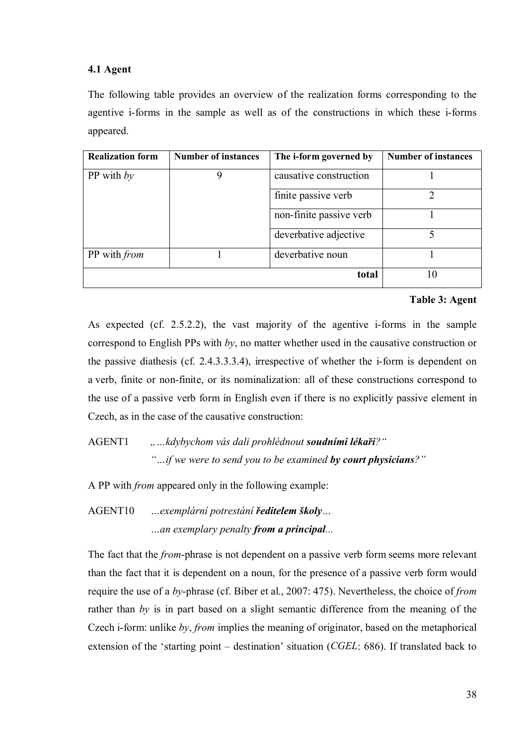### **4.1 Agent**

The following table provides an overview of the realization forms corresponding to the agentive i-forms in the sample as well as of the constructions in which these i-forms appeared.

| <b>Realization form</b> | <b>Number of instances</b> | The i-form governed by  | <b>Number of instances</b> |
|-------------------------|----------------------------|-------------------------|----------------------------|
| PP with $by$            | 9                          | causative construction  |                            |
|                         |                            | finite passive verb     | າ                          |
|                         |                            | non-finite passive verb |                            |
|                         |                            | deverbative adjective   |                            |
| PP with <i>from</i>     |                            | deverbative noun        |                            |
|                         |                            | total                   | 10                         |

#### **Table 3: Agent**

As expected (cf. 2.5.2.2), the vast majority of the agentive i-forms in the sample correspond to English PPs with *by*, no matter whether used in the causative construction or the passive diathesis (cf. 2.4.3.3.3.4), irrespective of whether the i-form is dependent on a verb, finite or non-finite, or its nominalization: all of these constructions correspond to the use of a passive verb form in English even if there is no explicitly passive element in Czech, as in the case of the causative construction:

AGENT1 *"…kdybychom vás dali prohlédnout soudními lékaři?" "…if we were to send you to be examined by court physicians?"*

A PP with *from* appeared only in the following example:

AGENT10 *…exemplární potrestání ředitelem školy… …an exemplary penalty from a principal...*

The fact that the *from*-phrase is not dependent on a passive verb form seems more relevant than the fact that it is dependent on a noun, for the presence of a passive verb form would require the use of a *by*-phrase (cf. Biber et al., 2007: 475). Nevertheless, the choice of *from*  rather than *by* is in part based on a slight semantic difference from the meaning of the Czech i-form: unlike *by*, *from* implies the meaning of originator, based on the metaphorical extension of the 'starting point – destination' situation (*CGEL*: 686). If translated back to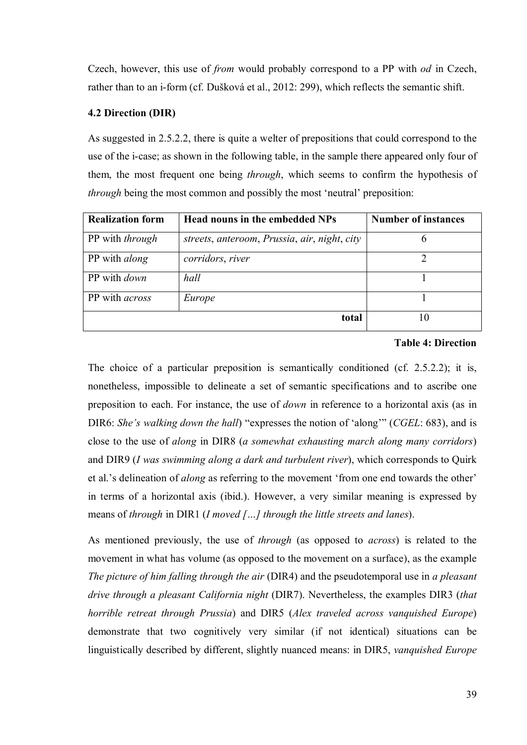Czech, however, this use of *from* would probably correspond to a PP with *od* in Czech, rather than to an i-form (cf. Dušková et al., 2012: 299), which reflects the semantic shift.

### **4.2 Direction (DIR)**

As suggested in 2.5.2.2, there is quite a welter of prepositions that could correspond to the use of the i-case; as shown in the following table, in the sample there appeared only four of them, the most frequent one being *through*, which seems to confirm the hypothesis of *through* being the most common and possibly the most 'neutral' preposition:

| <b>Realization form</b> | Head nouns in the embedded NPs               | <b>Number of instances</b> |
|-------------------------|----------------------------------------------|----------------------------|
| PP with <i>through</i>  | streets, anteroom, Prussia, air, night, city |                            |
| PP with <i>along</i>    | corridors, river                             |                            |
| PP with <i>down</i>     | hall                                         |                            |
| PP with <i>across</i>   | Europe                                       |                            |
|                         | total                                        | 10                         |

#### **Table 4: Direction**

The choice of a particular preposition is semantically conditioned (cf. 2.5.2.2); it is, nonetheless, impossible to delineate a set of semantic specifications and to ascribe one preposition to each. For instance, the use of *down* in reference to a horizontal axis (as in DIR6: *She's walking down the hall*) "expresses the notion of 'along'" (*CGEL*: 683), and is close to the use of *along* in DIR8 (*a somewhat exhausting march along many corridors*) and DIR9 (*I was swimming along a dark and turbulent river*), which corresponds to Quirk et al.'s delineation of *along* as referring to the movement 'from one end towards the other' in terms of a horizontal axis (ibid.). However, a very similar meaning is expressed by means of *through* in DIR1 (*I moved […] through the little streets and lanes*).

As mentioned previously, the use of *through* (as opposed to *across*) is related to the movement in what has volume (as opposed to the movement on a surface), as the example *The picture of him falling through the air* (DIR4) and the pseudotemporal use in *a pleasant drive through a pleasant California night* (DIR7). Nevertheless, the examples DIR3 (*that horrible retreat through Prussia*) and DIR5 (*Alex traveled across vanquished Europe*) demonstrate that two cognitively very similar (if not identical) situations can be linguistically described by different, slightly nuanced means: in DIR5, *vanquished Europe*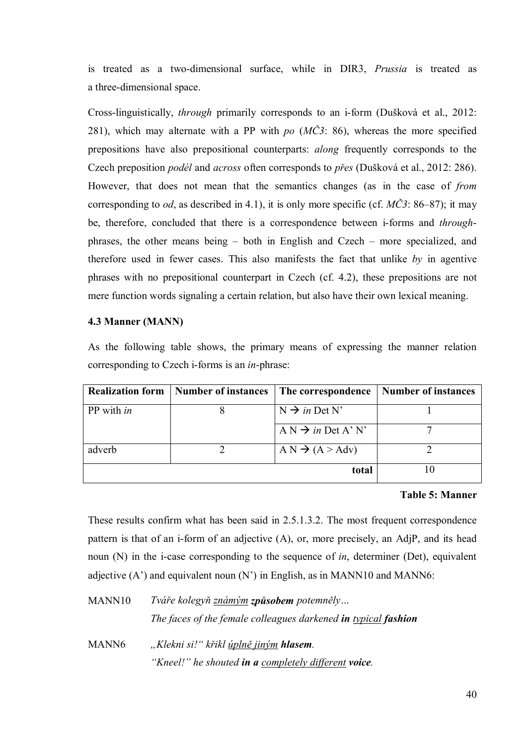is treated as a two-dimensional surface, while in DIR3, *Prussia* is treated as a three-dimensional space.

Cross-linguistically, *through* primarily corresponds to an i-form (Dušková et al., 2012: 281), which may alternate with a PP with *po* (*MČ3*: 86), whereas the more specified prepositions have also prepositional counterparts: *along* frequently corresponds to the Czech preposition *podél* and *across* often corresponds to *přes* (Dušková et al., 2012: 286). However, that does not mean that the semantics changes (as in the case of *from*  corresponding to *od*, as described in 4.1), it is only more specific (cf. *MČ3*: 86–87); it may be, therefore, concluded that there is a correspondence between i-forms and *through*phrases, the other means being – both in English and Czech – more specialized, and therefore used in fewer cases. This also manifests the fact that unlike *by* in agentive phrases with no prepositional counterpart in Czech (cf. 4.2), these prepositions are not mere function words signaling a certain relation, but also have their own lexical meaning.

#### **4.3 Manner (MANN)**

As the following table shows, the primary means of expressing the manner relation corresponding to Czech i-forms is an *in*-phrase:

| <b>Realization form</b> | Number of instances | The correspondence             | <b>Number of instances</b> |
|-------------------------|---------------------|--------------------------------|----------------------------|
| PP with <i>in</i>       |                     | $N \rightarrow in$ Det N'      |                            |
|                         |                     | $A N \rightarrow in$ Det A' N' |                            |
| adverb                  |                     | $A N \rightarrow (A > Adv)$    |                            |
|                         |                     | total                          |                            |

#### **Table 5: Manner**

These results confirm what has been said in 2.5.1.3.2. The most frequent correspondence pattern is that of an i-form of an adjective (A), or, more precisely, an AdjP, and its head noun (N) in the i-case corresponding to the sequence of *in*, determiner (Det), equivalent adjective  $(A')$  and equivalent noun  $(N')$  in English, as in MANN10 and MANN6:

| MANN10 | Tváře kolegyň známým způsobem potemněly                        |
|--------|----------------------------------------------------------------|
|        | The faces of the female colleagues darkened in typical fashion |
| MANN6  | "Klekni si!" křikl <u>úplně jiný</u> m <b>hlasem</b> .         |
|        | "Kneel!" he shouted in a completely different voice.           |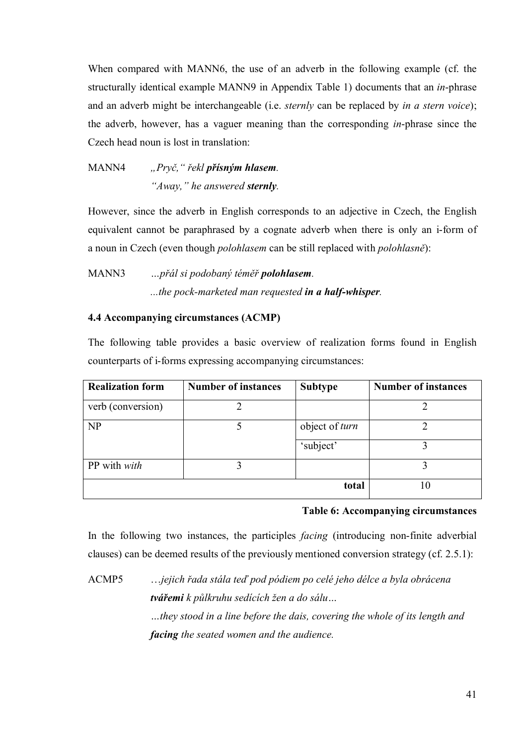When compared with MANN6, the use of an adverb in the following example (cf. the structurally identical example MANN9 in Appendix Table 1) documents that an *in*-phrase and an adverb might be interchangeable (i.e. *sternly* can be replaced by *in a stern voice*); the adverb, however, has a vaguer meaning than the corresponding *in*-phrase since the Czech head noun is lost in translation:

MANN4 *"Pryč," řekl přísným hlasem. "Away," he answered sternly.*

However, since the adverb in English corresponds to an adjective in Czech, the English equivalent cannot be paraphrased by a cognate adverb when there is only an i-form of a noun in Czech (even though *polohlasem* can be still replaced with *polohlasně*):

MANN3 *…přál si podobaný téměř polohlasem. ...the pock-marketed man requested in a half-whisper.*

### **4.4 Accompanying circumstances (ACMP)**

The following table provides a basic overview of realization forms found in English counterparts of i-forms expressing accompanying circumstances:

| <b>Realization form</b> | <b>Number of instances</b> | <b>Subtype</b> | <b>Number of instances</b> |
|-------------------------|----------------------------|----------------|----------------------------|
| verb (conversion)       |                            |                |                            |
| NP                      |                            | object of turn |                            |
|                         |                            | 'subject'      |                            |
| PP with with            |                            |                |                            |
|                         |                            | total          | 10                         |

#### **Table 6: Accompanying circumstances**

In the following two instances, the participles *facing* (introducing non-finite adverbial clauses) can be deemed results of the previously mentioned conversion strategy (cf. 2.5.1):

ACMP5 …*jejich řada stála teď pod pódiem po celé jeho délce a byla obrácena tvářemi k půlkruhu sedících žen a do sálu… …they stood in a line before the dais, covering the whole of its length and facing the seated women and the audience.*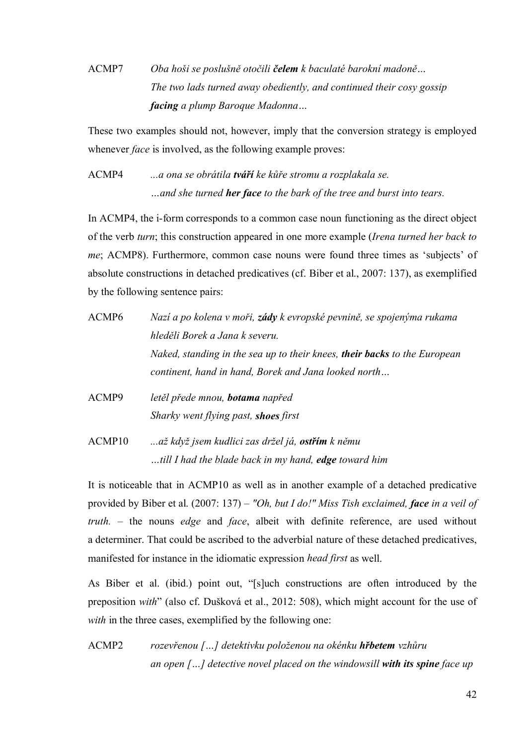# ACMP7 *Oba hoši se poslušně otočili čelem k baculaté barokní madoně… The two lads turned away obediently, and continued their cosy gossip facing a plump Baroque Madonna…*

These two examples should not, however, imply that the conversion strategy is employed whenever *face* is involved, as the following example proves:

ACMP4 *...a ona se obrátila tváří ke kůře stromu a rozplakala se. …and she turned her face to the bark of the tree and burst into tears.*

In ACMP4, the i-form corresponds to a common case noun functioning as the direct object of the verb *turn*; this construction appeared in one more example (*Irena turned her back to me*; ACMP8). Furthermore, common case nouns were found three times as 'subjects' of absolute constructions in detached predicatives (cf. Biber et al., 2007: 137), as exemplified by the following sentence pairs:

- ACMP6 *Nazí a po kolena v moři, zády k evropské pevnině, se spojenýma rukama hleděli Borek a Jana k severu. Naked, standing in the sea up to their knees, their backs to the European continent, hand in hand, Borek and Jana looked north…* ACMP9 *letěl přede mnou, botama napřed*
- *Sharky went flying past, shoes first*
- ACMP10 *...až když jsem kudlici zas držel já, ostřím k němu …till I had the blade back in my hand, edge toward him*

It is noticeable that in ACMP10 as well as in another example of a detached predicative provided by Biber et al. (2007: 137) – *"Oh, but I do!" Miss Tish exclaimed, face in a veil of truth.* – the nouns *edge* and *face*, albeit with definite reference, are used without a determiner. That could be ascribed to the adverbial nature of these detached predicatives, manifested for instance in the idiomatic expression *head first* as well.

As Biber et al. (ibid.) point out, "[s]uch constructions are often introduced by the preposition *with*" (also cf. Dušková et al., 2012: 508), which might account for the use of *with* in the three cases, exemplified by the following one:

ACMP2 *rozevřenou […] detektivku položenou na okénku hřbetem vzhůru an open […] detective novel placed on the windowsill with its spine face up*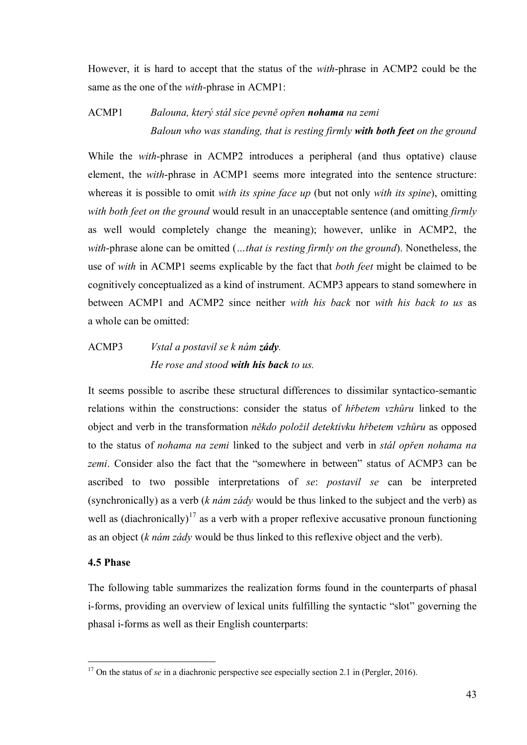However, it is hard to accept that the status of the *with*-phrase in ACMP2 could be the same as the one of the *with*-phrase in ACMP1:

## ACMP1 *Balouna, který stál sice pevně opřen nohama na zemi Baloun who was standing, that is resting firmly with both feet on the ground*

While the *with*-phrase in ACMP2 introduces a peripheral (and thus optative) clause element, the *with*-phrase in ACMP1 seems more integrated into the sentence structure: whereas it is possible to omit *with its spine face up* (but not only *with its spine*), omitting *with both feet on the ground* would result in an unacceptable sentence (and omitting *firmly*  as well would completely change the meaning); however, unlike in ACMP2, the *with*-phrase alone can be omitted (*…that is resting firmly on the ground*). Nonetheless, the use of *with* in ACMP1 seems explicable by the fact that *both feet* might be claimed to be cognitively conceptualized as a kind of instrument. ACMP3 appears to stand somewhere in between ACMP1 and ACMP2 since neither *with his back* nor *with his back to us* as a whole can be omitted:

## ACMP3 *Vstal a postavil se k nám zády. He rose and stood with his back to us.*

It seems possible to ascribe these structural differences to dissimilar syntactico-semantic relations within the constructions: consider the status of *hřbetem vzhůru* linked to the object and verb in the transformation *někdo položil detektivku hřbetem vzhůru* as opposed to the status of *nohama na zemi* linked to the subject and verb in *stál opřen nohama na zemi*. Consider also the fact that the "somewhere in between" status of ACMP3 can be ascribed to two possible interpretations of *se*: *postavil se* can be interpreted (synchronically) as a verb (*k nám zády* would be thus linked to the subject and the verb) as well as (diachronically)<sup>17</sup> as a verb with a proper reflexive accusative pronoun functioning as an object (*k nám zády* would be thus linked to this reflexive object and the verb).

#### **4.5 Phase**

1

The following table summarizes the realization forms found in the counterparts of phasal i-forms, providing an overview of lexical units fulfilling the syntactic "slot" governing the phasal i-forms as well as their English counterparts:

<sup>&</sup>lt;sup>17</sup> On the status of *se* in a diachronic perspective see especially section 2.1 in (Pergler, 2016).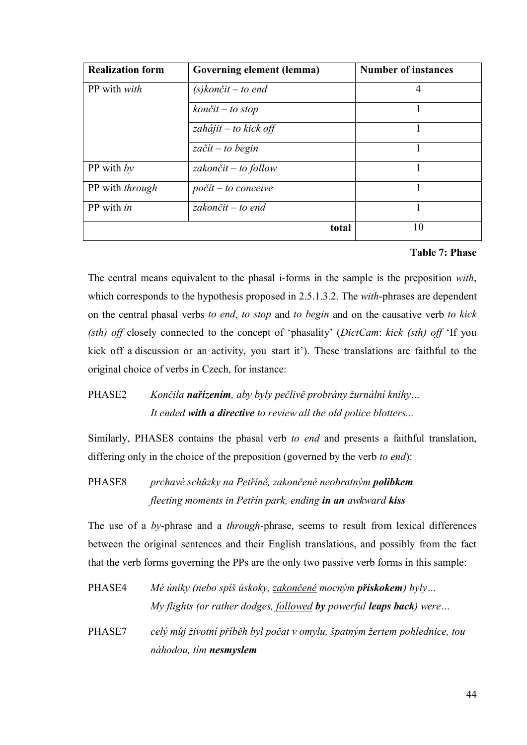| <b>Realization form</b> | Governing element (lemma)       | <b>Number of instances</b> |
|-------------------------|---------------------------------|----------------------------|
| PP with <i>with</i>     | $(s)$ končit – to end           | 4                          |
|                         | $k$ ončit – to stop             |                            |
|                         | $zah'ajit - to kick off$        |                            |
|                         | $z\alpha\check{c}it$ – to begin |                            |
| PP with $by$            | zakončit – to follow            |                            |
| PP with <i>through</i>  | $počit - to conceive$           |                            |
| $PP$ with in            | zakončit – to end               |                            |
|                         | total                           | 10                         |

## **Table 7: Phase**

The central means equivalent to the phasal i-forms in the sample is the preposition *with*, which corresponds to the hypothesis proposed in 2.5.1.3.2. The *with*-phrases are dependent on the central phasal verbs *to end*, *to stop* and *to begin* and on the causative verb *to kick (sth) off* closely connected to the concept of 'phasality' (*DictCam*: *kick (sth) off* 'If you kick off a discussion or an activity, you start it'). These translations are faithful to the original choice of verbs in Czech, for instance:

## PHASE2 *Končila nařízením, aby byly pečlivě probrány žurnální knihy… It ended with a directive to review all the old police blotters...*

Similarly, PHASE8 contains the phasal verb *to end* and presents a faithful translation, differing only in the choice of the preposition (governed by the verb *to end*):

PHASE8 *prchavé schůzky na Petříně, zakončené neobratným polibkem fleeting moments in Petřín park, ending in an awkward kiss*

The use of a *by*-phrase and a *through*-phrase, seems to result from lexical differences between the original sentences and their English translations, and possibly from the fact that the verb forms governing the PPs are the only two passive verb forms in this sample:

- PHASE4 *Mé úniky (nebo spíš úskoky, zakončené mocným přískokem) byly… My flights (or rather dodges, followed by powerful leaps back) were…*
- PHASE7 *celý můj životní příběh byl počat v omylu, špatným žertem pohlednice, tou náhodou, tím nesmyslem*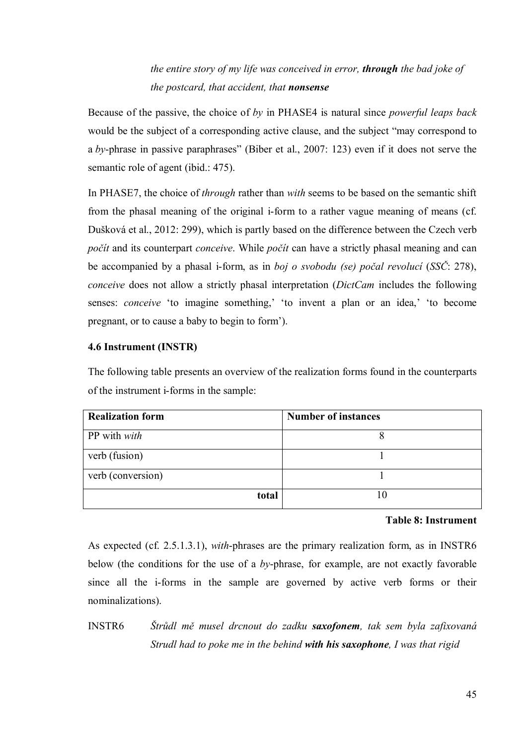*the entire story of my life was conceived in error, through the bad joke of the postcard, that accident, that nonsense*

Because of the passive, the choice of *by* in PHASE4 is natural since *powerful leaps back*  would be the subject of a corresponding active clause, and the subject "may correspond to a *by*-phrase in passive paraphrases" (Biber et al., 2007: 123) even if it does not serve the semantic role of agent (ibid.: 475).

In PHASE7, the choice of *through* rather than *with* seems to be based on the semantic shift from the phasal meaning of the original i-form to a rather vague meaning of means (cf. Dušková et al., 2012: 299), which is partly based on the difference between the Czech verb *počít* and its counterpart *conceive*. While *počít* can have a strictly phasal meaning and can be accompanied by a phasal i-form, as in *boj o svobodu (se) počal revolucí* (*SSČ*: 278), *conceive* does not allow a strictly phasal interpretation (*DictCam* includes the following senses: *conceive* 'to imagine something,' 'to invent a plan or an idea,' 'to become pregnant, or to cause a baby to begin to form').

### **4.6 Instrument (INSTR)**

The following table presents an overview of the realization forms found in the counterparts of the instrument i-forms in the sample:

| <b>Realization form</b> | <b>Number of instances</b> |
|-------------------------|----------------------------|
| PP with <i>with</i>     |                            |
| verb (fusion)           |                            |
| verb (conversion)       |                            |
| total                   | 10                         |

#### **Table 8: Instrument**

As expected (cf. 2.5.1.3.1), *with*-phrases are the primary realization form, as in INSTR6 below (the conditions for the use of a *by*-phrase, for example, are not exactly favorable since all the i-forms in the sample are governed by active verb forms or their nominalizations).

INSTR6 *Štrůdl mě musel drcnout do zadku saxofonem, tak sem byla zafixovaná Strudl had to poke me in the behind with his saxophone, I was that rigid*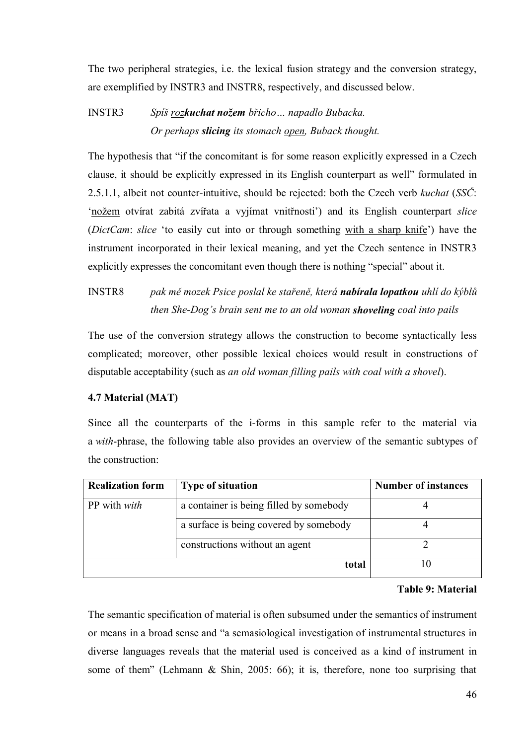The two peripheral strategies, i.e. the lexical fusion strategy and the conversion strategy, are exemplified by INSTR3 and INSTR8, respectively, and discussed below.

# INSTR3 *Spíš rozkuchat nožem břicho… napadlo Bubacka. Or perhaps slicing its stomach open, Buback thought.*

The hypothesis that "if the concomitant is for some reason explicitly expressed in a Czech clause, it should be explicitly expressed in its English counterpart as well" formulated in 2.5.1.1, albeit not counter-intuitive, should be rejected: both the Czech verb *kuchat* (*SSČ*: 'nožem otvírat zabitá zvířata a vyjímat vnitřnosti') and its English counterpart *slice*  (*DictCam*: *slice* 'to easily cut into or through something with a sharp knife') have the instrument incorporated in their lexical meaning, and yet the Czech sentence in INSTR3 explicitly expresses the concomitant even though there is nothing "special" about it.

INSTR8 *pak mě mozek Psice poslal ke stařeně, která nabírala lopatkou uhlí do kýblů then She-Dog's brain sent me to an old woman shoveling coal into pails*

The use of the conversion strategy allows the construction to become syntactically less complicated; moreover, other possible lexical choices would result in constructions of disputable acceptability (such as *an old woman filling pails with coal with a shovel*).

## **4.7 Material (MAT)**

Since all the counterparts of the i-forms in this sample refer to the material via a *with*-phrase, the following table also provides an overview of the semantic subtypes of the construction:

| <b>Realization form</b>                                        | <b>Type of situation</b>               | <b>Number of instances</b> |
|----------------------------------------------------------------|----------------------------------------|----------------------------|
| a container is being filled by somebody<br>PP with <i>with</i> |                                        |                            |
|                                                                | a surface is being covered by somebody |                            |
|                                                                | constructions without an agent         |                            |
|                                                                | total                                  |                            |

### **Table 9: Material**

The semantic specification of material is often subsumed under the semantics of instrument or means in a broad sense and "a semasiological investigation of instrumental structures in diverse languages reveals that the material used is conceived as a kind of instrument in some of them" (Lehmann & Shin, 2005: 66); it is, therefore, none too surprising that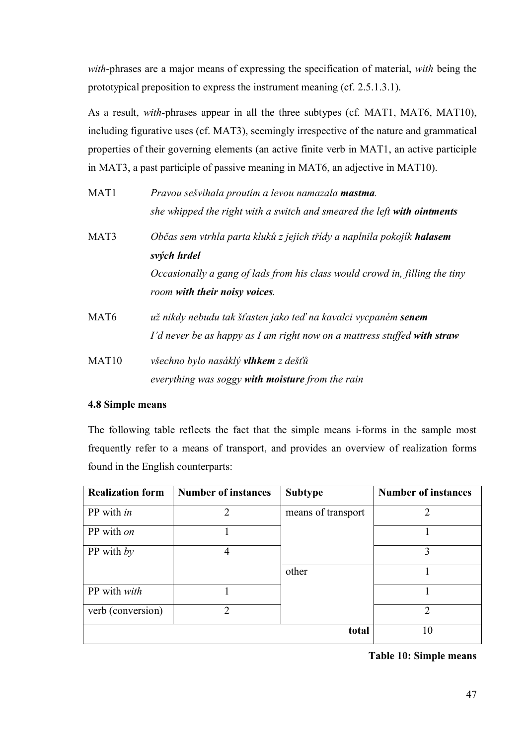*with*-phrases are a major means of expressing the specification of material, *with* being the prototypical preposition to express the instrument meaning (cf. 2.5.1.3.1).

As a result, *with*-phrases appear in all the three subtypes (cf. MAT1, MAT6, MAT10), including figurative uses (cf. MAT3), seemingly irrespective of the nature and grammatical properties of their governing elements (an active finite verb in MAT1, an active participle in MAT3, a past participle of passive meaning in MAT6, an adjective in MAT10).

| MAT1              | Pravou sešvihala proutím a levou namazala <b>mastma</b> .                                                                                         |  |  |  |  |
|-------------------|---------------------------------------------------------------------------------------------------------------------------------------------------|--|--|--|--|
|                   | she whipped the right with a switch and smeared the left with ointments                                                                           |  |  |  |  |
| MAT3              | Občas sem vtrhla parta kluků z jejich třídy a naplnila pokojík <b>halasem</b><br>svých hrdel                                                      |  |  |  |  |
|                   | Occasionally a gang of lads from his class would crowd in, filling the tiny<br>room with their noisy voices.                                      |  |  |  |  |
| MAT <sub>6</sub>  | už nikdy nebudu tak šťasten jako teď na kavalci vycpaném <b>senem</b><br>I'd never be as happy as I am right now on a mattress stuffed with straw |  |  |  |  |
| MAT <sub>10</sub> | všechno bylo nasáklý <b>vlhkem</b> z dešťů<br>everything was soggy with moisture from the rain                                                    |  |  |  |  |

## **4.8 Simple means**

The following table reflects the fact that the simple means i-forms in the sample most frequently refer to a means of transport, and provides an overview of realization forms found in the English counterparts:

| <b>Realization form</b> | <b>Number of instances</b> | <b>Subtype</b>     | <b>Number of instances</b> |
|-------------------------|----------------------------|--------------------|----------------------------|
| PP with in              | $\overline{2}$             | means of transport | 2                          |
| PP with on              |                            |                    |                            |
| PP with $by$            | 4                          |                    | 3                          |
|                         |                            | other              |                            |
| PP with with            |                            |                    |                            |
| verb (conversion)       | ↑                          |                    | $\mathfrak{D}$             |
|                         |                            | total              | 10                         |

**Table 10: Simple means**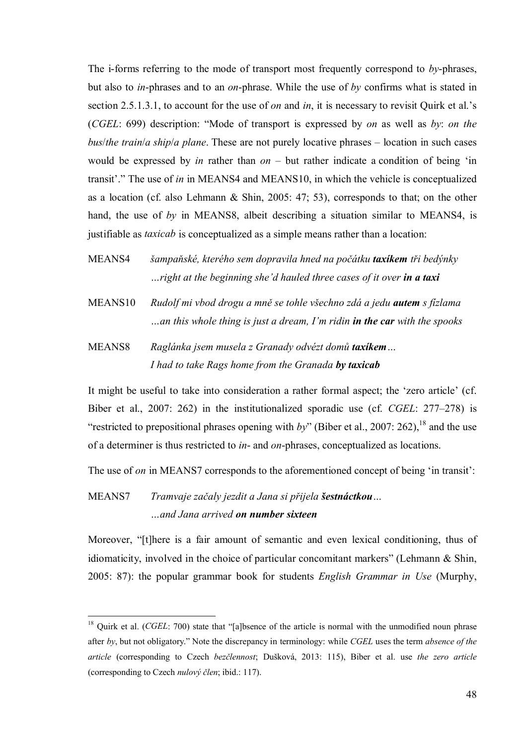The i-forms referring to the mode of transport most frequently correspond to *by*-phrases, but also to *in*-phrases and to an *on*-phrase. While the use of *by* confirms what is stated in section 2.5.1.3.1, to account for the use of *on* and *in*, it is necessary to revisit Quirk et al.'s (*CGEL*: 699) description: "Mode of transport is expressed by *on* as well as *by*: *on the bus*/*the train*/*a ship*/*a plane*. These are not purely locative phrases – location in such cases would be expressed by *in* rather than *on* – but rather indicate a condition of being 'in transit'." The use of *in* in MEANS4 and MEANS10, in which the vehicle is conceptualized as a location (cf. also Lehmann & Shin, 2005: 47; 53), corresponds to that; on the other hand, the use of *by* in MEANS8, albeit describing a situation similar to MEANS4, is justifiable as *taxicab* is conceptualized as a simple means rather than a location:

- MEANS4 *šampaňské, kterého sem dopravila hned na počátku taxíkem tři bedýnky …right at the beginning she'd hauled three cases of it over in a taxi*
- MEANS10 *Rudolf mi vbod drogu a mně se tohle všechno zdá a jedu autem s fízlama …an this whole thing is just a dream, I'm ridin in the car with the spooks*
- MEANS8 *Raglánka jsem musela z Granady odvézt domů taxíkem… I had to take Rags home from the Granada by taxicab*

It might be useful to take into consideration a rather formal aspect; the 'zero article' (cf. Biber et al., 2007: 262) in the institutionalized sporadic use (cf. *CGEL*: 277–278) is "restricted to prepositional phrases opening with *by*" (Biber et al., 2007: 262),<sup>18</sup> and the use of a determiner is thus restricted to *in*- and *on*-phrases, conceptualized as locations.

The use of *on* in MEANS7 corresponds to the aforementioned concept of being 'in transit':

## MEANS7 *Tramvaje začaly jezdit a Jana si přijela šestnáctkou… …and Jana arrived on number sixteen*

1

Moreover, "[t]here is a fair amount of semantic and even lexical conditioning, thus of idiomaticity, involved in the choice of particular concomitant markers" (Lehmann & Shin, 2005: 87): the popular grammar book for students *English Grammar in Use* (Murphy,

<sup>&</sup>lt;sup>18</sup> Quirk et al. (*CGEL*: 700) state that "[a]bsence of the article is normal with the unmodified noun phrase after *by*, but not obligatory." Note the discrepancy in terminology: while *CGEL* uses the term *absence of the article* (corresponding to Czech *bezčlennost*; Dušková, 2013: 115), Biber et al. use *the zero article* (corresponding to Czech *nulový člen*; ibid.: 117).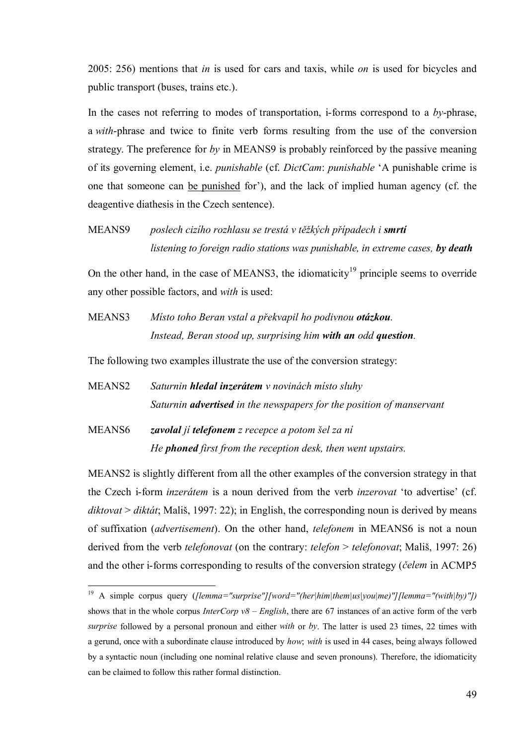2005: 256) mentions that *in* is used for cars and taxis, while *on* is used for bicycles and public transport (buses, trains etc.).

In the cases not referring to modes of transportation, i-forms correspond to a *by*-phrase, a *with*-phrase and twice to finite verb forms resulting from the use of the conversion strategy. The preference for *by* in MEANS9 is probably reinforced by the passive meaning of its governing element, i.e. *punishable* (cf. *DictCam*: *punishable* 'A punishable crime is one that someone can be punished for'), and the lack of implied human agency (cf. the deagentive diathesis in the Czech sentence).

MEANS9 *poslech cizího rozhlasu se trestá v těžkých případech i smrtí listening to foreign radio stations was punishable, in extreme cases, by death*

On the other hand, in the case of MEANS3, the idiomaticity<sup>19</sup> principle seems to override any other possible factors, and *with* is used:

MEANS3 *Místo toho Beran vstal a překvapil ho podivnou otázkou. Instead, Beran stood up, surprising him with an odd question.*

The following two examples illustrate the use of the conversion strategy:

- MEANS2 *Saturnin hledal inzerátem v novinách místo sluhy Saturnin advertised in the newspapers for the position of manservant*
- MEANS6 *zavolal jí telefonem z recepce a potom šel za ní He phoned first from the reception desk, then went upstairs.*

1

MEANS2 is slightly different from all the other examples of the conversion strategy in that the Czech i-form *inzerátem* is a noun derived from the verb *inzerovat* 'to advertise' (cf. *diktovat* > *diktát*; Mališ, 1997: 22); in English, the corresponding noun is derived by means of suffixation (*advertisement*). On the other hand, *telefonem* in MEANS6 is not a noun derived from the verb *telefonovat* (on the contrary: *telefon* > *telefonovat*; Mališ, 1997: 26) and the other i-forms corresponding to results of the conversion strategy (*čelem* in ACMP5

<sup>19</sup> A simple corpus query (*[lemma="surprise"][word="(her|him|them|us|you|me)"][lemma="(with|by)"])* shows that in the whole corpus *InterCorp v8 – English*, there are 67 instances of an active form of the verb *surprise* followed by a personal pronoun and either *with* or *by*. The latter is used 23 times, 22 times with a gerund, once with a subordinate clause introduced by *how*; *with* is used in 44 cases, being always followed by a syntactic noun (including one nominal relative clause and seven pronouns). Therefore, the idiomaticity can be claimed to follow this rather formal distinction.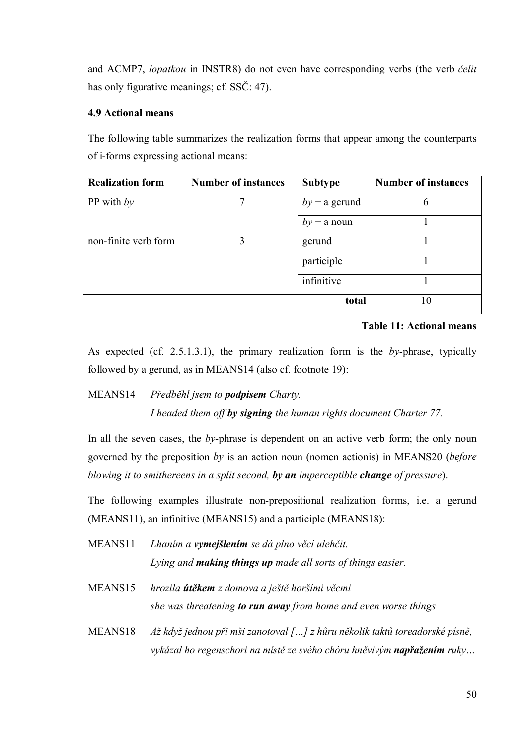and ACMP7, *lopatkou* in INSTR8) do not even have corresponding verbs (the verb *čelit* has only figurative meanings; cf. SSC: 47).

### **4.9 Actional means**

The following table summarizes the realization forms that appear among the counterparts of i-forms expressing actional means:

| <b>Realization form</b> | <b>Number of instances</b> | <b>Subtype</b>  | <b>Number of instances</b> |
|-------------------------|----------------------------|-----------------|----------------------------|
| PP with $by$            |                            | $by + a$ gerund | 6                          |
|                         |                            | $by + a$ noun   |                            |
| non-finite verb form    | 3                          | gerund          |                            |
|                         |                            | participle      |                            |
|                         |                            | infinitive      |                            |
|                         |                            | total           | 10                         |

#### **Table 11: Actional means**

As expected (cf. 2.5.1.3.1), the primary realization form is the *by*-phrase, typically followed by a gerund, as in MEANS14 (also cf. footnote 19):

MEANS14 *Předběhl jsem to podpisem Charty.*

*I headed them off by signing the human rights document Charter 77.*

In all the seven cases, the *by*-phrase is dependent on an active verb form; the only noun governed by the preposition *by* is an action noun (nomen actionis) in MEANS20 (*before blowing it to smithereens in a split second, by an imperceptible change of pressure*).

The following examples illustrate non-prepositional realization forms, i.e. a gerund (MEANS11), an infinitive (MEANS15) and a participle (MEANS18):

- MEANS11 *Lhaním a vymejšlením se dá plno věcí ulehčit. Lying and making things up made all sorts of things easier.*
- MEANS15 *hrozila útěkem z domova a ještě horšími věcmi she was threatening to run away from home and even worse things*
- MEANS18 *Až když jednou při mši zanotoval […] z hůru několik taktů toreadorské písně, vykázal ho regenschori na místě ze svého chóru hněvivým napřažením ruky…*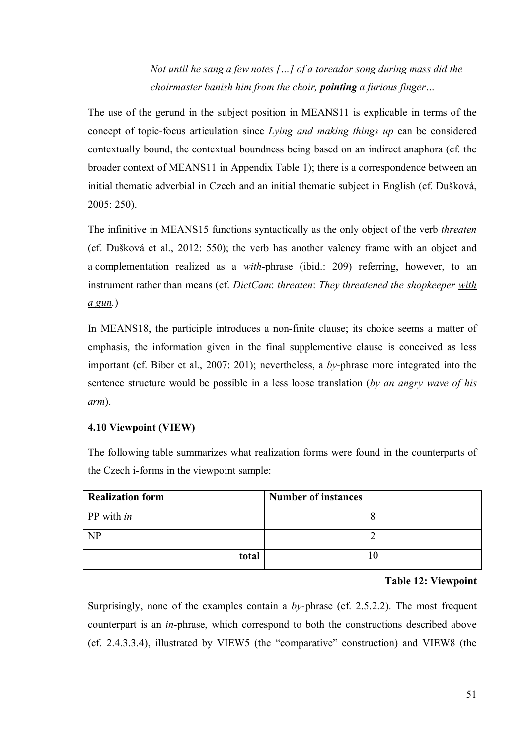*Not until he sang a few notes […] of a toreador song during mass did the choirmaster banish him from the choir, pointing a furious finger…*

The use of the gerund in the subject position in MEANS11 is explicable in terms of the concept of topic-focus articulation since *Lying and making things up* can be considered contextually bound, the contextual boundness being based on an indirect anaphora (cf. the broader context of MEANS11 in Appendix Table 1); there is a correspondence between an initial thematic adverbial in Czech and an initial thematic subject in English (cf. Dušková, 2005: 250).

The infinitive in MEANS15 functions syntactically as the only object of the verb *threaten* (cf. Dušková et al., 2012: 550); the verb has another valency frame with an object and a complementation realized as a *with*-phrase (ibid.: 209) referring, however, to an instrument rather than means (cf. *DictCam*: *threaten*: *They threatened the shopkeeper with a gun.*)

In MEANS18, the participle introduces a non-finite clause; its choice seems a matter of emphasis, the information given in the final supplementive clause is conceived as less important (cf. Biber et al., 2007: 201); nevertheless, a *by*-phrase more integrated into the sentence structure would be possible in a less loose translation (*by an angry wave of his arm*).

## **4.10 Viewpoint (VIEW)**

The following table summarizes what realization forms were found in the counterparts of the Czech i-forms in the viewpoint sample:

| <b>Realization form</b> | <b>Number of instances</b> |
|-------------------------|----------------------------|
| PP with <i>in</i>       |                            |
| NP                      |                            |
| total                   |                            |

#### **Table 12: Viewpoint**

Surprisingly, none of the examples contain a *by*-phrase (cf. 2.5.2.2). The most frequent counterpart is an *in*-phrase, which correspond to both the constructions described above (cf. 2.4.3.3.4), illustrated by VIEW5 (the "comparative" construction) and VIEW8 (the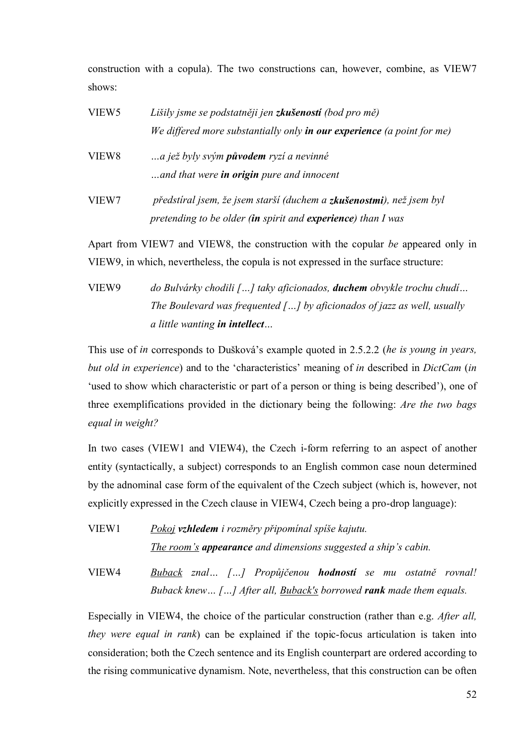construction with a copula). The two constructions can, however, combine, as VIEW7 shows:

| VIEW <sub>5</sub> | Lišily jsme se podstatněji jen <b>zkušeností</b> (bod pro mě)                              |
|-------------------|--------------------------------------------------------------------------------------------|
|                   | We differed more substantially only <b>in our experience</b> (a point for me)              |
| VIEW8             | a jež byly svým <b>původem</b> ryzí a nevinné<br>and that were in origin pure and innocent |
| VIEW7             | předstíral jsem, že jsem starší (duchem a zkušenostmi), než jsem byl                       |
|                   | pretending to be older (in spirit and experience) than I was                               |

Apart from VIEW7 and VIEW8, the construction with the copular *be* appeared only in VIEW9, in which, nevertheless, the copula is not expressed in the surface structure:

VIEW9 *do Bulvárky chodili […] taky aficionados, duchem obvykle trochu chudí… The Boulevard was frequented […] by aficionados of jazz as well, usually a little wanting in intellect…*

This use of *in* corresponds to Dušková's example quoted in 2.5.2.2 (*he is young in years, but old in experience*) and to the 'characteristics' meaning of *in* described in *DictCam* (*in* 'used to show which characteristic or part of a person or thing is being described'), one of three exemplifications provided in the dictionary being the following: *Are the two bags equal in weight?*

In two cases (VIEW1 and VIEW4), the Czech i-form referring to an aspect of another entity (syntactically, a subject) corresponds to an English common case noun determined by the adnominal case form of the equivalent of the Czech subject (which is, however, not explicitly expressed in the Czech clause in VIEW4, Czech being a pro-drop language):

VIEW1 *Pokoj vzhledem i rozměry připomínal spíše kajutu. The room's appearance and dimensions suggested a ship's cabin.*

VIEW4 *Buback znal… […] Propůjčenou hodností se mu ostatně rovnal! Buback knew… […] After all, Buback's borrowed rank made them equals.*

Especially in VIEW4, the choice of the particular construction (rather than e.g. *After all, they were equal in rank*) can be explained if the topic-focus articulation is taken into consideration; both the Czech sentence and its English counterpart are ordered according to the rising communicative dynamism. Note, nevertheless, that this construction can be often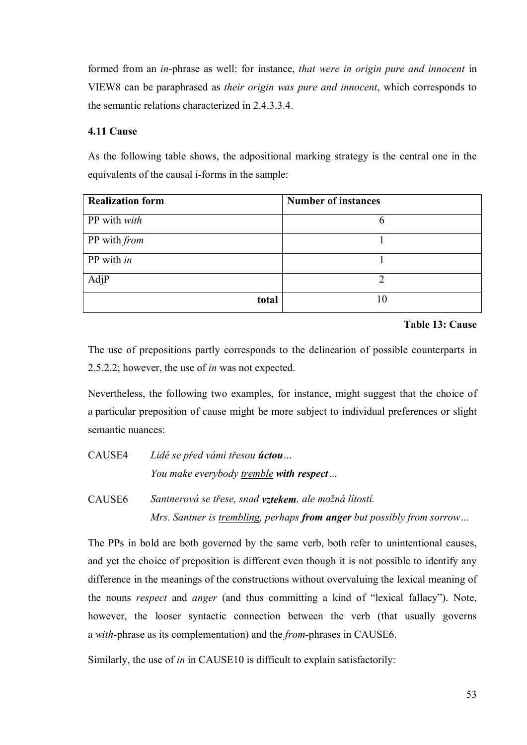formed from an *in*-phrase as well: for instance, *that were in origin pure and innocent* in VIEW8 can be paraphrased as *their origin was pure and innocent*, which corresponds to the semantic relations characterized in 2.4.3.3.4.

## **4.11 Cause**

As the following table shows, the adpositional marking strategy is the central one in the equivalents of the causal i-forms in the sample:

| <b>Realization form</b> | <b>Number of instances</b> |
|-------------------------|----------------------------|
| PP with with            | b                          |
| PP with from            |                            |
| PP with in              |                            |
| AdjP                    | ∍                          |
| total                   | 10                         |

**Table 13: Cause**

The use of prepositions partly corresponds to the delineation of possible counterparts in 2.5.2.2; however, the use of *in* was not expected.

Nevertheless, the following two examples, for instance, might suggest that the choice of a particular preposition of cause might be more subject to individual preferences or slight semantic nuances:

CAUSE4 *Lidé se před vámi třesou úctou… You make everybody tremble with respect…*

CAUSE6 *Santnerová se třese, snad vztekem, ale možná lítostí. Mrs. Santner is trembling, perhaps from anger but possibly from sorrow…*

The PPs in bold are both governed by the same verb, both refer to unintentional causes, and yet the choice of preposition is different even though it is not possible to identify any difference in the meanings of the constructions without overvaluing the lexical meaning of the nouns *respect* and *anger* (and thus committing a kind of "lexical fallacy"). Note, however, the looser syntactic connection between the verb (that usually governs a *with*-phrase as its complementation) and the *from*-phrases in CAUSE6.

Similarly, the use of *in* in CAUSE10 is difficult to explain satisfactorily: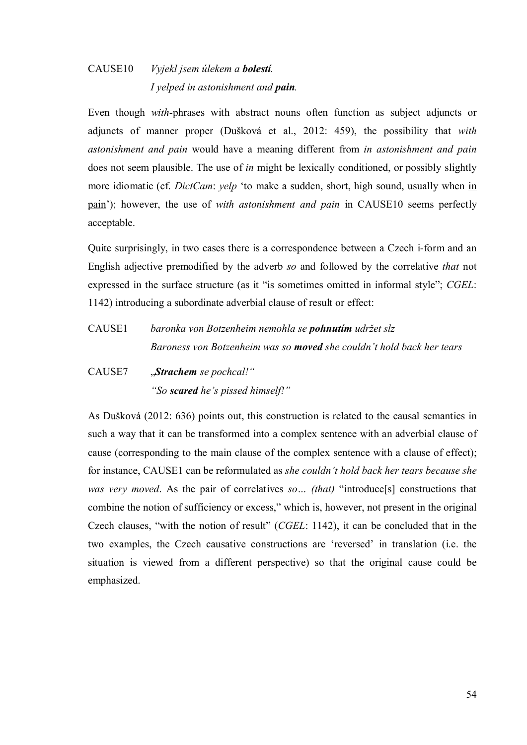## CAUSE10 *Vyjekl jsem úlekem a bolestí. I yelped in astonishment and pain.*

Even though *with*-phrases with abstract nouns often function as subject adjuncts or adjuncts of manner proper (Dušková et al., 2012: 459), the possibility that *with astonishment and pain* would have a meaning different from *in astonishment and pain*  does not seem plausible. The use of *in* might be lexically conditioned, or possibly slightly more idiomatic (cf. *DictCam*: *yelp* 'to make a sudden, short, high sound, usually when in pain'); however, the use of *with astonishment and pain* in CAUSE10 seems perfectly acceptable.

Quite surprisingly, in two cases there is a correspondence between a Czech i-form and an English adjective premodified by the adverb *so* and followed by the correlative *that* not expressed in the surface structure (as it "is sometimes omitted in informal style"; *CGEL*: 1142) introducing a subordinate adverbial clause of result or effect:

- CAUSE1 *baronka von Botzenheim nemohla se pohnutím udržet slz Baroness von Botzenheim was so moved she couldn't hold back her tears*
- CAUSE7 "*Strachem se pochcal!" "So scared he's pissed himself!"*

As Dušková (2012: 636) points out, this construction is related to the causal semantics in such a way that it can be transformed into a complex sentence with an adverbial clause of cause (corresponding to the main clause of the complex sentence with a clause of effect); for instance, CAUSE1 can be reformulated as *she couldn't hold back her tears because she was very moved*. As the pair of correlatives *so… (that)* "introduce[s] constructions that combine the notion of sufficiency or excess," which is, however, not present in the original Czech clauses, "with the notion of result" (*CGEL*: 1142), it can be concluded that in the two examples, the Czech causative constructions are 'reversed' in translation (i.e. the situation is viewed from a different perspective) so that the original cause could be emphasized.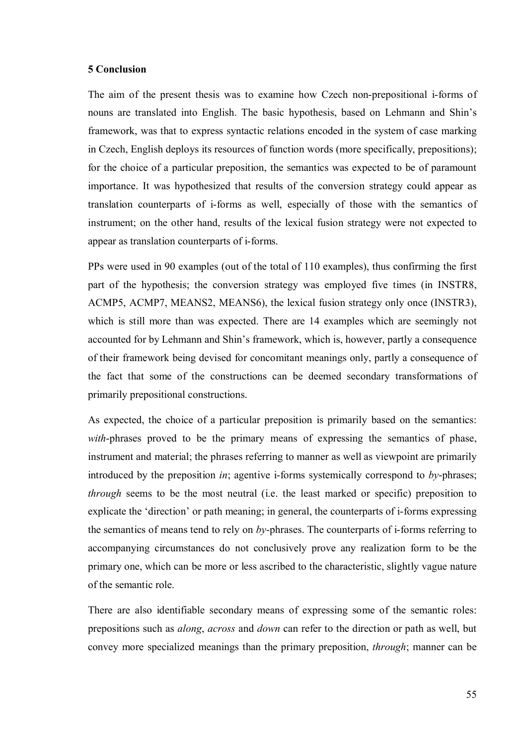#### **5 Conclusion**

The aim of the present thesis was to examine how Czech non-prepositional i-forms of nouns are translated into English. The basic hypothesis, based on Lehmann and Shin's framework, was that to express syntactic relations encoded in the system of case marking in Czech, English deploys its resources of function words (more specifically, prepositions); for the choice of a particular preposition, the semantics was expected to be of paramount importance. It was hypothesized that results of the conversion strategy could appear as translation counterparts of i-forms as well, especially of those with the semantics of instrument; on the other hand, results of the lexical fusion strategy were not expected to appear as translation counterparts of i-forms.

PPs were used in 90 examples (out of the total of 110 examples), thus confirming the first part of the hypothesis; the conversion strategy was employed five times (in INSTR8, ACMP5, ACMP7, MEANS2, MEANS6), the lexical fusion strategy only once (INSTR3), which is still more than was expected. There are 14 examples which are seemingly not accounted for by Lehmann and Shin's framework, which is, however, partly a consequence of their framework being devised for concomitant meanings only, partly a consequence of the fact that some of the constructions can be deemed secondary transformations of primarily prepositional constructions.

As expected, the choice of a particular preposition is primarily based on the semantics: *with*-phrases proved to be the primary means of expressing the semantics of phase, instrument and material; the phrases referring to manner as well as viewpoint are primarily introduced by the preposition *in*; agentive i-forms systemically correspond to *by*-phrases; *through* seems to be the most neutral (*i.e.* the least marked or specific) preposition to explicate the 'direction' or path meaning; in general, the counterparts of i-forms expressing the semantics of means tend to rely on *by*-phrases. The counterparts of i-forms referring to accompanying circumstances do not conclusively prove any realization form to be the primary one, which can be more or less ascribed to the characteristic, slightly vague nature of the semantic role.

There are also identifiable secondary means of expressing some of the semantic roles: prepositions such as *along*, *across* and *down* can refer to the direction or path as well, but convey more specialized meanings than the primary preposition, *through*; manner can be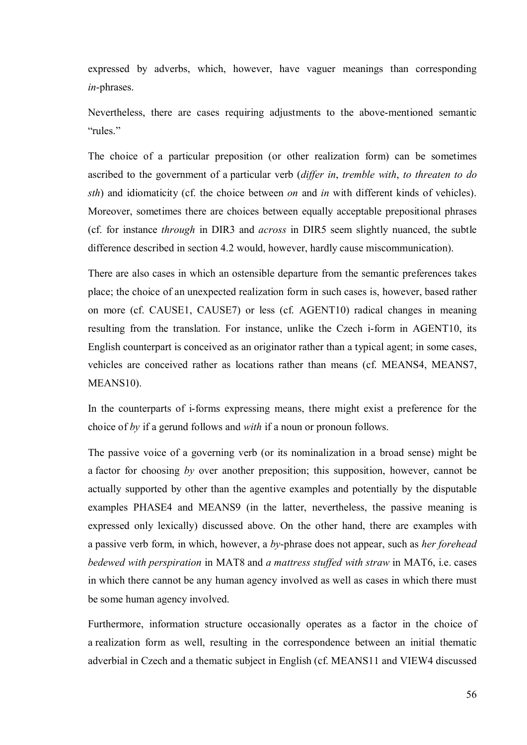expressed by adverbs, which, however, have vaguer meanings than corresponding *in*-phrases.

Nevertheless, there are cases requiring adjustments to the above-mentioned semantic "rules."

The choice of a particular preposition (or other realization form) can be sometimes ascribed to the government of a particular verb (*differ in*, *tremble with*, *to threaten to do sth*) and idiomaticity (cf. the choice between *on* and *in* with different kinds of vehicles). Moreover, sometimes there are choices between equally acceptable prepositional phrases (cf. for instance *through* in DIR3 and *across* in DIR5 seem slightly nuanced, the subtle difference described in section 4.2 would, however, hardly cause miscommunication).

There are also cases in which an ostensible departure from the semantic preferences takes place; the choice of an unexpected realization form in such cases is, however, based rather on more (cf. CAUSE1, CAUSE7) or less (cf. AGENT10) radical changes in meaning resulting from the translation. For instance, unlike the Czech i-form in AGENT10, its English counterpart is conceived as an originator rather than a typical agent; in some cases, vehicles are conceived rather as locations rather than means (cf. MEANS4, MEANS7, MEANS10).

In the counterparts of i-forms expressing means, there might exist a preference for the choice of *by* if a gerund follows and *with* if a noun or pronoun follows.

The passive voice of a governing verb (or its nominalization in a broad sense) might be a factor for choosing *by* over another preposition; this supposition, however, cannot be actually supported by other than the agentive examples and potentially by the disputable examples PHASE4 and MEANS9 (in the latter, nevertheless, the passive meaning is expressed only lexically) discussed above. On the other hand, there are examples with a passive verb form, in which, however, a *by*-phrase does not appear, such as *her forehead bedewed with perspiration* in MAT8 and *a mattress stuffed with straw* in MAT6, i.e. cases in which there cannot be any human agency involved as well as cases in which there must be some human agency involved.

Furthermore, information structure occasionally operates as a factor in the choice of a realization form as well, resulting in the correspondence between an initial thematic adverbial in Czech and a thematic subject in English (cf. MEANS11 and VIEW4 discussed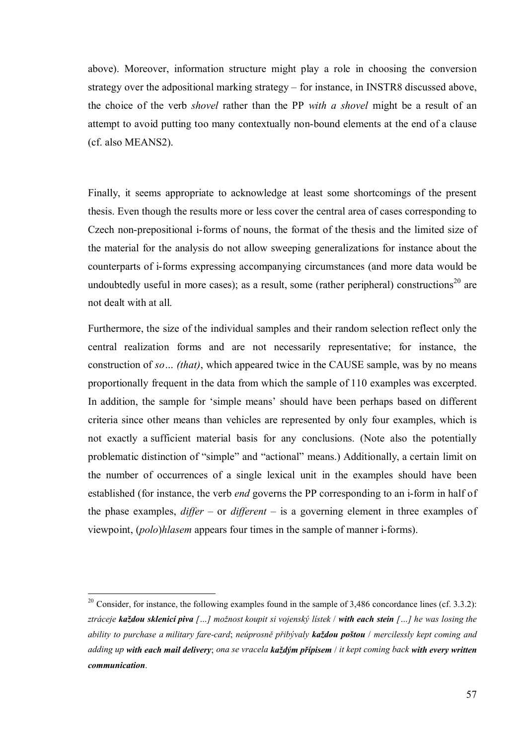above). Moreover, information structure might play a role in choosing the conversion strategy over the adpositional marking strategy – for instance, in INSTR8 discussed above, the choice of the verb *shovel* rather than the PP *with a shovel* might be a result of an attempt to avoid putting too many contextually non-bound elements at the end of a clause (cf. also MEANS2).

Finally, it seems appropriate to acknowledge at least some shortcomings of the present thesis. Even though the results more or less cover the central area of cases corresponding to Czech non-prepositional i-forms of nouns, the format of the thesis and the limited size of the material for the analysis do not allow sweeping generalizations for instance about the counterparts of i-forms expressing accompanying circumstances (and more data would be undoubtedly useful in more cases); as a result, some (rather peripheral) constructions<sup>20</sup> are not dealt with at all.

Furthermore, the size of the individual samples and their random selection reflect only the central realization forms and are not necessarily representative; for instance, the construction of *so… (that)*, which appeared twice in the CAUSE sample, was by no means proportionally frequent in the data from which the sample of 110 examples was excerpted. In addition, the sample for 'simple means' should have been perhaps based on different criteria since other means than vehicles are represented by only four examples, which is not exactly a sufficient material basis for any conclusions. (Note also the potentially problematic distinction of "simple" and "actional" means.) Additionally, a certain limit on the number of occurrences of a single lexical unit in the examples should have been established (for instance, the verb *end* governs the PP corresponding to an i-form in half of the phase examples, *differ* – or *different* – is a governing element in three examples of viewpoint, (*polo*)*hlasem* appears four times in the sample of manner i-forms).

<u>.</u>

<sup>&</sup>lt;sup>20</sup> Consider, for instance, the following examples found in the sample of 3,486 concordance lines (cf. 3.3.2): *ztráceje každou sklenicí piva […] možnost koupit si vojenský lístek* / *with each stein […] he was losing the ability to purchase a military fare-card*; *neúprosně přibývaly každou poštou* / *mercilessly kept coming and adding up with each mail delivery*; *ona se vracela každým přípisem* / *it kept coming back with every written communication*.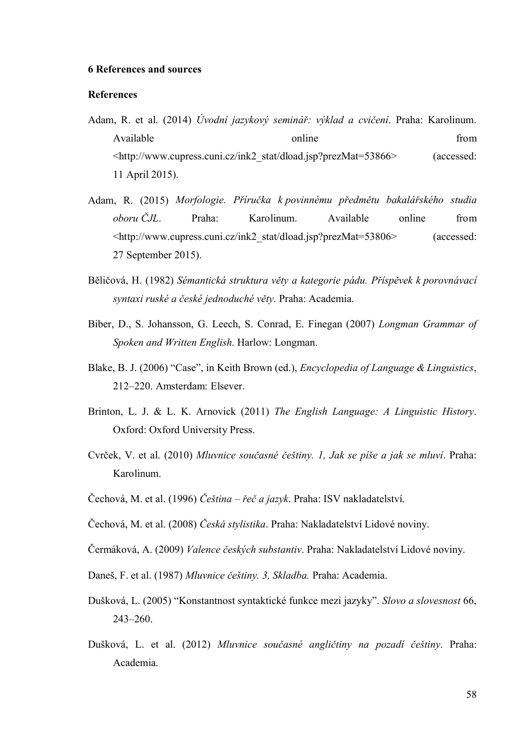#### **6 References and sources**

#### **References**

- Adam, R. et al. (2014) *Úvodní jazykový seminář: výklad a cvičení*. Praha: Karolinum. Available from  $\blacksquare$  online from from  $\blacksquare$ <http://www.cupress.cuni.cz/ink2\_stat/dload.jsp?prezMat=53866> (accessed: 11 April 2015).
- Adam, R. (2015) *Morfologie. Příručka k povinnému předmětu bakalářského studia oboru ČJL*. Praha: Karolinum. Available online from <http://www.cupress.cuni.cz/ink2\_stat/dload.jsp?prezMat=53806> (accessed: 27 September 2015).
- Běličová, H. (1982) *Sémantická struktura věty a kategorie pádu. Příspěvek k porovnávací syntaxi ruské a české jednoduché věty*. Praha: Academia.
- Biber, D., S. Johansson, G. Leech, S. Conrad, E. Finegan (2007) *Longman Grammar of Spoken and Written English*. Harlow: Longman.
- Blake, B. J. (2006) "Case", in Keith Brown (ed.), *Encyclopedia of Language & Linguistics*, 212–220. Amsterdam: Elsever.
- Brinton, L. J. & L. K. Arnovick (2011) *The English Language: A Linguistic History*. Oxford: Oxford University Press.
- Cvrček, V. et al. (2010) *Mluvnice současné češtiny. 1, Jak se píše a jak se mluví*. Praha: Karolinum.
- Čechová, M. et al. (1996) *Čeština – řeč a jazyk*. Praha: ISV nakladatelství.
- Čechová, M. et al. (2008) *Česká stylistika*. Praha: Nakladatelství Lidové noviny.
- Čermáková, A. (2009) *Valence českých substantiv*. Praha: Nakladatelství Lidové noviny.
- Daneš, F. et al. (1987) *Mluvnice češtiny. 3, Skladba.* Praha: Academia.
- Dušková, L. (2005) "Konstantnost syntaktické funkce mezi jazyky". *Slovo a slovesnost* 66, 243–260.
- Dušková, L. et al. (2012) *Mluvnice současné angličtiny na pozadí češtiny*. Praha: Academia.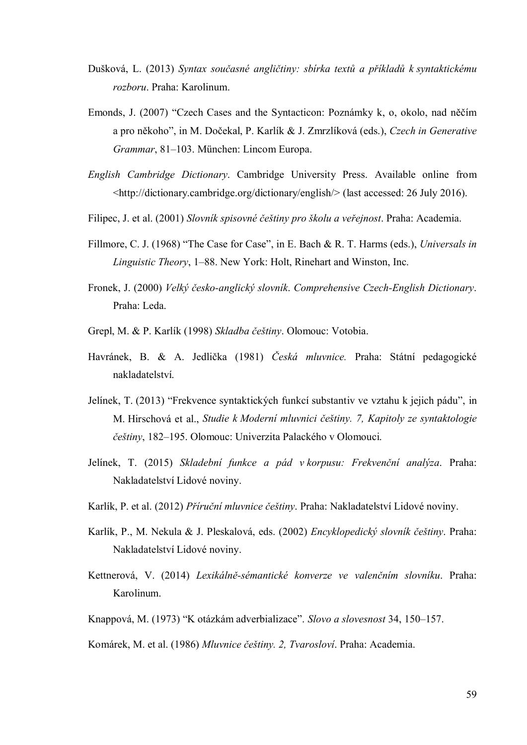- Dušková, L. (2013) *Syntax současné angličtiny: sbírka textů a příkladů k syntaktickému rozboru*. Praha: Karolinum.
- Emonds, J. (2007) "Czech Cases and the Syntacticon: Poznámky k, o, okolo, nad něčím a pro někoho", in M. Dočekal, P. Karlík & J. Zmrzlíková (eds.), *Czech in Generative Grammar*, 81–103. München: Lincom Europa.
- *English Cambridge Dictionary*. Cambridge University Press. Available online from <http://dictionary.cambridge.org/dictionary/english/> (last accessed: 26 July 2016).
- Filipec, J. et al. (2001) *Slovník spisovné češtiny pro školu a veřejnost*. Praha: Academia.
- Fillmore, C. J. (1968) "The Case for Case", in E. Bach & R. T. Harms (eds.), *Universals in Linguistic Theory*, 1–88. New York: Holt, Rinehart and Winston, Inc.
- Fronek, J. (2000) *Velký česko-anglický slovník*. *Comprehensive Czech-English Dictionary*. Praha: Leda.
- Grepl, M. & P. Karlík (1998) *Skladba češtiny*. Olomouc: Votobia.
- Havránek, B. & A. Jedlička (1981) *Česká mluvnice.* Praha: Státní pedagogické nakladatelství.
- Jelínek, T. (2013) "Frekvence syntaktických funkcí substantiv ve vztahu k jejich pádu", in M. Hirschová et al., *Studie k Moderní mluvnici češtiny. 7, Kapitoly ze syntaktologie češtiny*, 182–195. Olomouc: Univerzita Palackého v Olomouci.
- Jelínek, T. (2015) *Skladební funkce a pád v korpusu: Frekvenční analýza*. Praha: Nakladatelství Lidové noviny.
- Karlík, P. et al. (2012) *Příruční mluvnice češtiny*. Praha: Nakladatelství Lidové noviny.
- Karlík, P., M. Nekula & J. Pleskalová, eds. (2002) *Encyklopedický slovník češtiny*. Praha: Nakladatelství Lidové noviny.
- Kettnerová, V. (2014) *Lexikálně-sémantické konverze ve valenčním slovníku*. Praha: Karolinum.
- Knappová, M. (1973) "K otázkám adverbializace". *Slovo a slovesnost* 34, 150–157.
- Komárek, M. et al. (1986) *Mluvnice češtiny. 2, Tvarosloví*. Praha: Academia.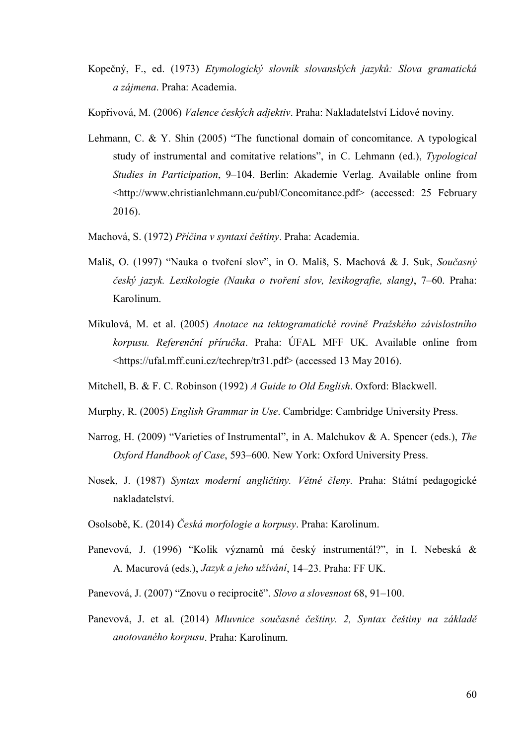- Kopečný, F., ed. (1973) *Etymologický slovník slovanských jazyků: Slova gramatická a zájmena*. Praha: Academia.
- Kopřivová, M. (2006) *Valence českých adjektiv*. Praha: Nakladatelství Lidové noviny.
- Lehmann, C. & Y. Shin (2005) "The functional domain of concomitance. A typological study of instrumental and comitative relations", in C. Lehmann (ed.), *Typological Studies in Participation*, 9–104. Berlin: Akademie Verlag. Available online from <http://www.christianlehmann.eu/publ/Concomitance.pdf> (accessed: 25 February 2016).
- Machová, S. (1972) *Příčina v syntaxi češtiny*. Praha: Academia.
- Mališ, O. (1997) "Nauka o tvoření slov", in O. Mališ, S. Machová & J. Suk, *Současný český jazyk. Lexikologie (Nauka o tvoření slov, lexikografie, slang)*, 7–60. Praha: Karolinum.
- Mikulová, M. et al. (2005) *Anotace na tektogramatické rovině Pražského závislostního korpusu. Referenční příručka*. Praha: ÚFAL MFF UK. Available online from <https://ufal.mff.cuni.cz/techrep/tr31.pdf> (accessed 13 May 2016).
- Mitchell, B. & F. C. Robinson (1992) *A Guide to Old English*. Oxford: Blackwell.
- Murphy, R. (2005) *English Grammar in Use*. Cambridge: Cambridge University Press.
- Narrog, H. (2009) "Varieties of Instrumental", in A. Malchukov & A. Spencer (eds.), *The Oxford Handbook of Case*, 593–600. New York: Oxford University Press.
- Nosek, J. (1987) *Syntax moderní angličtiny. Větné členy.* Praha: Státní pedagogické nakladatelství.
- Osolsobě, K. (2014) *Česká morfologie a korpusy*. Praha: Karolinum.
- Panevová, J. (1996) "Kolik významů má český instrumentál?", in I. Nebeská & A. Macurová (eds.), *Jazyk a jeho užívání*, 14–23. Praha: FF UK.
- Panevová, J. (2007) "Znovu o reciprocitě". *Slovo a slovesnost* 68, 91–100.
- Panevová, J. et al. (2014) *Mluvnice současné češtiny. 2, Syntax češtiny na základě anotovaného korpusu*. Praha: Karolinum.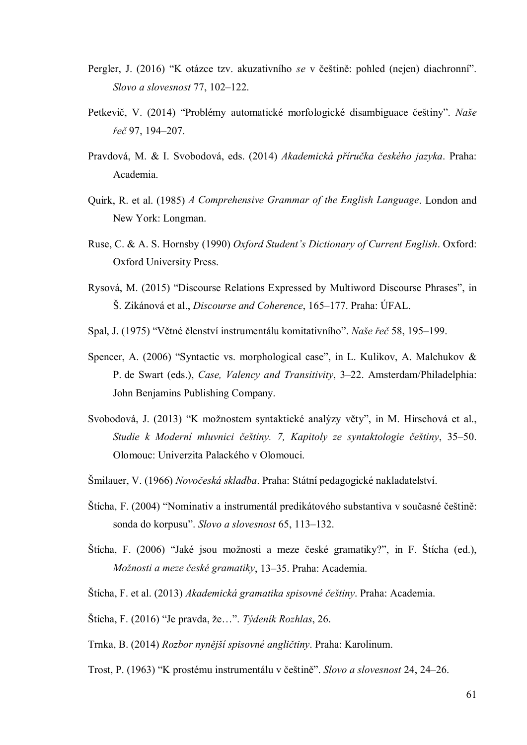- Pergler, J. (2016) "K otázce tzv. akuzativního *se* v češtině: pohled (nejen) diachronní". *Slovo a slovesnost* 77, 102–122.
- Petkevič, V. (2014) "Problémy automatické morfologické disambiguace češtiny". *Naše řeč* 97, 194–207.
- Pravdová, M. & I. Svobodová, eds. (2014) *Akademická příručka českého jazyka*. Praha: Academia.
- Quirk, R. et al. (1985) *A Comprehensive Grammar of the English Language*. London and New York: Longman.
- Ruse, C. & A. S. Hornsby (1990) *Oxford Student's Dictionary of Current English*. Oxford: Oxford University Press.
- Rysová, M. (2015) "Discourse Relations Expressed by Multiword Discourse Phrases", in Š. Zikánová et al., *Discourse and Coherence*, 165–177. Praha: ÚFAL.
- Spal, J. (1975) "Větné členství instrumentálu komitativního". *Naše řeč* 58, 195–199.
- Spencer, A. (2006) "Syntactic vs. morphological case", in L. Kulikov, A. Malchukov & P. de Swart (eds.), *Case, Valency and Transitivity*, 3–22. Amsterdam/Philadelphia: John Benjamins Publishing Company.
- Svobodová, J. (2013) "K možnostem syntaktické analýzy věty", in M. Hirschová et al., *Studie k Moderní mluvnici češtiny. 7, Kapitoly ze syntaktologie češtiny*, 35–50. Olomouc: Univerzita Palackého v Olomouci.
- Šmilauer, V. (1966) *Novočeská skladba*. Praha: Státní pedagogické nakladatelství.
- Štícha, F. (2004) "Nominativ a instrumentál predikátového substantiva v současné češtině: sonda do korpusu". *Slovo a slovesnost* 65, 113–132.
- Štícha, F. (2006) "Jaké jsou možnosti a meze české gramatiky?", in F. Štícha (ed.), *Možnosti a meze české gramatiky*, 13–35. Praha: Academia.
- Štícha, F. et al. (2013) *Akademická gramatika spisovné češtiny*. Praha: Academia.
- Štícha, F. (2016) "Je pravda, že…". *Týdeník Rozhlas*, 26.
- Trnka, B. (2014) *Rozbor nynější spisovné angličtiny*. Praha: Karolinum.
- Trost, P. (1963) "K prostému instrumentálu v češtině". *Slovo a slovesnost* 24, 24–26.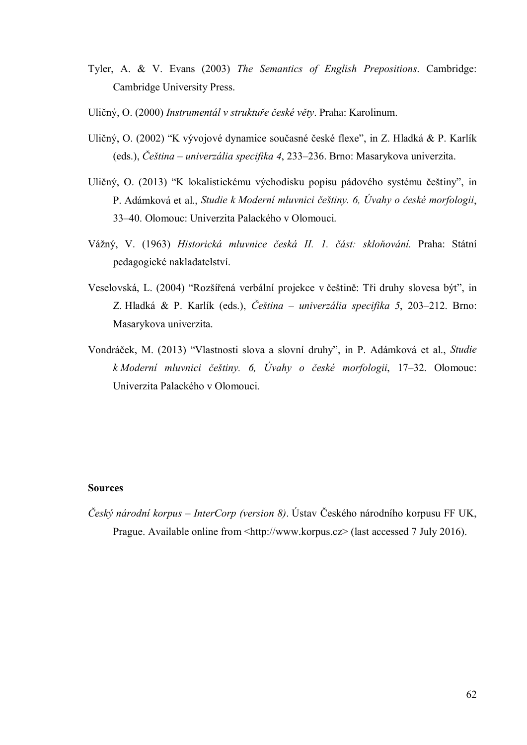- Tyler, A. & V. Evans (2003) *The Semantics of English Prepositions*. Cambridge: Cambridge University Press.
- Uličný, O. (2000) *Instrumentál v struktuře české věty*. Praha: Karolinum.
- Uličný, O. (2002) "K vývojové dynamice současné české flexe", in Z. Hladká & P. Karlík (eds.), *Čeština – univerzália specifika 4*, 233–236. Brno: Masarykova univerzita.
- Uličný, O. (2013) "K lokalistickému východisku popisu pádového systému češtiny", in P. Adámková et al., *Studie k Moderní mluvnici češtiny. 6, Úvahy o české morfologii*, 33–40. Olomouc: Univerzita Palackého v Olomouci.
- Vážný, V. (1963) *Historická mluvnice česká II. 1. část: skloňování.* Praha: Státní pedagogické nakladatelství.
- Veselovská, L. (2004) "Rozšířená verbální projekce v češtině: Tři druhy slovesa být", in Z. Hladká & P. Karlík (eds.), *Čeština – univerzália specifika 5*, 203–212. Brno: Masarykova univerzita.
- Vondráček, M. (2013) "Vlastnosti slova a slovní druhy", in P. Adámková et al., *Studie k Moderní mluvnici češtiny. 6, Úvahy o české morfologii*, 17–32. Olomouc: Univerzita Palackého v Olomouci.

#### **Sources**

*Český národní korpus – InterCorp (version 8)*. Ústav Českého národního korpusu FF UK, Prague. Available online from <http://www.korpus.cz> (last accessed 7 July 2016).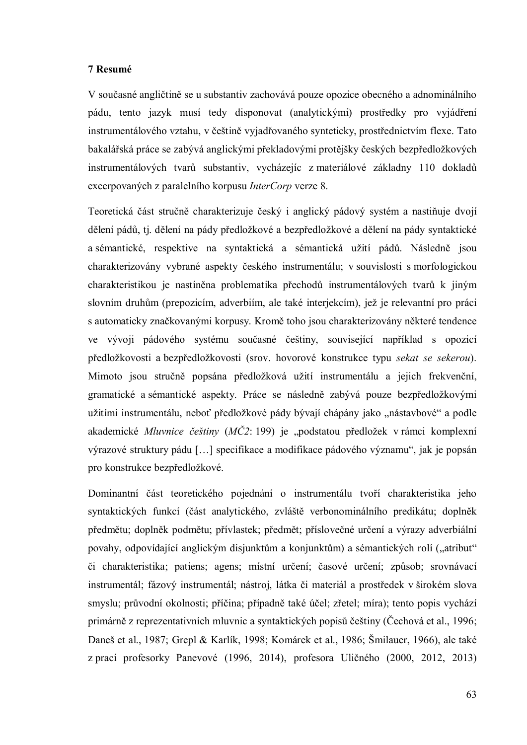#### **7 Resumé**

V současné angličtině se u substantiv zachovává pouze opozice obecného a adnominálního pádu, tento jazyk musí tedy disponovat (analytickými) prostředky pro vyjádření instrumentálového vztahu, v češtině vyjadřovaného synteticky, prostřednictvím flexe. Tato bakalářská práce se zabývá anglickými překladovými protějšky českých bezpředložkových instrumentálových tvarů substantiv, vycházejíc z materiálové základny 110 dokladů excerpovaných z paralelního korpusu *InterCorp* verze 8.

Teoretická část stručně charakterizuje český i anglický pádový systém a nastiňuje dvojí dělení pádů, tj. dělení na pády předložkové a bezpředložkové a dělení na pády syntaktické a sémantické, respektive na syntaktická a sémantická užití pádů. Následně jsou charakterizovány vybrané aspekty českého instrumentálu; v souvislosti s morfologickou charakteristikou je nastíněna problematika přechodů instrumentálových tvarů k jiným slovním druhům (prepozicím, adverbiím, ale také interjekcím), jež je relevantní pro práci s automaticky značkovanými korpusy. Kromě toho jsou charakterizovány některé tendence ve vývoji pádového systému současné češtiny, související například s opozicí předložkovosti a bezpředložkovosti (srov. hovorové konstrukce typu *sekat se sekerou*). Mimoto jsou stručně popsána předložková užití instrumentálu a jejich frekvenční, gramatické a sémantické aspekty. Práce se následně zabývá pouze bezpředložkovými užitími instrumentálu, neboť předložkové pády bývají chápány jako "nástavbové" a podle akademické *Mluvnice češtiny* (*MČ2*: 199) je "podstatou předložek v rámci komplexní výrazové struktury pádu […] specifikace a modifikace pádového významu", jak je popsán pro konstrukce bezpředložkové.

Dominantní část teoretického pojednání o instrumentálu tvoří charakteristika jeho syntaktických funkcí (část analytického, zvláště verbonominálního predikátu; doplněk předmětu; doplněk podmětu; přívlastek; předmět; příslovečné určení a výrazy adverbiální povahy, odpovídající anglickým disjunktům a konjunktům) a sémantických rolí ("atribut" či charakteristika; patiens; agens; místní určení; časové určení; způsob; srovnávací instrumentál; fázový instrumentál; nástroj, látka či materiál a prostředek v širokém slova smyslu; průvodní okolnosti; příčina; případně také účel; zřetel; míra); tento popis vychází primárně z reprezentativních mluvnic a syntaktických popisů češtiny (Čechová et al., 1996; Daneš et al., 1987; Grepl & Karlík, 1998; Komárek et al., 1986; Šmilauer, 1966), ale také z prací profesorky Panevové (1996, 2014), profesora Uličného (2000, 2012, 2013)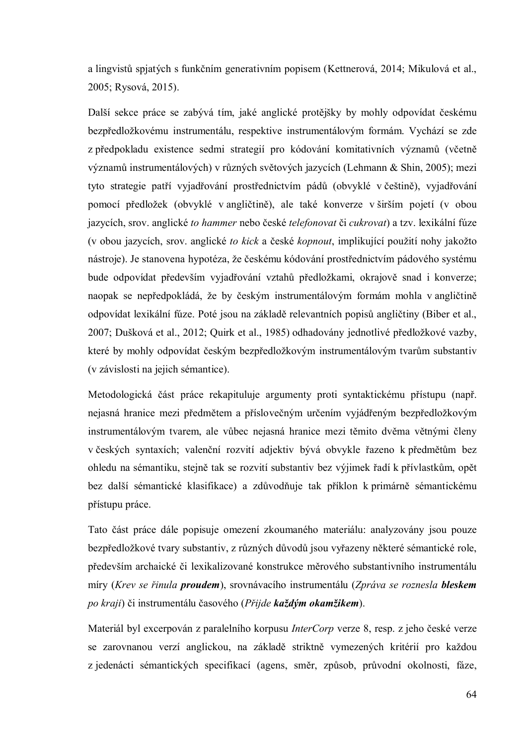a lingvistů spjatých s funkčním generativním popisem (Kettnerová, 2014; Mikulová et al., 2005; Rysová, 2015).

Další sekce práce se zabývá tím, jaké anglické protějšky by mohly odpovídat českému bezpředložkovému instrumentálu, respektive instrumentálovým formám. Vychází se zde z předpokladu existence sedmi strategií pro kódování komitativních významů (včetně významů instrumentálových) v různých světových jazycích (Lehmann & Shin, 2005); mezi tyto strategie patří vyjadřování prostřednictvím pádů (obvyklé v češtině), vyjadřování pomocí předložek (obvyklé v angličtině), ale také konverze v širším pojetí (v obou jazycích, srov. anglické *to hammer* nebo české *telefonovat* či *cukrovat*) a tzv. lexikální fúze (v obou jazycích, srov. anglické *to kick* a české *kopnout*, implikující použití nohy jakožto nástroje). Je stanovena hypotéza, že českému kódování prostřednictvím pádového systému bude odpovídat především vyjadřování vztahů předložkami, okrajově snad i konverze; naopak se nepředpokládá, že by českým instrumentálovým formám mohla v angličtině odpovídat lexikální fúze. Poté jsou na základě relevantních popisů angličtiny (Biber et al., 2007; Dušková et al., 2012; Quirk et al., 1985) odhadovány jednotlivé předložkové vazby, které by mohly odpovídat českým bezpředložkovým instrumentálovým tvarům substantiv (v závislosti na jejich sémantice).

Metodologická část práce rekapituluje argumenty proti syntaktickému přístupu (např. nejasná hranice mezi předmětem a příslovečným určením vyjádřeným bezpředložkovým instrumentálovým tvarem, ale vůbec nejasná hranice mezi těmito dvěma větnými členy v českých syntaxích; valenční rozvití adjektiv bývá obvykle řazeno k předmětům bez ohledu na sémantiku, stejně tak se rozvití substantiv bez výjimek řadí k přívlastkům, opět bez další sémantické klasifikace) a zdůvodňuje tak příklon k primárně sémantickému přístupu práce.

Tato část práce dále popisuje omezení zkoumaného materiálu: analyzovány jsou pouze bezpředložkové tvary substantiv, z různých důvodů jsou vyřazeny některé sémantické role, především archaické či lexikalizované konstrukce měrového substantivního instrumentálu míry (*Krev se řinula proudem*), srovnávacího instrumentálu (*Zpráva se roznesla bleskem po kraji*) či instrumentálu časového (*Přijde každým okamžikem*).

Materiál byl excerpován z paralelního korpusu *InterCorp* verze 8, resp. z jeho české verze se zarovnanou verzí anglickou, na základě striktně vymezených kritérií pro každou z jedenácti sémantických specifikací (agens, směr, způsob, průvodní okolnosti, fáze,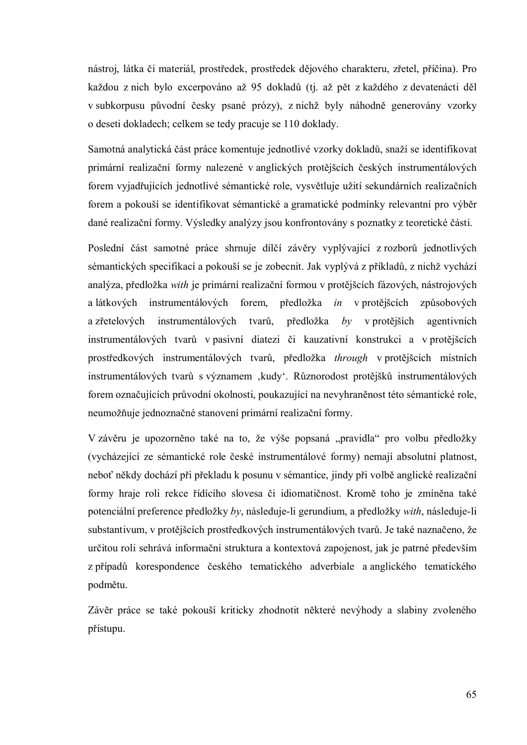nástroj, látka či materiál, prostředek, prostředek dějového charakteru, zřetel, příčina). Pro každou z nich bylo excerpováno až 95 dokladů (tj. až pět z každého z devatenácti děl v subkorpusu původní česky psané prózy), z nichž byly náhodně generovány vzorky o deseti dokladech; celkem se tedy pracuje se 110 doklady.

Samotná analytická část práce komentuje jednotlivé vzorky dokladů, snaží se identifikovat primární realizační formy nalezené v anglických protějšcích českých instrumentálových forem vyjadřujících jednotlivé sémantické role, vysvětluje užití sekundárních realizačních forem a pokouší se identifikovat sémantické a gramatické podmínky relevantní pro výběr dané realizační formy. Výsledky analýzy jsou konfrontovány s poznatky z teoretické části.

Poslední část samotné práce shrnuje dílčí závěry vyplývající z rozborů jednotlivých sémantických specifikací a pokouší se je zobecnit. Jak vyplývá z příkladů, z nichž vychází analýza, předložka *with* je primární realizační formou v protějšcích fázových, nástrojových a látkových instrumentálových forem, předložka *in* v protějšcích způsobových a zřetelových instrumentálových tvarů, předložka *by* v protějších agentivních instrumentálových tvarů v pasivní diatezi či kauzativní konstrukci a v protějšcích prostředkových instrumentálových tvarů, předložka *through* v protějšcích místních instrumentálových tvarů s významem ,kudy'. Různorodost protějšků instrumentálových forem označujících průvodní okolnosti, poukazující na nevyhraněnost této sémantické role, neumožňuje jednoznačné stanovení primární realizační formy.

V závěru je upozorněno také na to, že výše popsaná "pravidla" pro volbu předložky (vycházející ze sémantické role české instrumentálové formy) nemají absolutní platnost, neboť někdy dochází při překladu k posunu v sémantice, jindy při volbě anglické realizační formy hraje roli rekce řídícího slovesa či idiomatičnost. Kromě toho je zmíněna také potenciální preference předložky *by*, následuje-li gerundium, a předložky *with*, následuje-li substantivum, v protějšcích prostředkových instrumentálových tvarů. Je také naznačeno, že určitou roli sehrává informační struktura a kontextová zapojenost, jak je patrné především z případů korespondence českého tematického adverbiale a anglického tematického podmětu.

Závěr práce se také pokouší kriticky zhodnotit některé nevýhody a slabiny zvoleného přístupu.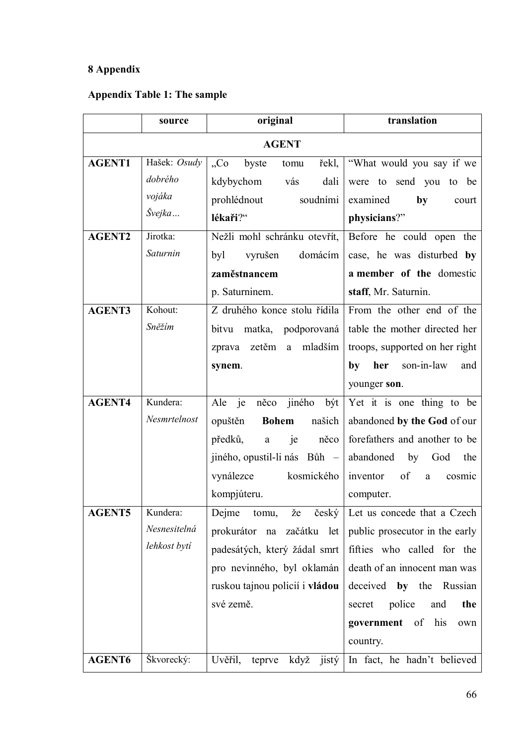# **8 Appendix**

# **Appendix Table 1: The sample**

|               | source       | original                                   | translation                         |
|---------------|--------------|--------------------------------------------|-------------------------------------|
|               |              | <b>AGENT</b>                               |                                     |
| <b>AGENT1</b> | Hašek: Osudy | byste<br>C <sub>0</sub><br>tomu            | řekl,   "What would you say if we   |
|               | dobrého      | kdybychom<br>vás<br>dali                   | were to send you to be              |
|               | vojáka       | prohlédnout<br>soudními                    | examined<br>by<br>court             |
|               | Švejka       | lékaři?"                                   | physicians?"                        |
| <b>AGENT2</b> | Jirotka:     | Nežli mohl schránku otevřít,               | Before he could open the            |
|               | Saturnin     | byl<br>vyrušen<br>domácím                  | case, he was disturbed by           |
|               |              | zaměstnancem                               | a member of the domestic            |
|               |              | p. Saturninem.                             | staff, Mr. Saturnin.                |
| <b>AGENT3</b> | Kohout:      | Z druhého konce stolu řídila               | From the other end of the           |
|               | Sněžím       | matka, podporovaná<br>bitvu                | table the mother directed her       |
|               |              | mladším<br>zetěm<br>zprava<br>$\mathbf{a}$ | troops, supported on her right      |
|               |              | synem.                                     | son-in-law<br>her<br>by<br>and      |
|               |              |                                            | younger son.                        |
| <b>AGENT4</b> | Kundera:     | něco jiného<br>Ale je<br>být               | Yet it is one thing to be           |
|               | Nesmrtelnost | opuštěn<br><b>Bohem</b><br>našich          | abandoned by the God of our         |
|               |              | předků,<br>je<br>něco<br>$\rm{a}$          | forefathers and another to be       |
|               |              | jiného, opustil-li nás Bůh –               | abandoned<br>by<br>God<br>the       |
|               |              | vynálezce<br>kosmického                    | of<br>inventor<br>cosmic<br>a       |
|               |              | kompjúteru.                                | computer.                           |
| <b>AGENT5</b> | Kundera:     | Dejme<br>tomu,<br>že                       | český   Let us concede that a Czech |
|               | Nesnesitelná | prokurátor na začátku let                  | public prosecutor in the early      |
|               | lehkost bytí | padesátých, který žádal smrt               | fifties who called for the          |
|               |              | pro nevinného, byl oklamán                 | death of an innocent man was        |
|               |              | ruskou tajnou policií i vládou             | deceived by the<br>Russian          |
|               |              | své země.                                  | police<br>secret<br>and<br>the      |
|               |              |                                            | <b>government</b> of<br>his<br>own  |
|               |              |                                            | country.                            |
| AGENT6        | Škvorecký:   | Uvěřil,<br>když<br>jistý<br>teprve         | In fact, he hadn't believed         |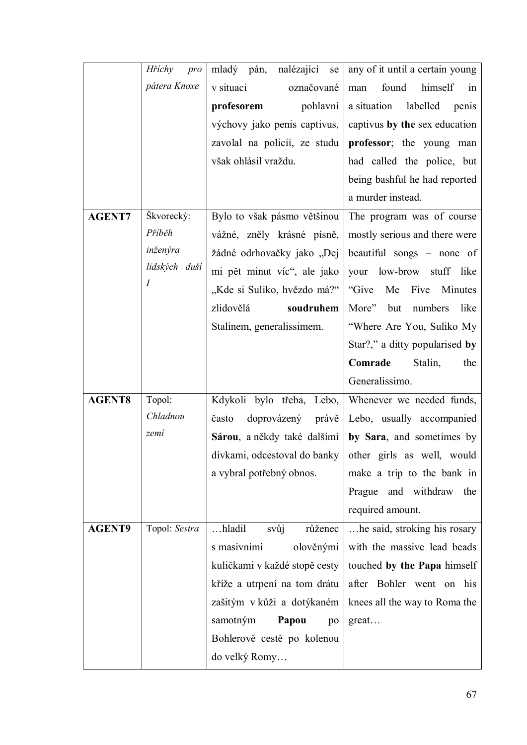|               | Hříchy<br>pro | mladý pán,<br>nalézající<br>se | any of it until a certain young                         |
|---------------|---------------|--------------------------------|---------------------------------------------------------|
|               | pátera Knoxe  | v situaci<br>označované        | himself<br>found<br>man<br>in                           |
|               |               | profesorem<br>pohlavní         | a situation<br>labelled<br>penis                        |
|               |               | výchovy jako penis captivus,   | captivus by the sex education                           |
|               |               | zavolal na policii, ze studu   | professor; the young man                                |
|               |               | však ohlásil vraždu.           | had called the police, but                              |
|               |               |                                | being bashful he had reported                           |
|               |               |                                | a murder instead.                                       |
| <b>AGENT7</b> | Škvorecký:    | Bylo to však pásmo většinou    | The program was of course                               |
|               | Příběh        | vážné, zněly krásné písně,     | mostly serious and there were                           |
|               | inženýra      | žádné odrhovačky jako "Dej     | beautiful songs – none of                               |
|               | lidských duší | mi pět minut víc", ale jako    | low-brow stuff like<br>your                             |
|               | I             | "Kde si Suliko, hvězdo má?"    | "Give<br>Me<br>Five<br>Minutes                          |
|               |               | zlidovělá<br>soudruhem         | More"<br>numbers<br>like<br>but                         |
|               |               | Stalinem, generalissimem.      | "Where Are You, Suliko My                               |
|               |               |                                | Star?," a ditty popularised by                          |
|               |               |                                | Comrade<br>Stalin,<br>the                               |
|               |               |                                | Generalissimo.                                          |
| <b>AGENT8</b> | Topol:        | Kdykoli bylo třeba, Lebo,      | Whenever we needed funds,                               |
|               | Chladnou      | často<br>doprovázený právě     | Lebo, usually accompanied                               |
|               | zemí          | Sárou, a někdy také dalšími    | by Sara, and sometimes by                               |
|               |               |                                | dívkami, odcestoval do banky other girls as well, would |
|               |               | a vybral potřebný obnos.       | make a trip to the bank in                              |
|               |               |                                | Prague and withdraw<br>the                              |
|               |               |                                | required amount.                                        |
| <b>AGENT9</b> | Topol: Sestra | hladil<br>svůj<br>růženec      | he said, stroking his rosary                            |
|               |               | s masivními<br>olověnými       | with the massive lead beads                             |
|               |               | kuličkami v každé stopě cesty  | touched by the Papa himself                             |
|               |               | kříže a utrpení na tom drátu   | after Bohler went on his                                |
|               |               | zašitým v kůži a dotýkaném     | knees all the way to Roma the                           |
|               |               | samotným<br>Papou<br>po        | great                                                   |
|               |               | Bohlerově cestě po kolenou     |                                                         |
|               |               | do velký Romy                  |                                                         |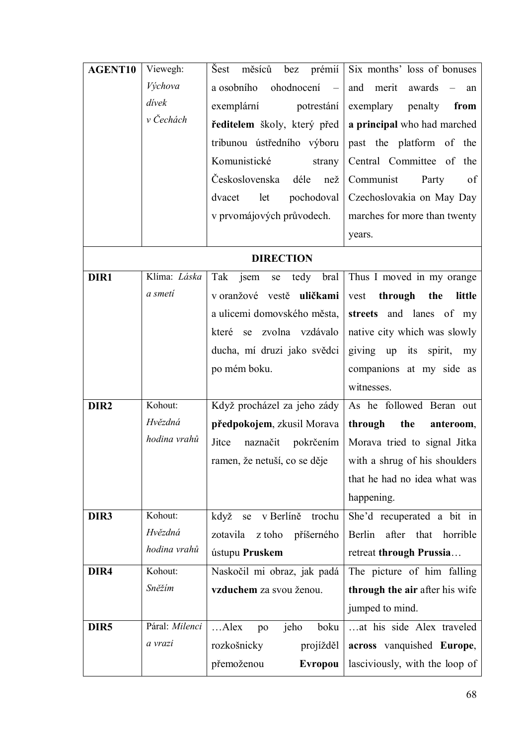| AGENT10          | Viewegh:       | prémií<br>Šest<br>měsíců<br>bez                      | Six months' loss of bonuses      |
|------------------|----------------|------------------------------------------------------|----------------------------------|
|                  | Výchova        | a osobního<br>ohodnocení<br>$\overline{\phantom{a}}$ | and<br>merit<br>awards<br>an     |
|                  | dívek          | exemplární<br>potrestání                             | exemplary<br>penalty<br>from     |
|                  | v Čechách      | ředitelem školy, který před                          | a principal who had marched      |
|                  |                | tribunou ústředního výboru                           | past the platform of the         |
|                  |                | Komunistické<br>strany                               | Central Committee of the         |
|                  |                | Československa<br>déle<br>nez                        | Communist<br>Party<br>of         |
|                  |                | let<br>pochodoval<br>dvacet                          | Czechoslovakia on May Day        |
|                  |                | v prvomájových průvodech.                            | marches for more than twenty     |
|                  |                |                                                      | years.                           |
|                  |                | <b>DIRECTION</b>                                     |                                  |
| DIR1             | Klíma: Láska   | jsem<br>Tak<br>tedy bral<br>se                       | Thus I moved in my orange        |
|                  | a smeti        | v oranžové vestě uličkami                            | through<br>vest<br>the<br>little |
|                  |                | a ulicemi domovského města,                          | streets and lanes of my          |
|                  |                | které se<br>zvolna vzdávalo                          | native city which was slowly     |
|                  |                | ducha, mí druzi jako svědci                          | giving up its spirit, my         |
|                  |                | po mém boku.                                         | companions at my side as         |
|                  |                |                                                      | witnesses.                       |
| DIR <sub>2</sub> | Kohout:        | Když procházel za jeho zády                          | As he followed Beran out         |
|                  | Hvězdná        | předpokojem, zkusil Morava                           | through<br>the<br>anteroom,      |
|                  | hodina vrahů   | Jitce<br>naznačit pokrčením                          | Morava tried to signal Jitka     |
|                  |                | ramen, že netuší, co se děje                         | with a shrug of his shoulders    |
|                  |                |                                                      | that he had no idea what was     |
|                  |                |                                                      | happening.                       |
| DIR3             | Kohout:        | když<br>v Berlíně<br>trochu<br>se                    | She'd recuperated a bit in       |
|                  | Hvězdná        | zotavila<br>z toho<br>příšerného                     | Berlin<br>after that<br>horrible |
|                  | hodina vrahů   | ústupu Pruskem                                       | retreat through Prussia          |
| DIR4             | Kohout:        | Naskočil mi obraz, jak padá                          | The picture of him falling       |
|                  | Sněžím         | vzduchem za svou ženou.                              | through the air after his wife   |
|                  |                |                                                      | jumped to mind.                  |
| DIR <sub>5</sub> | Páral: Milenci | $$ Alex<br>jeho<br>boku<br>po                        | at his side Alex traveled        |
|                  | a vrazi        | projížděl<br>rozkošnicky                             | across vanquished Europe,        |
|                  |                | přemoženou<br><b>Evropou</b>                         | lasciviously, with the loop of   |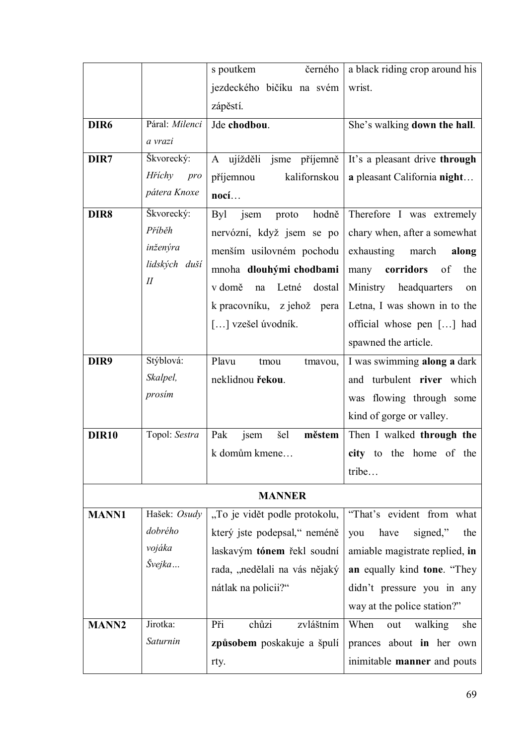|                  |                | černého<br>s poutkem                 | a black riding crop around his     |
|------------------|----------------|--------------------------------------|------------------------------------|
|                  |                | jezdeckého bičíku na svém            | wrist.                             |
|                  |                | zápěstí.                             |                                    |
| DIR <sub>6</sub> | Páral: Milenci | Jde chodbou.                         | She's walking down the hall.       |
|                  | a vrazi        |                                      |                                    |
| DIR7             | Škvorecký:     | A ujížděli<br>příjemně<br>jsme       | It's a pleasant drive through      |
|                  | Hříchy<br>pro  | příjemnou<br>kalifornskou            | a pleasant California night        |
|                  | pátera Knoxe   | nocí                                 |                                    |
| DIR8             | Škvorecký:     | <b>Byl</b><br>jsem<br>hodně<br>proto | Therefore I was extremely          |
|                  | Příběh         | nervózní, když jsem se po            | chary when, after a somewhat       |
|                  | inženýra       | menším usilovném pochodu             | exhausting march<br>along          |
|                  | lidských duší  | mnoha dlouhými chodbami              | corridors<br>many<br>of<br>the     |
|                  | $I\!I$         | v domě<br>Letné<br>dostal<br>na      | Ministry<br>headquarters<br>on     |
|                  |                | k pracovníku, z jehož pera           | Letna, I was shown in to the       |
|                  |                | [] vzešel úvodník.                   | official whose pen [] had          |
|                  |                |                                      | spawned the article.               |
| DIR9             | Stýblová:      | Plavu<br>tmou<br>tmayou,             | I was swimming along a dark        |
|                  | Skalpel,       | neklidnou řekou.                     | and turbulent river which          |
|                  | prosim         |                                      | was flowing through some           |
|                  |                |                                      | kind of gorge or valley.           |
| <b>DIR10</b>     | Topol: Sestra  | městem<br>Pak<br>šel<br>jsem         | Then I walked through the          |
|                  |                | k domům kmene                        | city to the home of the            |
|                  |                |                                      | tribe                              |
|                  |                | <b>MANNER</b>                        |                                    |
| <b>MANN1</b>     | Hašek: Osudy   | "To je vidět podle protokolu,        | "That's evident from what          |
|                  | dobrého        | který jste podepsal," neméně         | have<br>signed,"<br>the<br>you     |
|                  | vojáka         | laskavým tónem řekl soudní           | amiable magistrate replied, in     |
|                  | Švejka         | rada, "nedělali na vás nějaký        | an equally kind tone. "They        |
|                  |                | nátlak na policii?"                  | didn't pressure you in any         |
|                  |                |                                      | way at the police station?"        |
| <b>MANN2</b>     | Jirotka:       | Při<br>chůzi<br>zvláštním            | When<br>walking<br>she<br>out      |
|                  | Saturnin       | způsobem poskakuje a špulí           | prances about in her own           |
|                  |                | rty.                                 | inimitable <b>manner</b> and pouts |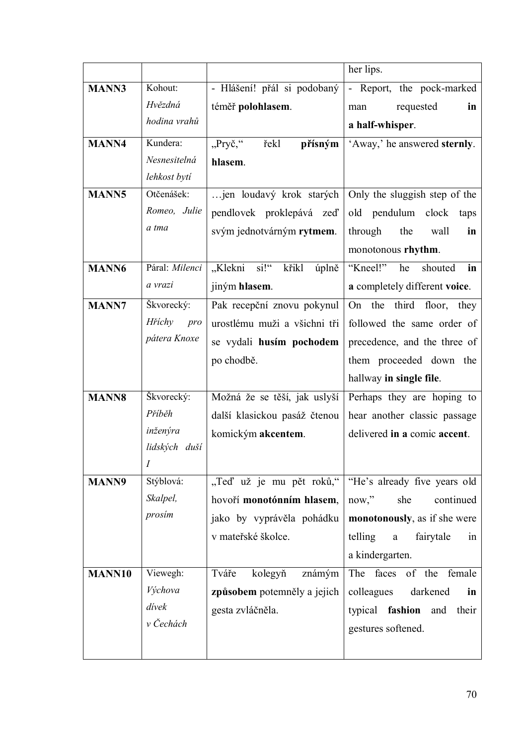| <b>MANN3</b><br>Kohout:<br>- Hlášení! přál si podobaný<br>- Report, the pock-marked<br>Hvězdná<br>téměř polohlasem.<br>requested<br>in<br>man<br>hodina vrahů<br>a half-whisper.<br>"Pryč,"<br><b>MANN4</b><br>Kundera:<br>řekl<br>přísným<br>'Away,' he answered sternly.<br>Nesnesitelná<br>hlasem.<br>lehkost bytí<br><b>MANN5</b><br>Otčenášek:<br>jen loudavý krok starých<br>Only the sluggish step of the<br>Romeo, Julie<br>pendlovek proklepává zeď<br>old pendulum clock<br>taps<br>a tma<br>svým jednotvárným rytmem.<br>the<br>through<br>wall<br>in<br>monotonous rhythm.<br>Páral: Milenci<br>"Klekni si!"<br>"Kneel!"<br>he<br>MANN6<br>křikl<br>shouted<br>úplně<br>in<br>a vrazi<br>jiným hlasem.<br>a completely different voice. |
|-----------------------------------------------------------------------------------------------------------------------------------------------------------------------------------------------------------------------------------------------------------------------------------------------------------------------------------------------------------------------------------------------------------------------------------------------------------------------------------------------------------------------------------------------------------------------------------------------------------------------------------------------------------------------------------------------------------------------------------------------------|
|                                                                                                                                                                                                                                                                                                                                                                                                                                                                                                                                                                                                                                                                                                                                                     |
|                                                                                                                                                                                                                                                                                                                                                                                                                                                                                                                                                                                                                                                                                                                                                     |
|                                                                                                                                                                                                                                                                                                                                                                                                                                                                                                                                                                                                                                                                                                                                                     |
|                                                                                                                                                                                                                                                                                                                                                                                                                                                                                                                                                                                                                                                                                                                                                     |
|                                                                                                                                                                                                                                                                                                                                                                                                                                                                                                                                                                                                                                                                                                                                                     |
|                                                                                                                                                                                                                                                                                                                                                                                                                                                                                                                                                                                                                                                                                                                                                     |
|                                                                                                                                                                                                                                                                                                                                                                                                                                                                                                                                                                                                                                                                                                                                                     |
|                                                                                                                                                                                                                                                                                                                                                                                                                                                                                                                                                                                                                                                                                                                                                     |
|                                                                                                                                                                                                                                                                                                                                                                                                                                                                                                                                                                                                                                                                                                                                                     |
|                                                                                                                                                                                                                                                                                                                                                                                                                                                                                                                                                                                                                                                                                                                                                     |
|                                                                                                                                                                                                                                                                                                                                                                                                                                                                                                                                                                                                                                                                                                                                                     |
|                                                                                                                                                                                                                                                                                                                                                                                                                                                                                                                                                                                                                                                                                                                                                     |
| <b>MANN7</b><br>Škvorecký:<br>Pak recepční znovu pokynul<br>On the third floor, they                                                                                                                                                                                                                                                                                                                                                                                                                                                                                                                                                                                                                                                                |
| Hříchy<br>pro<br>urostlému muži a všichni tři<br>followed the same order of                                                                                                                                                                                                                                                                                                                                                                                                                                                                                                                                                                                                                                                                         |
| pátera Knoxe<br>se vydali husím pochodem<br>precedence, and the three of                                                                                                                                                                                                                                                                                                                                                                                                                                                                                                                                                                                                                                                                            |
| po chodbě.<br>them proceeded down the                                                                                                                                                                                                                                                                                                                                                                                                                                                                                                                                                                                                                                                                                                               |
| hallway in single file.                                                                                                                                                                                                                                                                                                                                                                                                                                                                                                                                                                                                                                                                                                                             |
| Škvorecký:<br>Možná že se těší, jak uslyší<br>Perhaps they are hoping to<br><b>MANN8</b>                                                                                                                                                                                                                                                                                                                                                                                                                                                                                                                                                                                                                                                            |
| Příběh<br>další klasickou pasáž čtenou<br>hear another classic passage                                                                                                                                                                                                                                                                                                                                                                                                                                                                                                                                                                                                                                                                              |
| inženýra<br>komickým akcentem.<br>delivered in a comic accent.                                                                                                                                                                                                                                                                                                                                                                                                                                                                                                                                                                                                                                                                                      |
| lidských duší                                                                                                                                                                                                                                                                                                                                                                                                                                                                                                                                                                                                                                                                                                                                       |
| $\boldsymbol{I}$                                                                                                                                                                                                                                                                                                                                                                                                                                                                                                                                                                                                                                                                                                                                    |
| "Teď už je mu pět roků,"<br>Stýblová:<br>"He's already five years old<br><b>MANN9</b>                                                                                                                                                                                                                                                                                                                                                                                                                                                                                                                                                                                                                                                               |
| Skalpel,<br>hovoří monotónním hlasem,<br>now, "<br>she<br>continued                                                                                                                                                                                                                                                                                                                                                                                                                                                                                                                                                                                                                                                                                 |
| prosim<br>jako by vyprávěla pohádku<br>monotonously, as if she were                                                                                                                                                                                                                                                                                                                                                                                                                                                                                                                                                                                                                                                                                 |
| v mateřské školce.<br>telling<br>fairytale<br>in<br>$\mathbf{a}$                                                                                                                                                                                                                                                                                                                                                                                                                                                                                                                                                                                                                                                                                    |
| a kindergarten.                                                                                                                                                                                                                                                                                                                                                                                                                                                                                                                                                                                                                                                                                                                                     |
| MANN10<br>Viewegh:<br>kolegyň<br>Tváře<br>známým<br>The<br>faces of the female                                                                                                                                                                                                                                                                                                                                                                                                                                                                                                                                                                                                                                                                      |
| Výchova<br>způsobem potemněly a jejich<br>colleagues<br>darkened<br>in                                                                                                                                                                                                                                                                                                                                                                                                                                                                                                                                                                                                                                                                              |
| dívek<br>gesta zvláčněla.<br>typical <b>fashion</b> and their                                                                                                                                                                                                                                                                                                                                                                                                                                                                                                                                                                                                                                                                                       |
| v Čechách<br>gestures softened.                                                                                                                                                                                                                                                                                                                                                                                                                                                                                                                                                                                                                                                                                                                     |
|                                                                                                                                                                                                                                                                                                                                                                                                                                                                                                                                                                                                                                                                                                                                                     |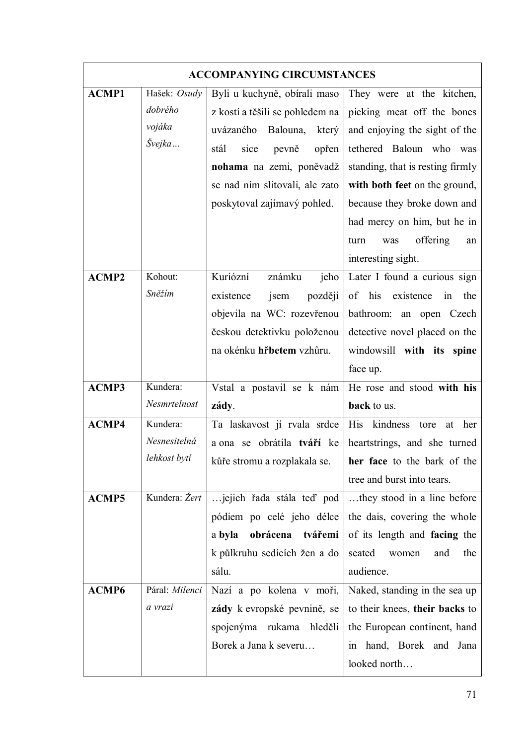|              |                | <b>ACCOMPANYING CIRCUMSTANCES</b> |                                             |
|--------------|----------------|-----------------------------------|---------------------------------------------|
| <b>ACMP1</b> | Hašek: Osudy   | Byli u kuchyně, obírali maso      | They were at the kitchen,                   |
|              | dobrého        | z kostí a těšili se pohledem na   | picking meat off the bones                  |
|              | vojáka         | uvázaného<br>Balouna,<br>který    | and enjoying the sight of the               |
|              | Švejka         | stál<br>sice<br>pevně<br>opřen    | tethered Baloun who<br>was                  |
|              |                | nohama na zemi, poněvadž          | standing, that is resting firmly            |
|              |                | se nad ním slitovali, ale zato    | with both feet on the ground,               |
|              |                | poskytoval zajímavý pohled.       | because they broke down and                 |
|              |                |                                   | had mercy on him, but he in                 |
|              |                |                                   | offering<br>turn<br>was<br>an               |
|              |                |                                   | interesting sight.                          |
| <b>ACMP2</b> | Kohout:        | Kuriózní<br>známku<br>jeho        | Later I found a curious sign                |
|              | Sněžím         | později<br>existence<br>jsem      | of<br>his<br>existence<br>$\sin$<br>the     |
|              |                | objevila na WC: rozevřenou        | bathroom: an open Czech                     |
|              |                | českou detektivku položenou       | detective novel placed on the               |
|              |                | na okénku hřbetem vzhůru.         | windowsill with its spine                   |
|              |                |                                   | face up.                                    |
| <b>ACMP3</b> | Kundera:       | Vstal a postavil se k nám         | He rose and stood with his                  |
|              | Nesmrtelnost   | zády.                             | back to us.                                 |
| <b>ACMP4</b> | Kundera:       | Ta laskavost jí rvala srdce       | <b>His</b><br>kindness<br>her<br>tore<br>at |
|              | Nesnesitelná   | a ona se obrátila tváří ke        | heartstrings, and she turned                |
|              | lehkost bytí   | kůře stromu a rozplakala se.      | her face to the bark of the                 |
|              |                |                                   | tree and burst into tears.                  |
| <b>ACMP5</b> | Kundera: Žert  | jejich řada stála teď pod         | they stood in a line before                 |
|              |                | pódiem po celé jeho délce         | the dais, covering the whole                |
|              |                | obrácena<br>a byla<br>tvářemi     | of its length and facing the                |
|              |                | k půlkruhu sedících žen a do      | seated<br>women<br>the<br>and               |
|              |                | sálu.                             | audience.                                   |
| ACMP6        | Páral: Milenci | Nazí a po kolena v moři,          | Naked, standing in the sea up               |
|              | a vrazi        | zády k evropské pevnině, se       | to their knees, their backs to              |
|              |                | spojenýma<br>rukama<br>hleděli    | the European continent, hand                |
|              |                | Borek a Jana k severu             | hand, Borek and Jana<br>1n                  |
|              |                |                                   | looked north                                |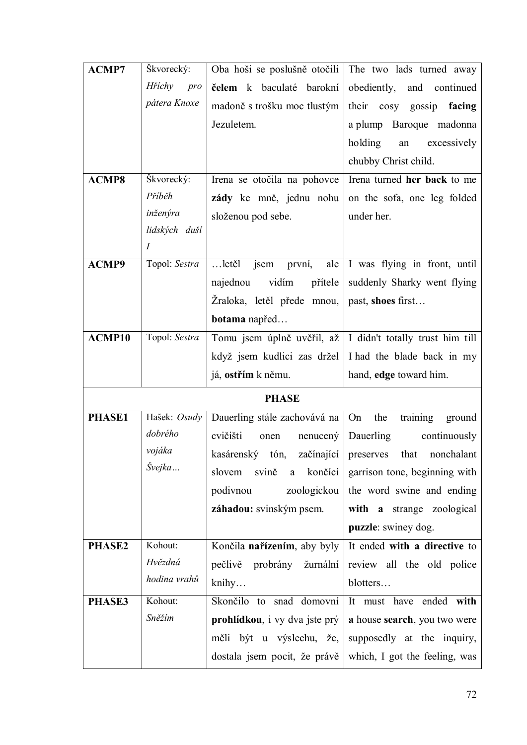| <b>ACMP7</b> | Škvorecký:       | Oba hoši se poslušně otočili               | The two lads turned away                                     |
|--------------|------------------|--------------------------------------------|--------------------------------------------------------------|
|              | Hříchy<br>pro    | čelem k baculaté barokní                   | obediently,<br>and continued                                 |
|              | pátera Knoxe     | madoně s trošku moc tlustým                | their cosy gossip facing                                     |
|              |                  | Jezuletem.                                 | a plump Baroque madonna                                      |
|              |                  |                                            | holding<br>excessively<br>an                                 |
|              |                  |                                            | chubby Christ child.                                         |
| <b>ACMP8</b> | Škvorecký:       | Irena se otočila na pohovce                | Irena turned her back to me                                  |
|              | Příběh           | zády ke mně, jednu nohu                    | on the sofa, one leg folded                                  |
|              | inženýra         | složenou pod sebe.                         | under her.                                                   |
|              | lidských duší    |                                            |                                                              |
|              | $\boldsymbol{I}$ |                                            |                                                              |
| <b>ACMP9</b> | Topol: Sestra    | $$ letěl<br>ale<br>jsem<br>první,          | I was flying in front, until                                 |
|              |                  | vidím<br>přítele<br>najednou               | suddenly Sharky went flying                                  |
|              |                  | Žraloka, letěl přede mnou,                 | past, shoes first                                            |
|              |                  | botama napřed                              |                                                              |
| ACMP10       | Topol: Sestra    |                                            | Tomu jsem úplně uvěřil, až   I didn't totally trust him till |
|              |                  | když jsem kudlici zas držel                | I had the blade back in my                                   |
|              |                  |                                            |                                                              |
|              |                  | já, ostřím k němu.                         | hand, edge toward him.                                       |
|              |                  | <b>PHASE</b>                               |                                                              |
| PHASE1       | Hašek: Osudy     | Dauerling stále zachovává na               | training<br>the<br>On<br>ground                              |
|              | dobrého          | cvičišti<br>$n$ enucen $\circ$<br>onen     | Dauerling<br>continuously                                    |
|              | vojáka           | kasárenský tón, začínající preserves       | that nonchalant                                              |
|              | Švejka           | svině<br>končící<br>slovem<br>$\mathbf{a}$ | garrison tone, beginning with                                |
|              |                  | podivnou<br>zoologickou                    | the word swine and ending                                    |
|              |                  | záhadou: svinským psem.                    | with a strange zoological                                    |
|              |                  |                                            | puzzle: swiney dog.                                          |
| PHASE2       | Kohout:          | Končila nařízením, aby byly                | It ended with a directive to                                 |
|              | Hvězdná          | pečlivě probrány žurnální                  | review all the old police                                    |
|              | hodina vrahů     | knihy                                      | blotters                                                     |
| PHASE3       | Kohout:          | Skončilo to snad domovní                   | It must have ended with                                      |
|              | Sněžím           | prohlídkou, i vy dva jste prý              | a house search, you two were                                 |
|              |                  | měli být u výslechu, že,                   | supposedly at the inquiry,                                   |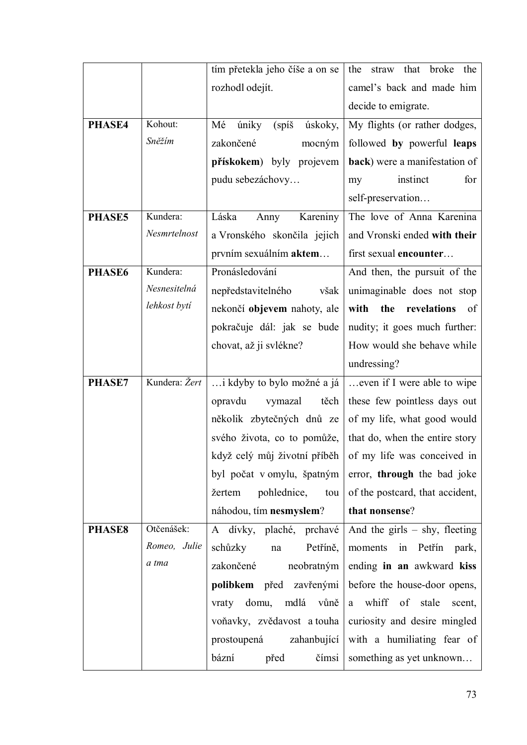|               |               | tím přetekla jeho číše a on se  | that broke the<br>the<br>straw                             |
|---------------|---------------|---------------------------------|------------------------------------------------------------|
|               |               | rozhodl odejít.                 | camel's back and made him                                  |
|               |               |                                 | decide to emigrate.                                        |
| PHASE4        | Kohout:       | Mé<br>úniky<br>(spi)<br>úskoky, | My flights (or rather dodges,                              |
|               | Sněžím        | zakončené<br>mocným             | followed by powerful leaps                                 |
|               |               | přískokem) byly projevem        | back) were a manifestation of                              |
|               |               | pudu sebezáchovy                | instinct<br>for<br>my                                      |
|               |               |                                 | self-preservation                                          |
| PHASE5        | Kundera:      | Láska<br>Kareniny<br>Anny       | The love of Anna Karenina                                  |
|               | Nesmrtelnost  | a Vronského skončila jejich     | and Vronski ended with their                               |
|               |               | prvním sexuálním <b>aktem</b>   | first sexual encounter                                     |
| PHASE6        | Kundera:      | Pronásledování                  | And then, the pursuit of the                               |
|               | Nesnesitelná  | nepředstavitelného<br>však      | unimaginable does not stop                                 |
|               | lehkost bytí  | nekončí objevem nahoty, ale     | with<br>revelations<br>the<br>of                           |
|               |               | pokračuje dál: jak se bude      | nudity; it goes much further:                              |
|               |               | chovat, až ji svlékne?          | How would she behave while                                 |
|               |               |                                 | undressing?                                                |
| PHASE7        | Kundera: Žert | i kdyby to bylo možné a já      | even if I were able to wipe                                |
|               |               | opravdu<br>vymazal<br>těch      | these few pointless days out                               |
|               |               | několik zbytečných dnů ze       | of my life, what good would                                |
|               |               | svého života, co to pomůže,     | that do, when the entire story                             |
|               |               |                                 | když celý můj životní příběh   of my life was conceived in |
|               |               |                                 | byl počat v omylu, špatným error, through the bad joke     |
|               |               | pohlednice,<br>žertem<br>tou    | of the postcard, that accident,                            |
|               |               | náhodou, tím nesmyslem?         | that nonsense?                                             |
| <b>PHASE8</b> | Otčenášek:    | A dívky, plaché, prchavé        | And the girls $-$ shy, fleeting                            |
|               | Romeo, Julie  | schůzky<br>Petříně,<br>na       | moments in Petřín park,                                    |
|               | a tma         | zakončené<br>neobratným         | ending in an awkward kiss                                  |
|               |               | polibkem před zavřenými         | before the house-door opens,                               |
|               |               | vraty domu, mdlá vůně           | a whiff of stale scent,                                    |
|               |               | voňavky, zvědavost a touha      | curiosity and desire mingled                               |
|               |               | prostoupená zahanbující         | with a humiliating fear of                                 |
|               |               | bázní<br>před<br>čímsi          | something as yet unknown                                   |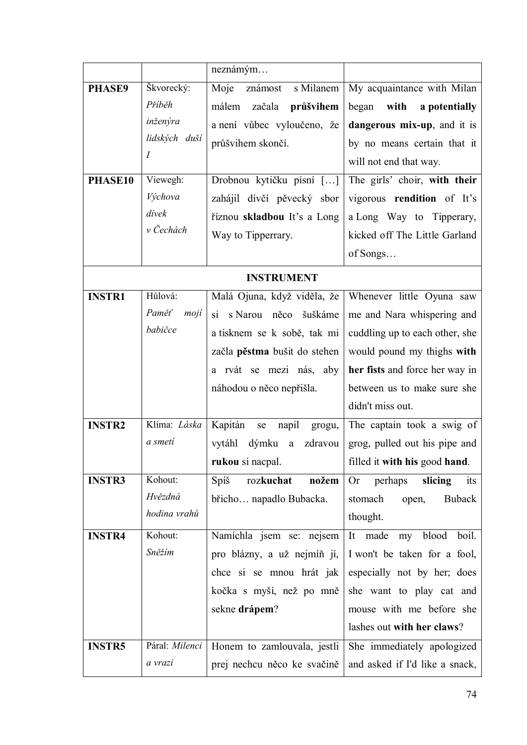|                          |                                                                                                                    | neznámým                                                                                                                                                                                                                       |                                                                                                                                                                                                                                                                                             |
|--------------------------|--------------------------------------------------------------------------------------------------------------------|--------------------------------------------------------------------------------------------------------------------------------------------------------------------------------------------------------------------------------|---------------------------------------------------------------------------------------------------------------------------------------------------------------------------------------------------------------------------------------------------------------------------------------------|
| <b>PHASE9</b><br>PHASE10 | Škvorecký:<br>Příběh<br>inženýra<br>lidských duší<br>$\boldsymbol{I}$<br>Viewegh:<br>Výchova<br>dívek<br>v Čechách | Moje<br>s Milanem<br>známost<br>málem<br>začala<br>průšvihem<br>a není vůbec vyloučeno, že<br>průšvihem skončí.<br>Drobnou kytičku písní []<br>zahájil dívčí pěvecký sbor<br>říznou skladbou It's a Long<br>Way to Tipperrary. | My acquaintance with Milan<br>with<br>a potentially<br>began<br>dangerous mix-up, and it is<br>by no means certain that it<br>will not end that way.<br>The girls' choir, with their<br>vigorous rendition of It's<br>a Long Way to Tipperary,<br>kicked off The Little Garland<br>of Songs |
|                          |                                                                                                                    | <b>INSTRUMENT</b>                                                                                                                                                                                                              |                                                                                                                                                                                                                                                                                             |
| <b>INSTR1</b>            | Hůlová:<br>Paměť<br>mojí<br>babičce                                                                                | Malá Ojuna, když viděla, že<br>s Narou něco šuškáme<br>$\overline{si}$<br>a tisknem se k sobě, tak mi<br>začla pěstma bušit do stehen<br>a rvát se mezi nás, aby                                                               | Whenever little Oyuna saw<br>me and Nara whispering and<br>cuddling up to each other, she<br>would pound my thighs with<br>her fists and force her way in<br>between us to make sure she                                                                                                    |
|                          |                                                                                                                    | náhodou o něco nepřišla.                                                                                                                                                                                                       | didn't miss out.                                                                                                                                                                                                                                                                            |
| <b>INSTR2</b>            | Klíma: Láska<br>a smeti                                                                                            | Kapitán<br>napil<br>se<br>grogu,<br>vytáhl<br>dýmku<br>zdravou<br>a<br>rukou si nacpal.                                                                                                                                        | The captain took a swig of<br>grog, pulled out his pipe and<br>filled it with his good hand.                                                                                                                                                                                                |
| <b>INSTR3</b>            | Kohout:<br>Hvězdná<br>hodina vrahů                                                                                 | Spíš<br>rozkuchat<br>nožem<br>břicho napadlo Bubacka.                                                                                                                                                                          | perhaps<br>slicing<br>Or<br>its<br>Buback<br>stomach<br>open,<br>thought.                                                                                                                                                                                                                   |
| <b>INSTR4</b>            | Kohout:<br>Sněžím                                                                                                  | Namíchla jsem se: nejsem<br>pro blázny, a už nejmíň jí,<br>chce si se mnou hrát jak<br>kočka s myší, než po mně<br>sekne drápem?                                                                                               | made<br>my blood<br>boil.<br>It<br>I won't be taken for a fool,<br>especially not by her; does<br>she want to play cat and<br>mouse with me before she<br>lashes out with her claws?                                                                                                        |
| <b>INSTR5</b>            | Páral: Milenci<br>a vrazi                                                                                          | Honem to zamlouvala, jestli<br>prej nechcu něco ke svačině                                                                                                                                                                     | She immediately apologized<br>and asked if I'd like a snack,                                                                                                                                                                                                                                |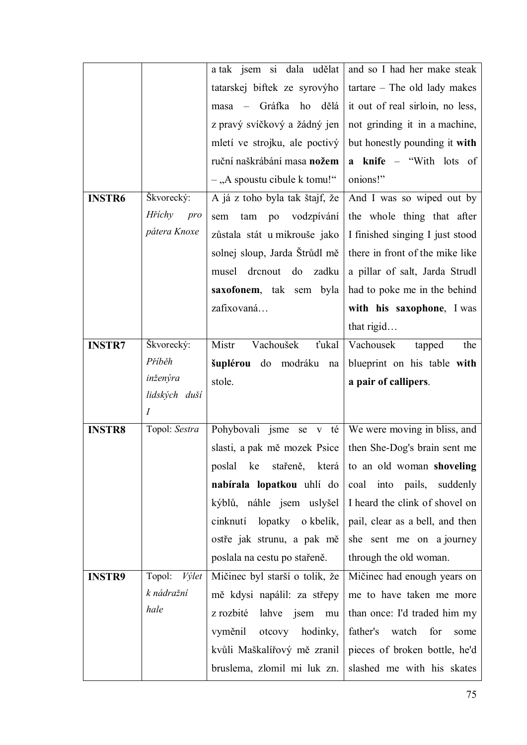|               |                  | a tak jsem si dala udělat                     | and so I had her make steak           |
|---------------|------------------|-----------------------------------------------|---------------------------------------|
|               |                  | tatarskej biftek ze syrovýho                  | $\text{tartare}$ - The old lady makes |
|               |                  | Gráfka<br>ho<br>dělá<br>masa                  | it out of real sirloin, no less,      |
|               |                  | z pravý svíčkový a žádný jen                  | not grinding it in a machine,         |
|               |                  | mletí ve strojku, ale poctivý                 | but honestly pounding it with         |
|               |                  | ruční naškrábání masa nožem                   | <b>a</b> knife – "With lots of        |
|               |                  | $-$ , A spoustu cibule k tomu!"               | onions!"                              |
| <b>INSTR6</b> | Škvorecký:       | A já z toho byla tak štajf, že                | And I was so wiped out by             |
|               | Hříchy<br>pro    | vodzpívání<br>sem<br>tam<br>po                | the whole thing that after            |
|               | pátera Knoxe     | zůstala stát u mikrouše jako                  | I finished singing I just stood       |
|               |                  | solnej sloup, Jarda Štrůdl mě                 | there in front of the mike like       |
|               |                  | drenout<br>do<br>zadku<br>musel               | a pillar of salt, Jarda Strudl        |
|               |                  | saxofonem, tak sem<br>byla                    | had to poke me in the behind          |
|               |                  | zafixovaná                                    | with his saxophone, I was             |
|               |                  |                                               | that rigid                            |
| <b>INSTR7</b> | Škvorecký:       | Vachoušek<br>Mistr<br>ťukal                   | Vachousek<br>tapped<br>the            |
|               | Příběh           | šuplérou do<br>modráku<br>$\operatorname{na}$ | blueprint on his table with           |
|               |                  |                                               |                                       |
|               | inženýra         | stole.                                        | a pair of callipers.                  |
|               | lidských duší    |                                               |                                       |
|               | $\boldsymbol{I}$ |                                               |                                       |
| <b>INSTR8</b> | Topol: Sestra    | Pohybovali jsme<br>té<br>se v                 | We were moving in bliss, and          |
|               |                  | slasti, a pak mě mozek Psice                  | then She-Dog's brain sent me          |
|               |                  | která<br>poslal<br>ke<br>stařeně,             | to an old woman shoveling             |
|               |                  | nabírala lopatkou uhlí do                     | coal<br>into pails,<br>suddenly       |
|               |                  | kýblů, náhle jsem uslyšel                     | I heard the clink of shovel on        |
|               |                  | lopatky o kbelík,<br>cinknutí                 | pail, clear as a bell, and then       |
|               |                  | ostře jak strunu, a pak mě                    | she sent me on a journey              |
|               |                  | poslala na cestu po stařeně.                  | through the old woman.                |
| <b>INSTR9</b> | Topol:<br>Výlet  | Mičinec byl starší o tolik, že                | Mičinec had enough years on           |
|               | k nádražní       | mě kdysi napálil: za střepy                   | me to have taken me more              |
|               | hale             | z rozbité<br>lahve<br>jsem<br>mu              | than once: I'd traded him my          |
|               |                  | vyměnil<br>otcovy<br>hodinky,                 | father's<br>watch<br>for<br>some      |
|               |                  | kvůli Maškalířový mě zranil                   | pieces of broken bottle, he'd         |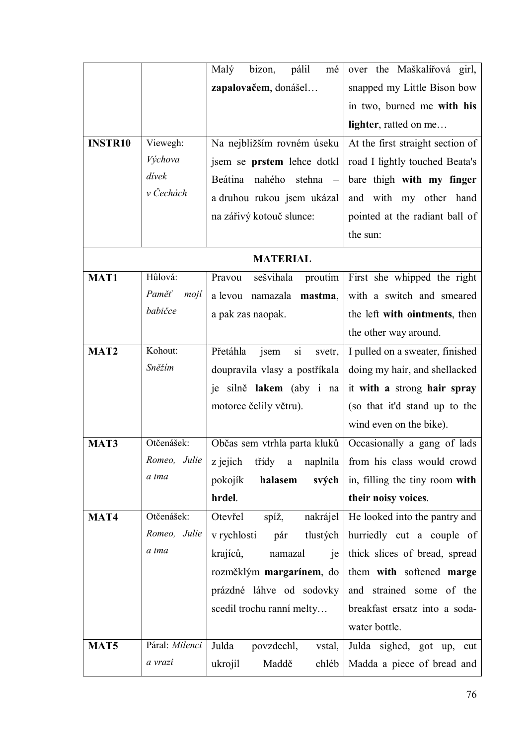|                  |                | pálil<br>Malý<br>bizon,<br>mé    | over the Maškalířová girl,       |
|------------------|----------------|----------------------------------|----------------------------------|
|                  |                | zapalovačem, donášel             | snapped my Little Bison bow      |
|                  |                |                                  | in two, burned me with his       |
|                  |                |                                  | lighter, ratted on me            |
| <b>INSTR10</b>   | Viewegh:       | Na nejbližším rovném úseku       | At the first straight section of |
|                  | Výchova        | jsem se prstem lehce dotkl       | road I lightly touched Beata's   |
|                  | dívek          | Beátina<br>nahého<br>stehna –    | bare thigh with my finger        |
|                  | v Čechách      | a druhou rukou jsem ukázal       | and with my other hand           |
|                  |                | na zářivý kotouč slunce:         | pointed at the radiant ball of   |
|                  |                |                                  | the sun:                         |
|                  |                | <b>MATERIAL</b>                  |                                  |
| <b>MAT1</b>      | Hůlová:        | sešvihala<br>Pravou<br>proutim   | First she whipped the right      |
|                  | Paměť<br>mojí  | a levou namazala<br>mastma,      | with a switch and smeared        |
|                  | babičce        | a pak zas naopak.                | the left with ointments, then    |
|                  |                |                                  | the other way around.            |
| MAT <sub>2</sub> | Kohout:        | Přetáhla<br>si<br>jsem<br>svetr, | I pulled on a sweater, finished  |
|                  | Sněžím         | doupravila vlasy a postříkala    | doing my hair, and shellacked    |
|                  |                | je silně lakem (aby i na         | it with a strong hair spray      |
|                  |                | motorce čelily větru).           | (so that it'd stand up to the    |
|                  |                |                                  | wind even on the bike).          |
| MAT3             | Otčenášek:     | Občas sem vtrhla parta kluků     | Occasionally a gang of lads      |
|                  | Romeo, Julie   | z jejich<br>třídy a<br>naplnila  | from his class would crowd       |
|                  | a tma          | pokojík<br>halasem<br>svých      | in, filling the tiny room with   |
|                  |                | hrdel.                           | their noisy voices.              |
| MAT4             | Otčenášek:     | Otevřel<br>spíž,<br>nakrájel     | He looked into the pantry and    |
|                  | Romeo, Julie   | v rychlosti<br>tlustých<br>pár   | hurriedly cut a couple of        |
|                  | a tma          | krajíců,<br>namazal<br>je        | thick slices of bread, spread    |
|                  |                | rozměklým margarínem, do         | them with softened marge         |
|                  |                | prázdné láhve od sodovky         | and strained some of the         |
|                  |                | scedil trochu ranní melty        | breakfast ersatz into a soda-    |
|                  |                |                                  | water bottle.                    |
| MAT <sub>5</sub> | Páral: Milenci | Julda<br>povzdechl,<br>vstal,    | Julda sighed, got up,<br>cut     |
|                  | a vrazi        | Maddě<br>ukrojil<br>chléb        | Madda a piece of bread and       |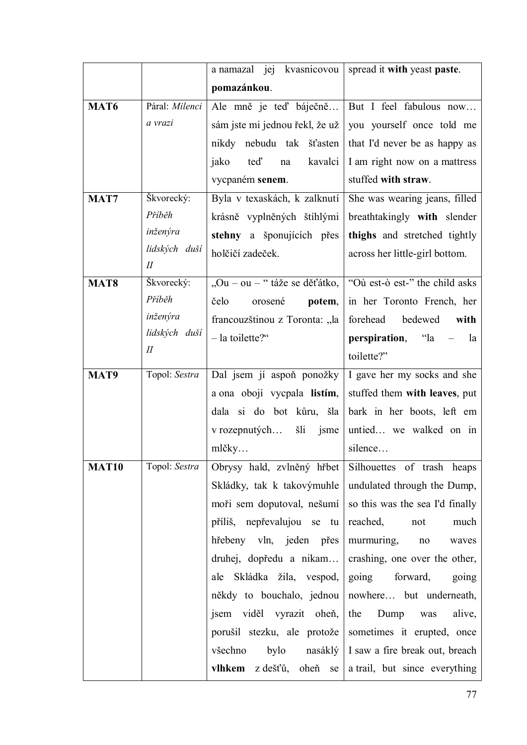|              |                           | a namazal jej kvasnicovou      | spread it with yeast paste.     |
|--------------|---------------------------|--------------------------------|---------------------------------|
|              |                           | pomazánkou.                    |                                 |
| <b>MAT6</b>  | Páral: Milenci            | Ale mně je teď báječně         | But I feel fabulous now         |
|              | a vrazi                   | sám jste mi jednou řekl, že už | you yourself once told me       |
|              |                           | nikdy nebudu tak šťasten       | that I'd never be as happy as   |
|              |                           | teď<br>kavalci<br>jako<br>na   | I am right now on a mattress    |
|              |                           | vycpaném senem.                | stuffed with straw.             |
| MAT7         | Škvorecký:                | Byla v texaskách, k zalknutí   | She was wearing jeans, filled   |
|              | Příběh                    | krásně vyplněných štíhlými     | breathtakingly with slender     |
|              | inženýra                  | stehny a šponujících přes      | thighs and stretched tightly    |
|              | lidských duší             | holčičí zadeček.               | across her little-girl bottom.  |
|              | $I\!I$                    |                                |                                 |
| <b>MAT8</b>  | Škvorecký:<br>Příběh      | "Ou – ou – " táže se děťátko,  | "Où est-ò est-" the child asks  |
|              |                           | čelo<br>orosené<br>potem,      | in her Toronto French, her      |
|              | inženýra<br>lidských duší | francouzštinou z Toronta: "la  | forehead<br>bedewed<br>with     |
|              | $I\!I$                    | - la toilette?"                | <b>perspiration</b> , "la<br>la |
|              |                           |                                | toilette?"                      |
| MAT9         | Topol: Sestra             | Dal jsem jí aspoň ponožky      | I gave her my socks and she     |
|              |                           | a ona obojí vycpala listím,    | stuffed them with leaves, put   |
|              |                           | dala si do bot kůru, šla       | bark in her boots, left em      |
|              |                           | v rozepnutých<br>šli<br>jsme   | untied we walked on in          |
|              |                           | mlčky                          | silence                         |
| <b>MAT10</b> | Topol: Sestra             | Obrysy hald, zvlněný hřbet     | Silhouettes of trash heaps      |
|              |                           | Skládky, tak k takovýmuhle     | undulated through the Dump,     |
|              |                           | moři sem doputoval, nešumí     | so this was the sea I'd finally |
|              |                           | příliš, nepřevalujou se tu     | reached,<br>not<br>much         |
|              |                           | hřebeny vln, jeden přes        | murmuring,<br>$\rm no$<br>waves |
|              |                           | druhej, dopředu a nikam        | crashing, one over the other,   |
|              |                           | ale Skládka žila, vespod,      | going<br>forward,<br>going      |
|              |                           | někdy to bouchalo, jednou      | nowhere but underneath,         |
|              |                           | jsem viděl vyrazit oheň,       | the<br>Dump<br>alive,<br>was    |
|              |                           | porušil stezku, ale protože    | sometimes it erupted, once      |
|              |                           | všechno<br>bylo<br>nasáklý     | I saw a fire break out, breach  |
|              |                           | z dešťů, oheň<br>vlhkem<br>se  | a trail, but since everything   |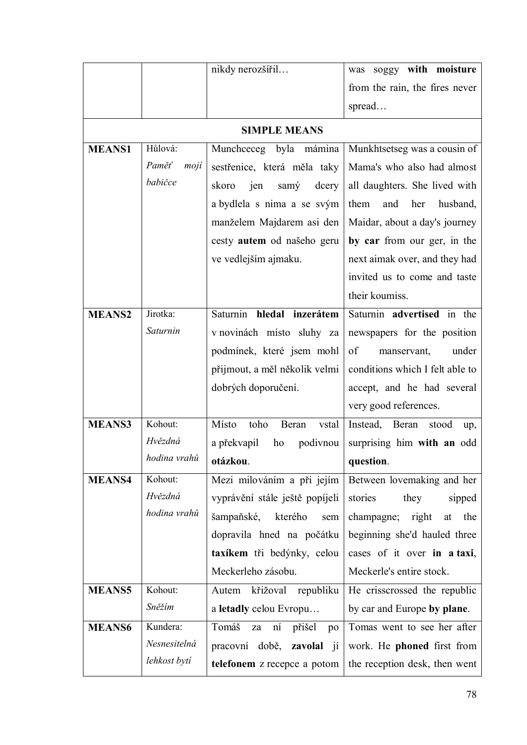|               |               | nikdy nerozšířil                | was soggy with moisture           |
|---------------|---------------|---------------------------------|-----------------------------------|
|               |               |                                 | from the rain, the fires never    |
|               |               |                                 | spread                            |
|               |               | <b>SIMPLE MEANS</b>             |                                   |
| <b>MEANS1</b> | Hůlová:       | Muncheeceg byla mámina          | Munkhtsetseg was a cousin of      |
|               | Paměť<br>mojí | sestřenice, která měla taky     | Mama's who also had almost        |
|               | babičce       | skoro<br>jen<br>samý<br>dcery   | all daughters. She lived with     |
|               |               | a bydlela s nima a se svým      | them<br>and<br>her<br>husband,    |
|               |               | manželem Majdarem asi den       | Maidar, about a day's journey     |
|               |               | cesty autem od našeho geru      | by car from our ger, in the       |
|               |               | ve vedlejším ajmaku.            | next aimak over, and they had     |
|               |               |                                 | invited us to come and taste      |
|               |               |                                 | their koumiss.                    |
| <b>MEANS2</b> | Jirotka:      | Saturnin hledal inzerátem       | Saturnin advertised in the        |
|               | Saturnin      | v novinách místo sluhy za       | newspapers for the position       |
|               |               | podmínek, které jsem mohl       | of<br>under<br>manservant,        |
|               |               | přijmout, a měl několik velmi   | conditions which I felt able to   |
|               |               | dobrých doporučení.             | accept, and he had several        |
|               |               |                                 | very good references.             |
| <b>MEANS3</b> | Kohout:       | Místo<br>toho<br>Beran<br>vstal | Instead, Beran<br>stood<br>up,    |
|               | Hvězdná       | a překvapil<br>podivnou<br>ho   | surprising him with an odd        |
|               | hodina vrahů  | otázkou.                        | question.                         |
| <b>MEANS4</b> | Kohout:       | Mezi milováním a při jejím      | Between lovemaking and her        |
|               | Hvězdná       | vyprávění stále ještě popíjeli  | stories<br>they<br>sipped         |
|               | hodina vrahů  | šampaňské,<br>kterého<br>sem    | champagne; right<br>the<br>at     |
|               |               | dopravila hned na počátku       | beginning she'd hauled three      |
|               |               | taxíkem tři bedýnky, celou      | cases of it over in a taxi,       |
|               |               | Meckerleho zásobu.              | Meckerle's entire stock.          |
| <b>MEANS5</b> | Kohout:       | Autem křižoval republiku        | He crisscrossed the republic      |
|               | Sněžím        | a letadly celou Evropu          | by car and Europe by plane.       |
| <b>MEANS6</b> | Kundera:      | Tomáš<br>ní přišel<br>za<br>po  | Tomas went to see her after       |
|               | Nesnesitelná  | pracovní době, zavolal jí       | work. He <b>phoned</b> first from |
|               | lehkost bytí  | telefonem z recepce a potom     | the reception desk, then went     |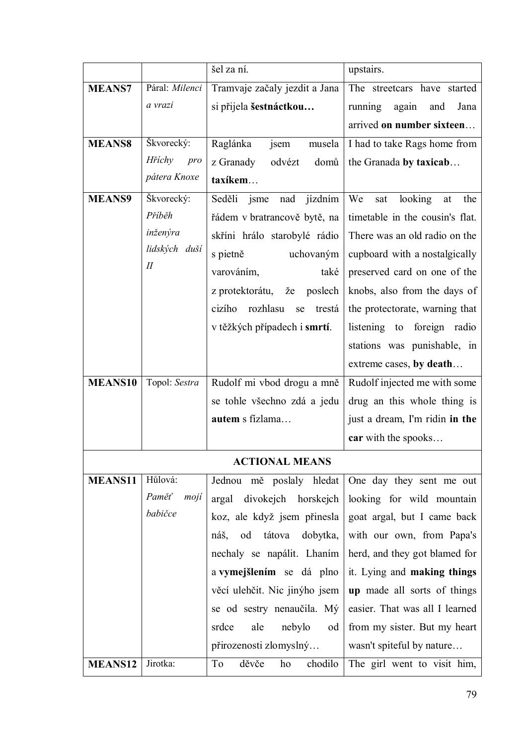|                |                | šel za ní.                         | upstairs.                         |
|----------------|----------------|------------------------------------|-----------------------------------|
| <b>MEANS7</b>  | Páral: Milenci | Tramvaje začaly jezdit a Jana      | The streetcars have started       |
|                | a vrazi        | si přijela šestnáctkou             | running<br>again<br>Jana<br>and   |
|                |                |                                    | arrived on number sixteen         |
| <b>MEANS8</b>  | Škvorecký:     | Raglánka<br>jsem<br>musela         | I had to take Rags home from      |
|                | Hříchy<br>pro  | odvézt<br>domů<br>z Granady        | the Granada by taxicab            |
|                | pátera Knoxe   | taxíkem                            |                                   |
| <b>MEANS9</b>  | Škvorecký:     | Seděli<br>jízdním<br>jsme<br>nad   | We<br>looking<br>the<br>sat<br>at |
|                | Příběh         | řádem v bratrancově bytě, na       | timetable in the cousin's flat.   |
|                | inženýra       | skříni hrálo starobylé rádio       | There was an old radio on the     |
|                | lidských duší  | s pietně<br>uchovaným              | cupboard with a nostalgically     |
|                | $I\!I$         | varováním,<br>také                 | preserved card on one of the      |
|                |                | poslech<br>z protektorátu,<br>že   | knobs, also from the days of      |
|                |                | rozhlasu<br>cizího<br>trestá<br>se | the protectorate, warning that    |
|                |                | v těžkých případech i smrtí.       | listening to<br>foreign radio     |
|                |                |                                    | stations was punishable, in       |
|                |                |                                    | extreme cases, by death           |
| <b>MEANS10</b> | Topol: Sestra  | Rudolf mi vbod drogu a mně         | Rudolf injected me with some      |
|                |                | se tohle všechno zdá a jedu        | drug an this whole thing is       |
|                |                | autem s fízlama                    | just a dream, I'm ridin in the    |
|                |                |                                    | car with the spooks               |
|                |                | <b>ACTIONAL MEANS</b>              |                                   |
| <b>MEANS11</b> | Hůlová:        | Jednou mě poslaly hledat           | One day they sent me out          |
|                | Paměť<br>mojí  | argal<br>divokejch<br>horskejch    | looking for wild mountain         |
|                | babičce        | koz, ale když jsem přinesla        | goat argal, but I came back       |
|                |                | tátova<br>od<br>dobytka,<br>náš,   | with our own, from Papa's         |
|                |                | nechaly se napálit. Lhaním         | herd, and they got blamed for     |
|                |                | a vymejšlením se dá plno           | it. Lying and making things       |
|                |                | věcí ulehčit. Nic jinýho jsem      | up made all sorts of things       |
|                |                | se od sestry nenaučila. Mý         | easier. That was all I learned    |
|                |                | srdce<br>ale<br>nebylo<br>od       | from my sister. But my heart      |
|                |                | přirozenosti zlomyslný             | wasn't spiteful by nature         |
| MEANS12        | Jirotka:       | chodilo<br>děvče<br>To<br>ho       | The girl went to visit him,       |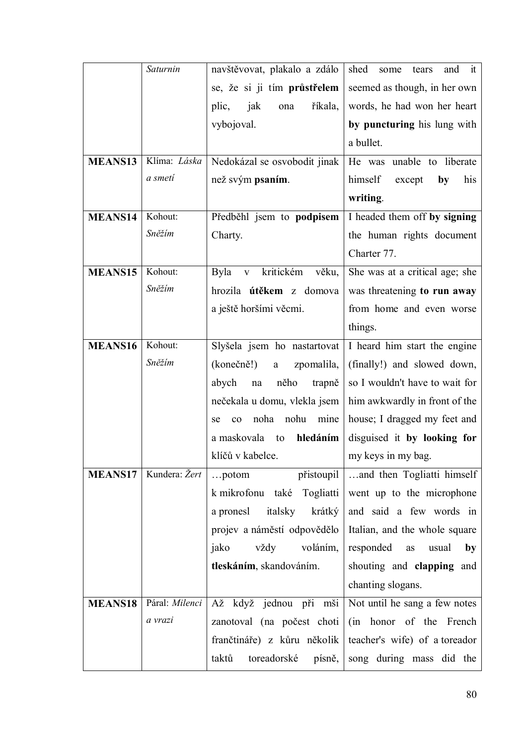|                | Saturnin       | navštěvovat, plakalo a zdálo                   | it<br>shed<br>and<br>some<br>tears |
|----------------|----------------|------------------------------------------------|------------------------------------|
|                |                | se, že si ji tím průstřelem                    | seemed as though, in her own       |
|                |                | jak<br>říkala,<br>plic,<br>ona                 | words, he had won her heart        |
|                |                | vybojoval.                                     | by puncturing his lung with        |
|                |                |                                                | a bullet.                          |
| <b>MEANS13</b> | Klíma: Láska   | Nedokázal se osvobodit jinak                   | He was unable to liberate          |
|                | a smeti        | než svým psaním.                               | himself<br>his<br>except<br>by     |
|                |                |                                                | writing.                           |
| <b>MEANS14</b> | Kohout:        | Předběhl jsem to podpisem                      | I headed them off by signing       |
|                | Sněžím         | Charty.                                        | the human rights document          |
|                |                |                                                | Charter 77.                        |
| <b>MEANS15</b> | Kohout:        | Byla<br>kritickém<br>věku,<br>$\mathbf{V}$     | She was at a critical age; she     |
|                | Sněžím         | hrozila <b>útěkem</b> z domova                 | was threatening to run away        |
|                |                | a ještě horšími věcmi.                         | from home and even worse           |
|                |                |                                                | things.                            |
| <b>MEANS16</b> | Kohout:        | Slyšela jsem ho nastartovat                    | I heard him start the engine       |
|                | Sněžím         | (konečně!)<br>zpomalila,<br>a                  | (finally!) and slowed down,        |
|                |                | něho<br>abych<br>trapně<br>$\operatorname{na}$ | so I wouldn't have to wait for     |
|                |                | nečekala u domu, vlekla jsem                   | him awkwardly in front of the      |
|                |                | noha<br>nohu<br>mine<br>co<br>se               | house; I dragged my feet and       |
|                |                | a maskovala<br>hledáním<br>to                  | disguised it by looking for        |
|                |                | klíčů v kabelce.                               | my keys in my bag.                 |
| <b>MEANS17</b> | Kundera: Žert  | přistoupil<br>$\ldots$ potom                   | and then Togliatti himself         |
|                |                | k mikrofonu také Togliatti                     | went up to the microphone          |
|                |                | italsky<br>a pronesl<br>krátký                 | and said a few words in            |
|                |                | projev a náměstí odpovědělo                    | Italian, and the whole square      |
|                |                | jako<br>vždy<br>voláním,                       | responded<br>as<br>usual<br>by     |
|                |                | tleskáním, skandováním.                        | shouting and <b>clapping</b> and   |
|                |                |                                                | chanting slogans.                  |
| <b>MEANS18</b> | Páral: Milenci | Až když jednou při mši                         | Not until he sang a few notes      |
|                | a vrazi        | zanotoval (na počest choti                     | (in honor of the French            |
|                |                | frančtináře) z kůru několik                    | teacher's wife) of a toreador      |
|                |                | toreadorské<br>taktů<br>písně,                 | song during mass did the           |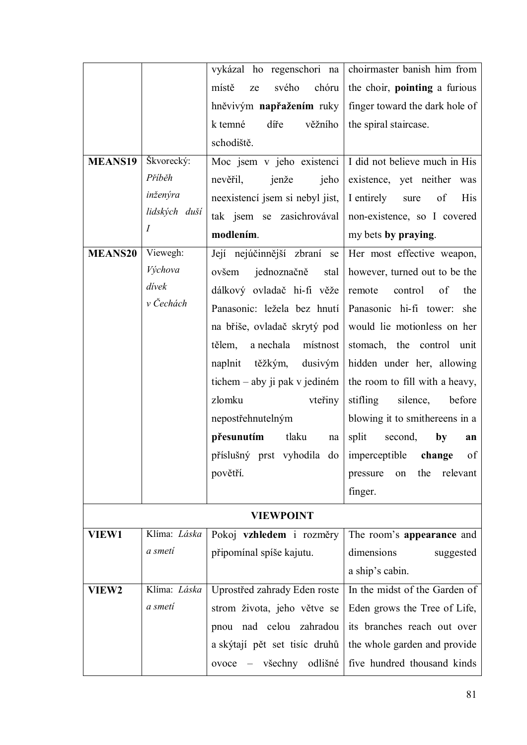|                |                  |                                                 | vykázal ho regenschori na choirmaster banish him from           |
|----------------|------------------|-------------------------------------------------|-----------------------------------------------------------------|
|                |                  | chóru<br>místě<br>svého<br>ze                   | the choir, pointing a furious                                   |
|                |                  | hněvivým napřažením ruky                        | finger toward the dark hole of                                  |
|                |                  | k temné<br>díře<br>věžního                      | the spiral staircase.                                           |
|                |                  | schodiště.                                      |                                                                 |
| <b>MEANS19</b> | Škvorecký:       |                                                 | Moc jsem v jeho existenci $\vert$ I did not believe much in His |
|                | Příběh           | nevěřil,<br>jenže<br>jeho                       | existence, yet neither was                                      |
|                | inženýra         | neexistenci jsem si nebyl jist,                 | I entirely<br>of<br>His<br>sure                                 |
|                | lidských duší    | tak jsem se zasichrovával                       | non-existence, so I covered                                     |
|                | $\boldsymbol{I}$ | modlením.                                       | my bets by praying.                                             |
| <b>MEANS20</b> | Viewegh:         | Její nejúčinnější zbraní<br>se                  | Her most effective weapon,                                      |
|                | Výchova          | jednoznačně<br>ovšem<br>stal                    | however, turned out to be the                                   |
|                | dívek            | dálkový ovladač hi-fi věže                      | of<br>control<br>remote<br>the                                  |
|                | v Čechách        | Panasonic: ležela bez hnutí                     | Panasonic hi-fi tower: she                                      |
|                |                  | na břiše, ovladač skrytý pod                    | would lie motionless on her                                     |
|                |                  | a nechala místnost<br>tělem,                    | stomach, the control unit                                       |
|                |                  | naplnit těžkým, dusivým                         | hidden under her, allowing                                      |
|                |                  | tichem – aby ji pak v jediném                   | the room to fill with a heavy,                                  |
|                |                  | zlomku<br>vteřiny                               | stifling<br>silence,<br>before                                  |
|                |                  | nepostřehnutelným                               | blowing it to smithereens in a                                  |
|                |                  | přesunutím<br>tlaku<br>na                       | split<br>second,<br>by<br>an                                    |
|                |                  | příslušný prst vyhodila do imperceptible change | - of                                                            |
|                |                  | povětří.                                        | the<br>relevant<br>pressure<br>on                               |
|                |                  |                                                 | finger.                                                         |
|                |                  | <b>VIEWPOINT</b>                                |                                                                 |
| <b>VIEW1</b>   | Klíma: Láska     | Pokoj vzhledem i rozměry                        | The room's appearance and                                       |
|                | a smeti          | připomínal spíše kajutu.                        | dimensions<br>suggested                                         |
|                |                  |                                                 | a ship's cabin.                                                 |
| <b>VIEW2</b>   | Klíma: Láska     | Uprostřed zahrady Eden roste                    | In the midst of the Garden of                                   |
|                | a smeti          | strom života, jeho větve se                     | Eden grows the Tree of Life,                                    |
|                |                  | pnou nad celou zahradou                         | its branches reach out over                                     |
|                |                  | a skýtají pět set tisíc druhů                   | the whole garden and provide                                    |
|                |                  | ovoce – všechny odlišné                         | five hundred thousand kinds                                     |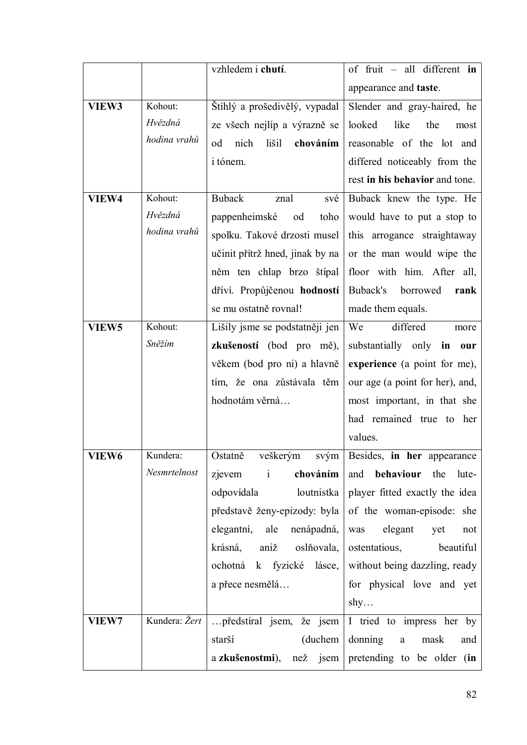|                   |               | vzhledem i chutí.               | of fruit $-$ all different in                                  |
|-------------------|---------------|---------------------------------|----------------------------------------------------------------|
|                   |               |                                 | appearance and <b>taste</b> .                                  |
| VIEW3             | Kohout:       | Štíhlý a prošedivělý, vypadal   | Slender and gray-haired, he                                    |
|                   | Hvězdná       | ze všech nejlíp a výrazně se    | looked<br>like<br>the<br>most                                  |
|                   | hodina vrahů  | nich<br>od<br>lišil<br>chováním | reasonable of the lot and                                      |
|                   |               | i tónem.                        | differed noticeably from the                                   |
|                   |               |                                 | rest in his behavior and tone.                                 |
| VIEW4             | Kohout:       | <b>Buback</b><br>znal<br>své    | Buback knew the type. He                                       |
|                   | Hvězdná       | pappenheimské<br>toho<br>od     | would have to put a stop to                                    |
|                   | hodina vrahů  | spolku. Takové drzosti musel    | this arrogance straightaway                                    |
|                   |               | učinit přítrž hned, jinak by na | or the man would wipe the                                      |
|                   |               | něm ten chlap brzo štípal       | floor with him. After all,                                     |
|                   |               | dříví. Propůjčenou hodností     | Buback's<br>borrowed<br>rank                                   |
|                   |               | se mu ostatně rovnal!           | made them equals.                                              |
| VIEW <sub>5</sub> | Kohout:       | Lišily jsme se podstatněji jen  | We<br>differed<br>more                                         |
|                   | Sněžím        | zkušeností (bod pro mě),        | substantially only in<br>our                                   |
|                   |               | věkem (bod pro ni) a hlavně     | experience (a point for me),                                   |
|                   |               | tím, že ona zůstávala těm       | our age (a point for her), and,                                |
|                   |               | hodnotám věrná                  | most important, in that she                                    |
|                   |               |                                 | had remained true to her                                       |
|                   |               |                                 | values.                                                        |
| VIEW6             | Kundera:      | Ostatně<br>veškerým<br>svým     | Besides, in her appearance                                     |
|                   | Nesmrtelnost  | zjevem i<br>chováním            | and<br>behaviour the<br>lute-                                  |
|                   |               | loutnistka<br>odpovídala        | player fitted exactly the idea                                 |
|                   |               |                                 | představě ženy-epizody: byla $\vert$ of the woman-episode: she |
|                   |               | elegantní, ale nenápadná,       | was elegant<br>yet<br>not                                      |
|                   |               | krásná, aniž oslňovala,         | ostentatious, beautiful                                        |
|                   |               |                                 | ochotná k fyzické lásce, without being dazzling, ready         |
|                   |               | a přece nesmělá                 | for physical love and yet                                      |
|                   |               |                                 | $\text{shy} \dots$                                             |
| <b>VIEW7</b>      | Kundera: Žert |                                 | předstíral jsem, že jsem $ I $ tried to impress her by         |
|                   |               | (duchem)<br>starší              | donning<br>$\mathbf{a}$<br>mask<br>and                         |
|                   |               |                                 | a zkušenostmi), než jsem pretending to be older (in            |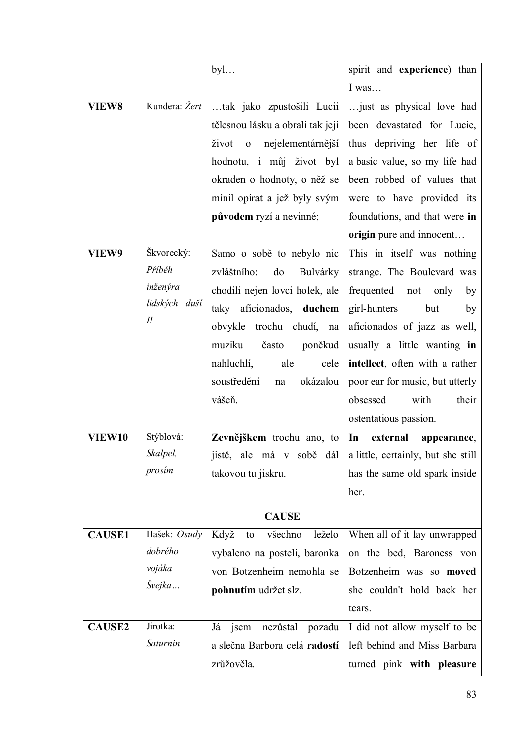|               |               | $by$ l                                                | spirit and experience) than                                 |
|---------------|---------------|-------------------------------------------------------|-------------------------------------------------------------|
|               |               |                                                       | I was                                                       |
| <b>VIEW8</b>  | Kundera: Žert | tak jako zpustošili Lucii                             | just as physical love had                                   |
|               |               | tělesnou lásku a obrali tak její                      | been devastated for Lucie,                                  |
|               |               | život<br>nejelementárnější<br>$\overline{\mathbf{0}}$ | thus depriving her life of                                  |
|               |               | hodnotu, i můj život byl                              | a basic value, so my life had                               |
|               |               | okraden o hodnoty, o něž se                           | been robbed of values that                                  |
|               |               | mínil opírat a jež byly svým                          | were to have provided its                                   |
|               |               | původem ryzí a nevinné;                               | foundations, and that were in                               |
|               |               |                                                       | origin pure and innocent                                    |
| VIEW9         | Škvorecký:    | Samo o sobě to nebylo nic                             | This in itself was nothing                                  |
|               | Příběh        | zvláštního:<br>do<br>Bulvárky                         | strange. The Boulevard was                                  |
|               | inženýra      | chodili nejen lovci holek, ale                        | frequented<br>not<br>only<br>by                             |
|               | lidských duší | taky aficionados, duchem                              | girl-hunters<br>but<br>by                                   |
|               | $I\!I$        | obvykle trochu chudí, na                              | aficionados of jazz as well,                                |
|               |               | muziku<br>poněkud<br>často                            | usually a little wanting in                                 |
|               |               | nahluchlí,<br>ale<br>cele                             | intellect, often with a rather                              |
|               |               | soustředění<br>okázalou<br>na                         | poor ear for music, but utterly                             |
|               |               | vášeň.                                                | obsessed<br>with<br>their                                   |
|               |               |                                                       | ostentatious passion.                                       |
| <b>VIEW10</b> | Stýblová:     | Zevnějškem trochu ano, to                             | In<br>external<br>appearance,                               |
|               | Skalpel,      |                                                       | jistě, ale má v sobě dál a little, certainly, but she still |
|               | prosim        | takovou tu jiskru.                                    | has the same old spark inside                               |
|               |               |                                                       | her.                                                        |
|               |               | <b>CAUSE</b>                                          |                                                             |
| <b>CAUSE1</b> | Hašek: Osudy  | Když<br>všechno<br>leželo<br>to                       | When all of it lay unwrapped                                |
|               | dobrého       | vybaleno na posteli, baronka                          | on the bed, Baroness von                                    |
|               | vojáka        | von Botzenheim nemohla se                             | Botzenheim was so moved                                     |
|               | Švejka        | pohnutím udržet slz.                                  | she couldn't hold back her                                  |
|               |               |                                                       | tears.                                                      |
| <b>CAUSE2</b> | Jirotka:      | nezůstal pozadu<br>Já jsem                            | I did not allow myself to be                                |
|               | Saturnin      | a slečna Barbora celá radostí                         | left behind and Miss Barbara                                |
|               |               | zrůžověla.                                            | turned pink with pleasure                                   |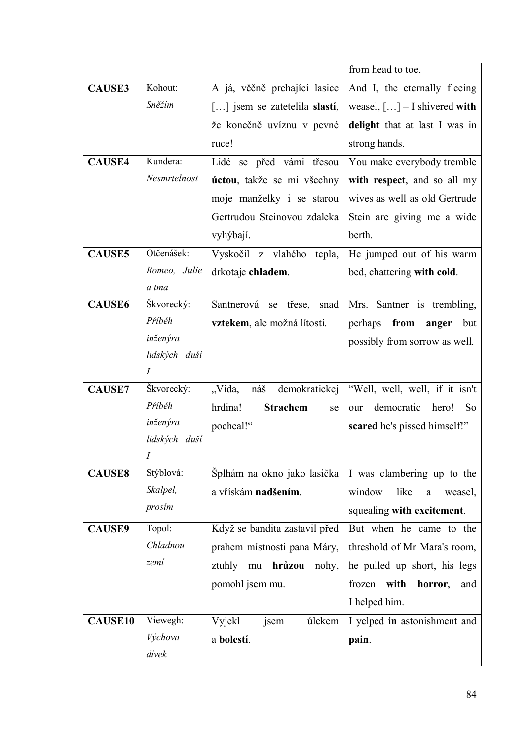|                |                                 |                                  | from head to toe.                     |
|----------------|---------------------------------|----------------------------------|---------------------------------------|
| <b>CAUSE3</b>  | Kohout:                         | A já, věčně prchající lasice     | And I, the eternally fleeing          |
|                | Sněžím                          | [] jsem se zatetelila slastí,    | weasel, $[] - I$ shivered with        |
|                |                                 | že konečně uvíznu v pevné        | delight that at last I was in         |
|                |                                 | ruce!                            | strong hands.                         |
| <b>CAUSE4</b>  | Kundera:                        | Lidé se před vámi třesou         | You make everybody tremble            |
|                | Nesmrtelnost                    | úctou, takže se mi všechny       | with respect, and so all my           |
|                |                                 | moje manželky i se starou        | wives as well as old Gertrude         |
|                |                                 | Gertrudou Steinovou zdaleka      | Stein are giving me a wide            |
|                |                                 | vyhýbají.                        | berth.                                |
| <b>CAUSE5</b>  | Otčenášek:                      | Vyskočil z vlahého<br>tepla,     | He jumped out of his warm             |
|                | Romeo, Julie                    | drkotaje chladem.                | bed, chattering with cold.            |
|                | a tma                           |                                  |                                       |
| <b>CAUSE6</b>  | Škvorecký:                      | Santnerová se třese,<br>snad     | Mrs. Santner is trembling,            |
|                | Příběh                          | vztekem, ale možná lítostí.      | perhaps<br>from<br>anger<br>but       |
|                | inženýra                        |                                  | possibly from sorrow as well.         |
|                | lidských duší<br>$\overline{I}$ |                                  |                                       |
| <b>CAUSE7</b>  | Škvorecký:                      | náš demokratickej<br>"Vida,      | "Well, well, well, if it isn't        |
|                | Příběh                          | <b>Strachem</b><br>hrdina!<br>se | democratic hero!<br><b>So</b><br>our  |
|                | inženýra                        | pochcal!"                        | scared he's pissed himself!"          |
|                | lidských duší                   |                                  |                                       |
|                | Ι                               |                                  |                                       |
| <b>CAUSE8</b>  | Stýblová:                       | Šplhám na okno jako lasička      | I was clambering up to the            |
|                | Skalpel,                        | a vřískám nadšením.              | window<br>like<br>weasel,<br>$\rm{a}$ |
|                | prosim                          |                                  | squealing with excitement.            |
| <b>CAUSE9</b>  | Topol:                          | Když se bandita zastavil před    | But when he came to the               |
|                | Chladnou                        | prahem místnosti pana Máry,      | threshold of Mr Mara's room,          |
|                | zemí                            | ztuhly mu <b>hrůzou</b><br>nohy, | he pulled up short, his legs          |
|                |                                 | pomohl jsem mu.                  | frozen with<br>horror,<br>and         |
|                |                                 |                                  | I helped him.                         |
| <b>CAUSE10</b> | Viewegh:                        | Vyjekl<br>úlekem<br>jsem         | I yelped in astonishment and          |
|                | Výchova                         | a bolestí.                       | pain.                                 |
|                | divek                           |                                  |                                       |